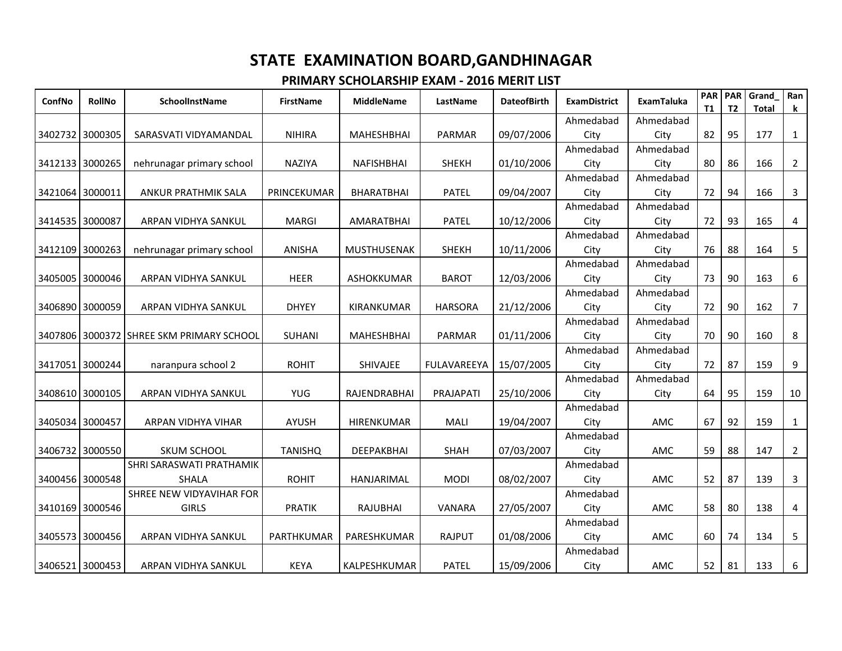| ConfNo  | <b>RollNo</b>   | <b>SchoolInstName</b>                    | <b>FirstName</b> | <b>MiddleName</b>  | LastName       | <b>DateofBirth</b> | <b>ExamDistrict</b> | <b>ExamTaluka</b> | <b>PAR</b><br><b>T1</b> | PAR<br>T2 | Grand<br><b>Total</b> | Ran<br>k       |
|---------|-----------------|------------------------------------------|------------------|--------------------|----------------|--------------------|---------------------|-------------------|-------------------------|-----------|-----------------------|----------------|
|         |                 |                                          |                  |                    |                |                    | Ahmedabad           | Ahmedabad         |                         |           |                       |                |
|         | 3402732 3000305 | SARASVATI VIDYAMANDAL                    | <b>NIHIRA</b>    | <b>MAHESHBHAI</b>  | <b>PARMAR</b>  | 09/07/2006         | City                | City              | 82                      | 95        | 177                   | $\mathbf{1}$   |
|         |                 |                                          |                  |                    |                |                    | Ahmedabad           | Ahmedabad         |                         |           |                       |                |
|         | 3412133 3000265 | nehrunagar primary school                | <b>NAZIYA</b>    | NAFISHBHAI         | <b>SHEKH</b>   | 01/10/2006         | City                | City              | 80                      | 86        | 166                   | $\overline{2}$ |
|         |                 |                                          |                  |                    |                |                    | Ahmedabad           | Ahmedabad         |                         |           |                       |                |
|         | 3421064 3000011 | ANKUR PRATHMIK SALA                      | PRINCEKUMAR      | <b>BHARATBHAI</b>  | <b>PATEL</b>   | 09/04/2007         | City                | City              | 72                      | 94        | 166                   | 3              |
|         |                 |                                          |                  |                    |                |                    | Ahmedabad           | Ahmedabad         |                         |           |                       |                |
|         | 3414535 3000087 | ARPAN VIDHYA SANKUL                      | <b>MARGI</b>     | <b>AMARATBHAI</b>  | <b>PATEL</b>   | 10/12/2006         | City                | City              | 72                      | 93        | 165                   | 4              |
|         |                 |                                          |                  |                    |                |                    | Ahmedabad           | Ahmedabad         |                         |           |                       |                |
|         | 3412109 3000263 | nehrunagar primary school                | <b>ANISHA</b>    | <b>MUSTHUSENAK</b> | <b>SHEKH</b>   | 10/11/2006         | City                | City              | 76                      | 88        | 164                   | 5              |
|         |                 |                                          |                  |                    |                |                    | Ahmedabad           | Ahmedabad         |                         |           |                       |                |
|         | 3405005 3000046 | ARPAN VIDHYA SANKUL                      | <b>HEER</b>      | <b>ASHOKKUMAR</b>  | <b>BAROT</b>   | 12/03/2006         | City                | City              | 73                      | 90        | 163                   | 6              |
|         |                 |                                          |                  |                    |                |                    | Ahmedabad           | Ahmedabad         |                         |           |                       |                |
|         | 3406890 3000059 | ARPAN VIDHYA SANKUL                      | <b>DHYEY</b>     | KIRANKUMAR         | <b>HARSORA</b> | 21/12/2006         | City                | City              | 72                      | 90        | 162                   | $\overline{7}$ |
|         |                 |                                          |                  |                    |                |                    | Ahmedabad           | Ahmedabad         |                         |           |                       |                |
|         |                 | 3407806 3000372 SHREE SKM PRIMARY SCHOOL | <b>SUHANI</b>    | MAHESHBHAI         | PARMAR         | 01/11/2006         | City                | City              | 70                      | 90        | 160                   | 8              |
|         |                 |                                          |                  |                    |                |                    | Ahmedabad           | Ahmedabad         |                         |           |                       |                |
| 3417051 | 3000244         | naranpura school 2                       | <b>ROHIT</b>     | SHIVAJEE           | FULAVAREEYA    | 15/07/2005         | City                | City              | 72                      | 87        | 159                   | 9              |
|         |                 |                                          |                  |                    |                |                    | Ahmedabad           | Ahmedabad         |                         |           |                       |                |
|         | 3408610 3000105 | ARPAN VIDHYA SANKUL                      | <b>YUG</b>       | RAJENDRABHAI       | PRAJAPATI      | 25/10/2006         | City<br>Ahmedabad   | City              | 64                      | 95        | 159                   | 10             |
|         | 3405034 3000457 |                                          |                  | <b>HIRENKUMAR</b>  | <b>MALI</b>    | 19/04/2007         |                     |                   | 67                      | 92        | 159                   |                |
|         |                 | ARPAN VIDHYA VIHAR                       | <b>AYUSH</b>     |                    |                |                    | City<br>Ahmedabad   | AMC               |                         |           |                       | $\mathbf{1}$   |
|         | 3406732 3000550 | SKUM SCHOOL                              | <b>TANISHQ</b>   | DEEPAKBHAI         | <b>SHAH</b>    | 07/03/2007         | City                | AMC               | 59                      | 88        | 147                   | $\overline{2}$ |
|         |                 | SHRI SARASWATI PRATHAMIK                 |                  |                    |                |                    | Ahmedabad           |                   |                         |           |                       |                |
|         | 3400456 3000548 | <b>SHALA</b>                             | <b>ROHIT</b>     | <b>HANJARIMAL</b>  | <b>MODI</b>    | 08/02/2007         | City                | AMC               | 52                      | 87        | 139                   | 3              |
|         |                 | SHREE NEW VIDYAVIHAR FOR                 |                  |                    |                |                    | Ahmedabad           |                   |                         |           |                       |                |
|         | 3410169 3000546 | <b>GIRLS</b>                             | <b>PRATIK</b>    | <b>RAJUBHAI</b>    | VANARA         | 27/05/2007         | City                | AMC               | 58                      | 80        | 138                   | 4              |
|         |                 |                                          |                  |                    |                |                    | Ahmedabad           |                   |                         |           |                       |                |
|         | 3405573 3000456 | ARPAN VIDHYA SANKUL                      | PARTHKUMAR       | PARESHKUMAR        | RAJPUT         | 01/08/2006         | City                | AMC               | 60                      | 74        | 134                   | 5              |
|         |                 |                                          |                  |                    |                |                    | Ahmedabad           |                   |                         |           |                       |                |
|         | 3406521 3000453 | ARPAN VIDHYA SANKUL                      | <b>KEYA</b>      | KALPESHKUMAR       | <b>PATEL</b>   | 15/09/2006         | City                | AMC               | 52                      | 81        | 133                   | 6              |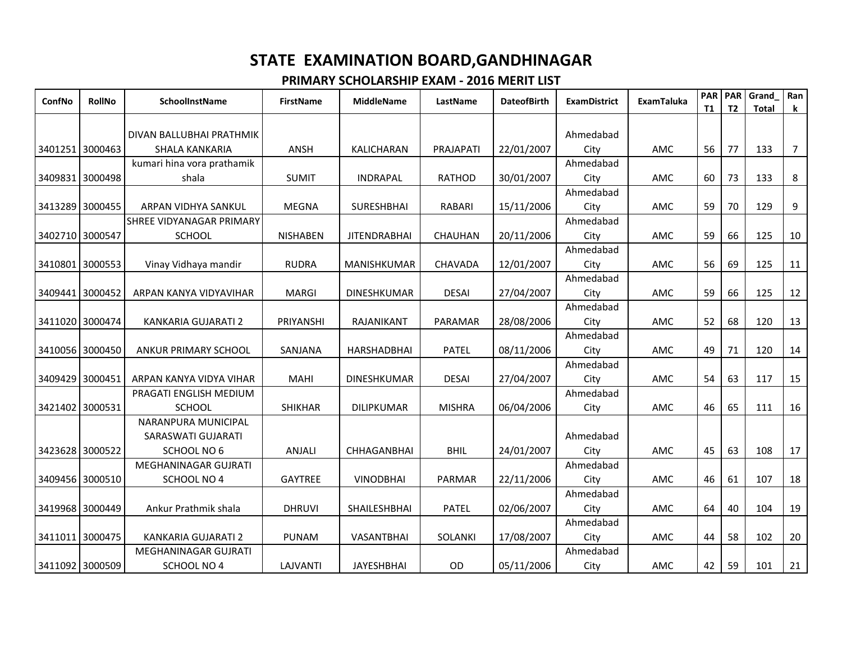| ConfNo  | RollNo          | SchoolInstName             | <b>FirstName</b> | <b>MiddleName</b>   | LastName       | <b>DateofBirth</b> | <b>ExamDistrict</b> | ExamTaluka | <b>PAR</b><br><b>T1</b> | <b>PAR</b><br>T <sub>2</sub> | Grand<br><b>Total</b> | Ran<br>k       |
|---------|-----------------|----------------------------|------------------|---------------------|----------------|--------------------|---------------------|------------|-------------------------|------------------------------|-----------------------|----------------|
|         |                 |                            |                  |                     |                |                    |                     |            |                         |                              |                       |                |
|         |                 | DIVAN BALLUBHAI PRATHMIK   |                  |                     |                |                    | Ahmedabad           |            |                         |                              |                       |                |
|         | 3401251 3000463 | SHALA KANKARIA             | ANSH             | KALICHARAN          | PRAJAPATI      | 22/01/2007         | City                | AMC        | 56                      | 77                           | 133                   | $\overline{7}$ |
|         |                 | kumari hina vora prathamik |                  |                     |                |                    | Ahmedabad           |            |                         |                              |                       |                |
| 3409831 | 3000498         | shala                      | <b>SUMIT</b>     | <b>INDRAPAL</b>     | <b>RATHOD</b>  | 30/01/2007         | City                | AMC        | 60                      | 73                           | 133                   | 8              |
|         |                 |                            |                  |                     |                |                    | Ahmedabad           |            |                         |                              |                       |                |
|         | 3413289 3000455 | ARPAN VIDHYA SANKUL        | <b>MEGNA</b>     | <b>SURESHBHAI</b>   | <b>RABARI</b>  | 15/11/2006         | City                | AMC        | 59                      | 70                           | 129                   | 9              |
|         |                 | SHREE VIDYANAGAR PRIMARY   |                  |                     |                |                    | Ahmedabad           |            |                         |                              |                       |                |
|         | 3402710 3000547 | SCHOOL                     | <b>NISHABEN</b>  | <b>JITENDRABHAI</b> | CHAUHAN        | 20/11/2006         | City                | AMC        | 59                      | 66                           | 125                   | 10             |
|         |                 |                            |                  |                     |                |                    | Ahmedabad           |            |                         |                              |                       |                |
|         | 3410801 3000553 | Vinay Vidhaya mandir       | <b>RUDRA</b>     | <b>MANISHKUMAR</b>  | CHAVADA        | 12/01/2007         | City                | AMC        | 56                      | 69                           | 125                   | 11             |
|         |                 |                            |                  |                     |                |                    | Ahmedabad           |            |                         |                              |                       |                |
|         | 3409441 3000452 | ARPAN KANYA VIDYAVIHAR     | <b>MARGI</b>     | <b>DINESHKUMAR</b>  | <b>DESAI</b>   | 27/04/2007         | City                | AMC        | 59                      | 66                           | 125                   | 12             |
|         |                 |                            |                  |                     |                |                    | Ahmedabad           |            |                         |                              |                       |                |
|         | 3411020 3000474 | KANKARIA GUJARATI 2        | PRIYANSHI        | RAJANIKANT          | PARAMAR        | 28/08/2006         | City                | AMC        | 52                      | 68                           | 120                   | 13             |
|         |                 |                            |                  |                     |                |                    | Ahmedabad           |            |                         |                              |                       |                |
|         | 3410056 3000450 | ANKUR PRIMARY SCHOOL       | SANJANA          | <b>HARSHADBHAI</b>  | <b>PATEL</b>   | 08/11/2006         | City                | AMC        | 49                      | 71                           | 120                   | 14             |
|         |                 |                            |                  |                     |                |                    | Ahmedabad           |            |                         |                              |                       |                |
|         | 3409429 3000451 | ARPAN KANYA VIDYA VIHAR    | <b>MAHI</b>      | <b>DINESHKUMAR</b>  | <b>DESAI</b>   | 27/04/2007         | City                | AMC        | 54                      | 63                           | 117                   | 15             |
|         |                 | PRAGATI ENGLISH MEDIUM     |                  |                     |                |                    | Ahmedabad           |            |                         |                              |                       |                |
|         | 3421402 3000531 | <b>SCHOOL</b>              | <b>SHIKHAR</b>   | <b>DILIPKUMAR</b>   | <b>MISHRA</b>  | 06/04/2006         | City                | AMC        | 46                      | 65                           | 111                   | 16             |
|         |                 | NARANPURA MUNICIPAL        |                  |                     |                |                    |                     |            |                         |                              |                       |                |
|         |                 | SARASWATI GUJARATI         |                  |                     |                |                    | Ahmedabad           |            |                         |                              |                       |                |
|         | 3423628 3000522 | SCHOOL NO 6                | ANJALI           | <b>CHHAGANBHAI</b>  | <b>BHIL</b>    | 24/01/2007         | City                | AMC        | 45                      | 63                           | 108                   | 17             |
|         |                 | MEGHANINAGAR GUJRATI       |                  |                     |                |                    | Ahmedabad           |            |                         |                              |                       |                |
|         | 3409456 3000510 | SCHOOL NO 4                | <b>GAYTREE</b>   | <b>VINODBHAI</b>    | PARMAR         | 22/11/2006         | City                | AMC        | 46                      | 61                           | 107                   | 18             |
|         |                 |                            |                  |                     |                |                    | Ahmedabad           |            |                         |                              |                       |                |
|         | 3419968 3000449 | Ankur Prathmik shala       | <b>DHRUVI</b>    | SHAILESHBHAI        | <b>PATEL</b>   | 02/06/2007         | City                | AMC        | 64                      | 40                           | 104                   | 19             |
|         |                 |                            |                  |                     |                |                    | Ahmedabad           |            |                         |                              |                       |                |
|         | 3411011 3000475 | KANKARIA GUJARATI 2        | <b>PUNAM</b>     | VASANTBHAI          | <b>SOLANKI</b> | 17/08/2007         | City                | AMC        | 44                      | 58                           | 102                   | 20             |
|         |                 | MEGHANINAGAR GUJRATI       |                  |                     |                |                    | Ahmedabad           |            |                         |                              |                       |                |
|         | 3411092 3000509 | SCHOOL NO 4                | LAJVANTI         | <b>JAYESHBHAI</b>   | <b>OD</b>      | 05/11/2006         | City                | AMC        | 42                      | 59                           | 101                   | 21             |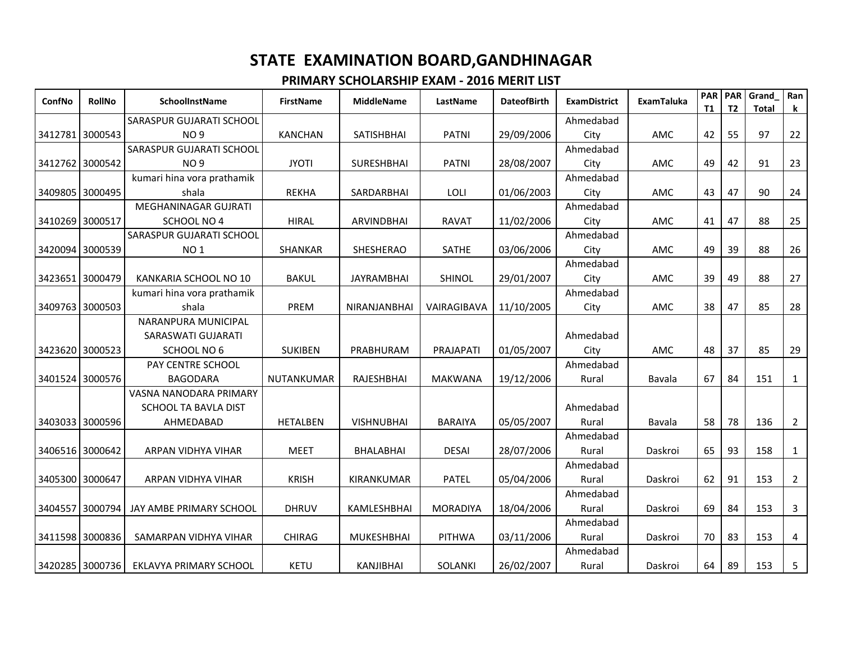| ConfNo  | <b>RollNo</b>   | <b>SchoolInstName</b>           | <b>FirstName</b> | <b>MiddleName</b> | LastName        | <b>DateofBirth</b> | <b>ExamDistrict</b> | <b>ExamTaluka</b> | <b>PAR</b><br><b>T1</b> | PAR<br>T <sub>2</sub> | <b>Grand</b><br><b>Total</b> | Ran<br>k       |
|---------|-----------------|---------------------------------|------------------|-------------------|-----------------|--------------------|---------------------|-------------------|-------------------------|-----------------------|------------------------------|----------------|
|         |                 | SARASPUR GUJARATI SCHOOL        |                  |                   |                 |                    | Ahmedabad           |                   |                         |                       |                              |                |
|         | 3412781 3000543 | <b>NO9</b>                      | <b>KANCHAN</b>   | SATISHBHAI        | <b>PATNI</b>    | 29/09/2006         | City                | AMC               | 42                      | 55                    | 97                           | 22             |
|         |                 | SARASPUR GUJARATI SCHOOL        |                  |                   |                 |                    | Ahmedabad           |                   |                         |                       |                              |                |
|         | 3412762 3000542 | <b>NO9</b>                      | <b>JYOTI</b>     | <b>SURESHBHAI</b> | <b>PATNI</b>    | 28/08/2007         | City                | AMC               | 49                      | 42                    | 91                           | 23             |
|         |                 | kumari hina vora prathamik      |                  |                   |                 |                    | Ahmedabad           |                   |                         |                       |                              |                |
|         | 3409805 3000495 | shala                           | <b>REKHA</b>     | SARDARBHAI        | LOLI            | 01/06/2003         | City                | AMC               | 43                      | 47                    | 90                           | 24             |
|         |                 | MEGHANINAGAR GUJRATI            |                  |                   |                 |                    | Ahmedabad           |                   |                         |                       |                              |                |
|         | 3410269 3000517 | SCHOOL NO 4                     | <b>HIRAL</b>     | <b>ARVINDBHAI</b> | <b>RAVAT</b>    | 11/02/2006         | City                | AMC               | 41                      | 47                    | 88                           | 25             |
|         |                 | <b>SARASPUR GUJARATI SCHOOL</b> |                  |                   |                 |                    | Ahmedabad           |                   |                         |                       |                              |                |
|         | 3420094 3000539 | NO <sub>1</sub>                 | SHANKAR          | SHESHERAO         | SATHE           | 03/06/2006         | City                | AMC               | 49                      | 39                    | 88                           | 26             |
|         |                 |                                 |                  |                   |                 |                    | Ahmedabad           |                   |                         |                       |                              |                |
|         | 3423651 3000479 | KANKARIA SCHOOL NO 10           | <b>BAKUL</b>     | <b>JAYRAMBHAI</b> | SHINOL          | 29/01/2007         | City                | AMC               | 39                      | 49                    | 88                           | 27             |
|         |                 | kumari hina vora prathamik      |                  |                   |                 |                    | Ahmedabad           |                   |                         |                       |                              |                |
|         | 3409763 3000503 | shala                           | PREM             | NIRANJANBHAI      | VAIRAGIBAVA     | 11/10/2005         | City                | AMC               | 38                      | 47                    | 85                           | 28             |
|         |                 | NARANPURA MUNICIPAL             |                  |                   |                 |                    |                     |                   |                         |                       |                              |                |
|         |                 | SARASWATI GUJARATI              |                  |                   |                 |                    | Ahmedabad           |                   |                         |                       |                              |                |
|         | 3423620 3000523 | SCHOOL NO 6                     | <b>SUKIBEN</b>   | PRABHURAM         | PRAJAPATI       | 01/05/2007         | City                | AMC               | 48                      | 37                    | 85                           | 29             |
|         |                 | PAY CENTRE SCHOOL               |                  |                   |                 |                    | Ahmedabad           |                   |                         |                       |                              |                |
|         | 3401524 3000576 | <b>BAGODARA</b>                 | NUTANKUMAR       | RAJESHBHAI        | <b>MAKWANA</b>  | 19/12/2006         | Rural               | Bavala            | 67                      | 84                    | 151                          | $\mathbf{1}$   |
|         |                 | VASNA NANODARA PRIMARY          |                  |                   |                 |                    |                     |                   |                         |                       |                              |                |
|         |                 | SCHOOL TA BAVLA DIST            |                  |                   |                 |                    | Ahmedabad           |                   |                         |                       |                              |                |
|         | 3403033 3000596 | AHMEDABAD                       | <b>HETALBEN</b>  | <b>VISHNUBHAI</b> | <b>BARAIYA</b>  | 05/05/2007         | Rural               | Bavala            | 58                      | 78                    | 136                          | $\overline{2}$ |
|         |                 |                                 |                  |                   |                 |                    | Ahmedabad           |                   |                         |                       |                              |                |
|         | 3406516 3000642 | ARPAN VIDHYA VIHAR              | <b>MEET</b>      | BHALABHAI         | <b>DESAI</b>    | 28/07/2006         | Rural               | Daskroi           | 65                      | 93                    | 158                          | $\mathbf{1}$   |
|         |                 |                                 |                  |                   |                 |                    | Ahmedabad           |                   |                         |                       |                              |                |
| 3405300 | 3000647         | ARPAN VIDHYA VIHAR              | <b>KRISH</b>     | KIRANKUMAR        | <b>PATEL</b>    | 05/04/2006         | Rural               | Daskroi           | 62                      | 91                    | 153                          | $\overline{2}$ |
|         |                 |                                 |                  |                   |                 |                    | Ahmedabad           |                   |                         |                       |                              |                |
|         | 3404557 3000794 | JAY AMBE PRIMARY SCHOOL         | <b>DHRUV</b>     | KAMLESHBHAI       | <b>MORADIYA</b> | 18/04/2006         | Rural               | Daskroi           | 69                      | 84                    | 153                          | 3              |
|         |                 |                                 |                  |                   |                 |                    | Ahmedabad           |                   |                         |                       |                              |                |
|         | 3411598 3000836 | SAMARPAN VIDHYA VIHAR           | <b>CHIRAG</b>    | <b>MUKESHBHAI</b> | PITHWA          | 03/11/2006         | Rural               | Daskroi           | 70                      | 83                    | 153                          | 4              |
|         |                 |                                 |                  |                   |                 |                    | Ahmedabad           |                   |                         |                       |                              |                |
|         | 3420285 3000736 | <b>EKLAVYA PRIMARY SCHOOL</b>   | KETU             | <b>KANJIBHAI</b>  | SOLANKI         | 26/02/2007         | Rural               | Daskroi           | 64                      | 89                    | 153                          | $5\phantom{.}$ |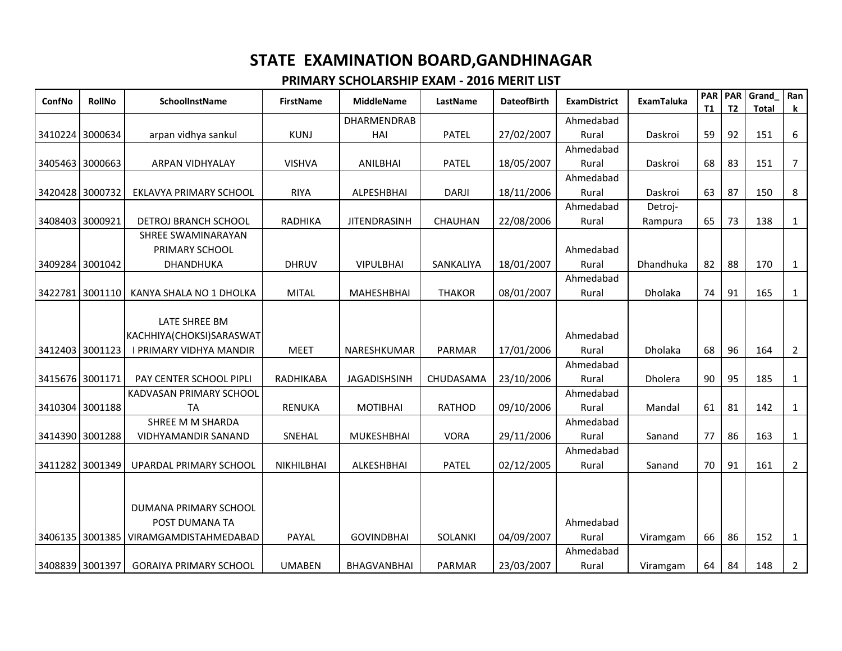| ConfNo          | <b>RollNo</b> | SchoolInstName                        | <b>FirstName</b> | <b>MiddleName</b>   | LastName      | <b>DateofBirth</b> | <b>ExamDistrict</b> | ExamTaluka | <b>PAR</b><br><b>T1</b> | <b>PAR</b><br>T <sub>2</sub> | Grand<br><b>Total</b> | Ran<br>k.      |
|-----------------|---------------|---------------------------------------|------------------|---------------------|---------------|--------------------|---------------------|------------|-------------------------|------------------------------|-----------------------|----------------|
|                 |               |                                       |                  | <b>DHARMENDRAB</b>  |               |                    | Ahmedabad           |            |                         |                              |                       |                |
| 3410224 3000634 |               | arpan vidhya sankul                   | <b>KUNJ</b>      | HAI                 | <b>PATEL</b>  | 27/02/2007         | Rural               | Daskroi    | 59                      | 92                           | 151                   | 6              |
|                 |               |                                       |                  |                     |               |                    | Ahmedabad           |            |                         |                              |                       |                |
| 3405463         | 3000663       | ARPAN VIDHYALAY                       | <b>VISHVA</b>    | <b>ANILBHAI</b>     | <b>PATEL</b>  | 18/05/2007         | Rural               | Daskroi    | 68                      | 83                           | 151                   | 7              |
|                 |               |                                       |                  |                     |               |                    | Ahmedabad           |            |                         |                              |                       |                |
| 3420428 3000732 |               | EKLAVYA PRIMARY SCHOOL                | <b>RIYA</b>      | ALPESHBHAI          | <b>DARJI</b>  | 18/11/2006         | Rural               | Daskroi    | 63                      | 87                           | 150                   | 8              |
|                 |               |                                       |                  |                     |               |                    | Ahmedabad           | Detroj-    |                         |                              |                       |                |
| 3408403         | 3000921       | DETROJ BRANCH SCHOOL                  | <b>RADHIKA</b>   | <b>JITENDRASINH</b> | CHAUHAN       | 22/08/2006         | Rural               | Rampura    | 65                      | 73                           | 138                   | $\mathbf{1}$   |
|                 |               | SHREE SWAMINARAYAN                    |                  |                     |               |                    |                     |            |                         |                              |                       |                |
|                 |               | PRIMARY SCHOOL                        |                  |                     |               |                    | Ahmedabad           |            |                         |                              |                       |                |
| 3409284 3001042 |               | DHANDHUKA                             | <b>DHRUV</b>     | <b>VIPULBHAI</b>    | SANKALIYA     | 18/01/2007         | Rural               | Dhandhuka  | 82                      | 88                           | 170                   | 1              |
|                 |               |                                       |                  |                     |               |                    | Ahmedabad           |            |                         |                              |                       |                |
| 3422781         | 3001110       | KANYA SHALA NO 1 DHOLKA               | <b>MITAL</b>     | <b>MAHESHBHAI</b>   | <b>THAKOR</b> | 08/01/2007         | Rural               | Dholaka    | 74                      | 91                           | 165                   | $\mathbf{1}$   |
|                 |               | LATE SHREE BM                         |                  |                     |               |                    |                     |            |                         |                              |                       |                |
|                 |               | KACHHIYA(CHOKSI)SARASWAT              |                  |                     |               |                    | Ahmedabad           |            |                         |                              |                       |                |
| 3412403 3001123 |               | I PRIMARY VIDHYA MANDIR               | <b>MEET</b>      | NARESHKUMAR         | PARMAR        | 17/01/2006         | Rural               | Dholaka    | 68                      | 96                           | 164                   | $\overline{2}$ |
|                 |               |                                       |                  |                     |               |                    | Ahmedabad           |            |                         |                              |                       |                |
| 3415676 3001171 |               | PAY CENTER SCHOOL PIPLI               | RADHIKABA        | <b>JAGADISHSINH</b> | CHUDASAMA     | 23/10/2006         | Rural               | Dholera    | 90                      | 95                           | 185                   | 1              |
|                 |               | KADVASAN PRIMARY SCHOOL               |                  |                     |               |                    | Ahmedabad           |            |                         |                              |                       |                |
| 3410304 3001188 |               | <b>TA</b>                             | <b>RENUKA</b>    | <b>MOTIBHAI</b>     | <b>RATHOD</b> | 09/10/2006         | Rural               | Mandal     | 61                      | 81                           | 142                   | $\mathbf{1}$   |
|                 |               | SHREE M M SHARDA                      |                  |                     |               |                    | Ahmedabad           |            |                         |                              |                       |                |
| 3414390 3001288 |               | <b>VIDHYAMANDIR SANAND</b>            | SNEHAL           | <b>MUKESHBHAI</b>   | <b>VORA</b>   | 29/11/2006         | Rural               | Sanand     | 77                      | 86                           | 163                   | $\mathbf{1}$   |
|                 |               |                                       |                  |                     |               |                    | Ahmedabad           |            |                         |                              |                       |                |
| 3411282         | 3001349       | UPARDAL PRIMARY SCHOOL                | NIKHILBHAI       | ALKESHBHAI          | <b>PATEL</b>  | 02/12/2005         | Rural               | Sanand     | 70                      | 91                           | 161                   | $\overline{2}$ |
|                 |               |                                       |                  |                     |               |                    |                     |            |                         |                              |                       |                |
|                 |               |                                       |                  |                     |               |                    |                     |            |                         |                              |                       |                |
|                 |               | DUMANA PRIMARY SCHOOL                 |                  |                     |               |                    |                     |            |                         |                              |                       |                |
|                 |               | POST DUMANA TA                        |                  |                     |               |                    | Ahmedabad           |            |                         |                              |                       |                |
|                 |               | 3406135 3001385 VIRAMGAMDISTAHMEDABAD | PAYAL            | <b>GOVINDBHAI</b>   | SOLANKI       | 04/09/2007         | Rural               | Viramgam   | 66                      | 86                           | 152                   | $\mathbf{1}$   |
|                 |               |                                       |                  |                     |               |                    | Ahmedabad           |            |                         |                              |                       |                |
| 3408839 3001397 |               | <b>GORAIYA PRIMARY SCHOOL</b>         | <b>UMABEN</b>    | <b>BHAGVANBHAI</b>  | <b>PARMAR</b> | 23/03/2007         | Rural               | Viramgam   | 64                      | 84                           | 148                   | $\overline{2}$ |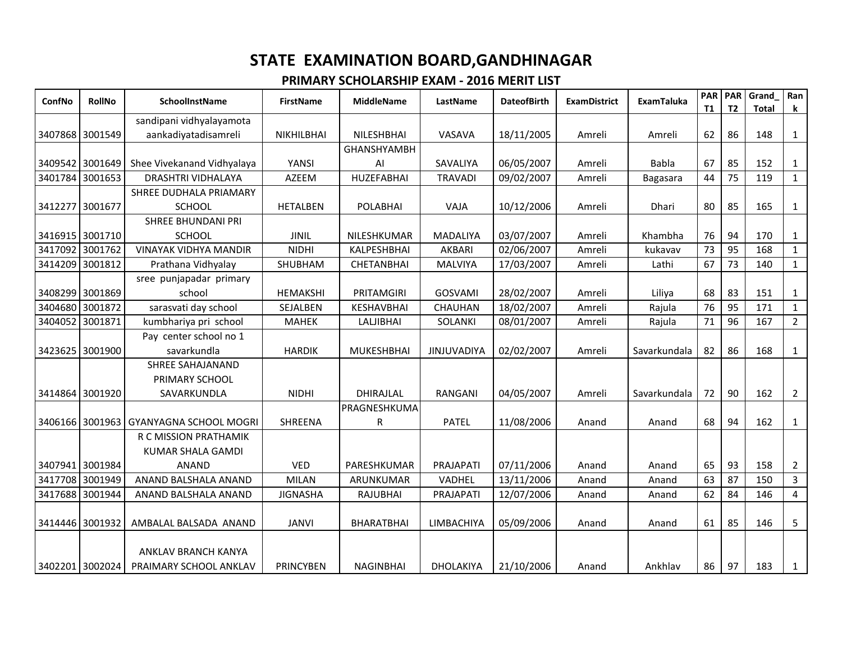| ConfNo  | <b>RollNo</b>   | <b>SchoolInstName</b>                  | <b>FirstName</b> | <b>MiddleName</b>  | LastName         | <b>DateofBirth</b> | <b>ExamDistrict</b> | <b>ExamTaluka</b> | <b>PAR</b><br>T1 | <b>PAR</b><br>T <sub>2</sub> | Grand<br><b>Total</b> | Ran<br>$\mathbf k$ |
|---------|-----------------|----------------------------------------|------------------|--------------------|------------------|--------------------|---------------------|-------------------|------------------|------------------------------|-----------------------|--------------------|
|         |                 | sandipani vidhyalayamota               |                  |                    |                  |                    |                     |                   |                  |                              |                       |                    |
|         | 3407868 3001549 | aankadiyatadisamreli                   | NIKHILBHAI       | NILESHBHAI         | VASAVA           | 18/11/2005         | Amreli              | Amreli            | 62               | 86                           | 148                   | $\mathbf{1}$       |
|         |                 |                                        |                  | <b>GHANSHYAMBH</b> |                  |                    |                     |                   |                  |                              |                       |                    |
|         | 3409542 3001649 | Shee Vivekanand Vidhyalaya             | YANSI            | AI                 | SAVALIYA         | 06/05/2007         | Amreli              | <b>Babla</b>      | 67               | 85                           | 152                   | 1                  |
| 3401784 | 3001653         | <b>DRASHTRI VIDHALAYA</b>              | <b>AZEEM</b>     | <b>HUZEFABHAI</b>  | <b>TRAVADI</b>   | 09/02/2007         | Amreli              | Bagasara          | 44               | 75                           | 119                   | 1                  |
|         |                 | SHREE DUDHALA PRIAMARY                 |                  |                    |                  |                    |                     |                   |                  |                              |                       |                    |
|         | 3412277 3001677 | <b>SCHOOL</b>                          | <b>HETALBEN</b>  | <b>POLABHAI</b>    | VAJA             | 10/12/2006         | Amreli              | Dhari             | 80               | 85                           | 165                   | $\mathbf{1}$       |
|         |                 | <b>SHREE BHUNDANI PRI</b>              |                  |                    |                  |                    |                     |                   |                  |                              |                       |                    |
|         | 3416915 3001710 | <b>SCHOOL</b>                          | <b>JINIL</b>     | NILESHKUMAR        | <b>MADALIYA</b>  | 03/07/2007         | Amreli              | Khambha           | 76               | 94                           | 170                   | 1                  |
| 3417092 | 3001762         | <b>VINAYAK VIDHYA MANDIR</b>           | <b>NIDHI</b>     | KALPESHBHAI        | AKBARI           | 02/06/2007         | Amreli              | kukavav           | 73               | 95                           | 168                   | 1                  |
|         | 3414209 3001812 | Prathana Vidhyalay                     | SHUBHAM          | <b>CHETANBHAI</b>  | <b>MALVIYA</b>   | 17/03/2007         | Amreli              | Lathi             | 67               | 73                           | 140                   | $\mathbf{1}$       |
|         |                 | sree punjapadar primary                |                  |                    |                  |                    |                     |                   |                  |                              |                       |                    |
|         | 3408299 3001869 | school                                 | <b>HEMAKSHI</b>  | PRITAMGIRI         | <b>GOSVAMI</b>   | 28/02/2007         | Amreli              | Liliya            | 68               | 83                           | 151                   | 1                  |
| 3404680 | 3001872         | sarasvati day school                   | SEJALBEN         | <b>KESHAVBHAI</b>  | CHAUHAN          | 18/02/2007         | Amreli              | Rajula            | 76               | 95                           | 171                   | $\mathbf{1}$       |
| 3404052 | 3001871         | kumbhariya pri school                  | <b>MAHEK</b>     | <b>LALJIBHAI</b>   | SOLANKI          | 08/01/2007         | Amreli              | Rajula            | 71               | 96                           | 167                   | $\overline{2}$     |
|         |                 | Pay center school no 1                 |                  |                    |                  |                    |                     |                   |                  |                              |                       |                    |
|         | 3423625 3001900 | savarkundla                            | <b>HARDIK</b>    | <b>MUKESHBHAI</b>  | JINJUVADIYA      | 02/02/2007         | Amreli              | Savarkundala      | 82               | 86                           | 168                   | $\mathbf{1}$       |
|         |                 | <b>SHREE SAHAJANAND</b>                |                  |                    |                  |                    |                     |                   |                  |                              |                       |                    |
|         |                 | PRIMARY SCHOOL                         |                  |                    |                  |                    |                     |                   |                  |                              |                       |                    |
|         | 3414864 3001920 | SAVARKUNDLA                            | <b>NIDHI</b>     | DHIRAJLAL          | RANGANI          | 04/05/2007         | Amreli              | Savarkundala      | 72               | 90                           | 162                   | $\overline{2}$     |
|         |                 |                                        |                  | PRAGNESHKUMA       |                  |                    |                     |                   |                  |                              |                       |                    |
|         |                 | 3406166 3001963 GYANYAGNA SCHOOL MOGRI | SHREENA          | ${\sf R}$          | <b>PATEL</b>     | 11/08/2006         | Anand               | Anand             | 68               | 94                           | 162                   | $\mathbf{1}$       |
|         |                 | R C MISSION PRATHAMIK                  |                  |                    |                  |                    |                     |                   |                  |                              |                       |                    |
|         |                 | <b>KUMAR SHALA GAMDI</b>               |                  |                    |                  |                    |                     |                   |                  |                              |                       |                    |
|         | 3407941 3001984 | <b>ANAND</b>                           | <b>VED</b>       | PARESHKUMAR        | PRAJAPATI        | 07/11/2006         | Anand               | Anand             | 65               | 93                           | 158                   | $\overline{2}$     |
|         | 3417708 3001949 | ANAND BALSHALA ANAND                   | <b>MILAN</b>     | ARUNKUMAR          | VADHEL           | 13/11/2006         | Anand               | Anand             | 63               | 87                           | 150                   | $\mathbf{3}$       |
| 3417688 | 3001944         | ANAND BALSHALA ANAND                   | <b>JIGNASHA</b>  | <b>RAJUBHAI</b>    | PRAJAPATI        | 12/07/2006         | Anand               | Anand             | 62               | 84                           | 146                   | 4                  |
|         | 3414446 3001932 | AMBALAL BALSADA ANAND                  | <b>JANVI</b>     | <b>BHARATBHAI</b>  | LIMBACHIYA       | 05/09/2006         | Anand               | Anand             | 61               | 85                           | 146                   | 5                  |
|         |                 |                                        |                  |                    |                  |                    |                     |                   |                  |                              |                       |                    |
|         |                 | ANKLAV BRANCH KANYA                    |                  |                    |                  |                    |                     |                   |                  |                              |                       |                    |
|         | 3402201 3002024 | PRAIMARY SCHOOL ANKLAV                 | <b>PRINCYBEN</b> | <b>NAGINBHAI</b>   | <b>DHOLAKIYA</b> | 21/10/2006         | Anand               | Ankhlav           | 86               | 97                           | 183                   | $\mathbf{1}$       |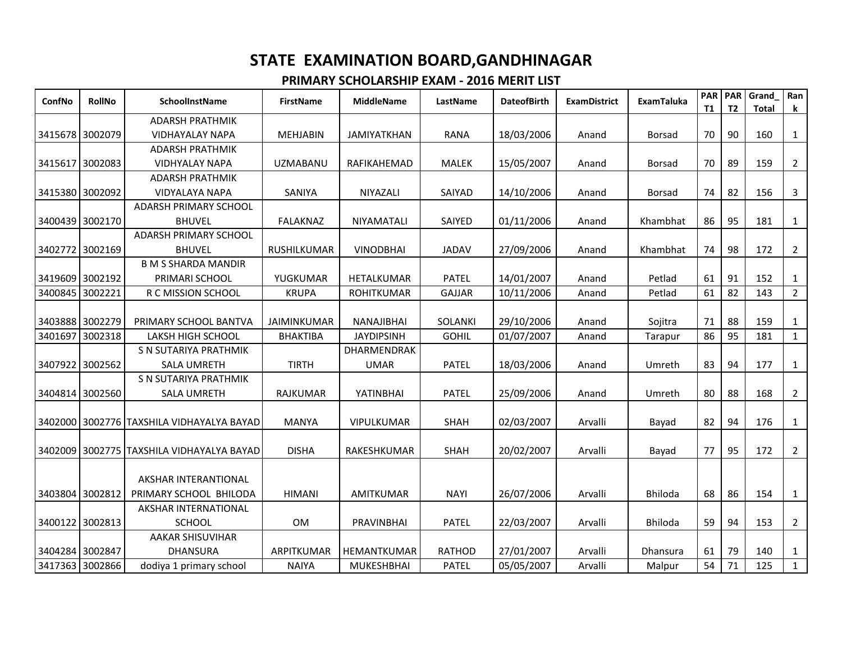| ConfNo          | <b>RollNo</b> | <b>SchoolInstName</b>                     | <b>FirstName</b>   | <b>MiddleName</b>  | LastName       | <b>DateofBirth</b> | <b>ExamDistrict</b> | <b>ExamTaluka</b> | <b>PAR</b><br><b>T1</b> | <b>PAR</b><br>T <sub>2</sub> | Grand<br><b>Total</b> | Ran<br>$\mathbf k$ |
|-----------------|---------------|-------------------------------------------|--------------------|--------------------|----------------|--------------------|---------------------|-------------------|-------------------------|------------------------------|-----------------------|--------------------|
|                 |               | <b>ADARSH PRATHMIK</b>                    |                    |                    |                |                    |                     |                   |                         |                              |                       |                    |
| 3415678 3002079 |               | <b>VIDHAYALAY NAPA</b>                    | <b>MEHJABIN</b>    | <b>JAMIYATKHAN</b> | RANA           | 18/03/2006         | Anand               | <b>Borsad</b>     | 70                      | 90                           | 160                   | $\mathbf{1}$       |
|                 |               | <b>ADARSH PRATHMIK</b>                    |                    |                    |                |                    |                     |                   |                         |                              |                       |                    |
| 3415617 3002083 |               | <b>VIDHYALAY NAPA</b>                     | <b>UZMABANU</b>    | RAFIKAHEMAD        | <b>MALEK</b>   | 15/05/2007         | Anand               | <b>Borsad</b>     | 70                      | 89                           | 159                   | $\overline{2}$     |
|                 |               | <b>ADARSH PRATHMIK</b>                    |                    |                    |                |                    |                     |                   |                         |                              |                       |                    |
| 3415380 3002092 |               | <b>VIDYALAYA NAPA</b>                     | SANIYA             | <b>NIYAZALI</b>    | <b>SAIYAD</b>  | 14/10/2006         | Anand               | Borsad            | 74                      | 82                           | 156                   | 3                  |
|                 |               | <b>ADARSH PRIMARY SCHOOL</b>              |                    |                    |                |                    |                     |                   |                         |                              |                       |                    |
| 3400439         | 3002170       | <b>BHUVEL</b>                             | <b>FALAKNAZ</b>    | NIYAMATALI         | SAIYED         | 01/11/2006         | Anand               | Khambhat          | 86                      | 95                           | 181                   | 1                  |
|                 |               | <b>ADARSH PRIMARY SCHOOL</b>              |                    |                    |                |                    |                     |                   |                         |                              |                       |                    |
| 3402772         | 3002169       | <b>BHUVEL</b>                             | RUSHILKUMAR        | <b>VINODBHAI</b>   | <b>JADAV</b>   | 27/09/2006         | Anand               | Khambhat          | 74                      | 98                           | 172                   | $\overline{2}$     |
|                 |               | <b>B M S SHARDA MANDIR</b>                |                    |                    |                |                    |                     |                   |                         |                              |                       |                    |
| 3419609 3002192 |               | PRIMARI SCHOOL                            | YUGKUMAR           | HETALKUMAR         | <b>PATEL</b>   | 14/01/2007         | Anand               | Petlad            | 61                      | 91                           | 152                   | 1                  |
| 3400845         | 3002221       | R C MISSION SCHOOL                        | <b>KRUPA</b>       | <b>ROHITKUMAR</b>  | <b>GAJJAR</b>  | 10/11/2006         | Anand               | Petlad            | 61                      | 82                           | 143                   | $\overline{2}$     |
|                 |               |                                           |                    |                    |                |                    |                     |                   |                         |                              |                       |                    |
| 3403888         | 3002279       | PRIMARY SCHOOL BANTVA                     | <b>JAIMINKUMAR</b> | <b>NANAJIBHAI</b>  | <b>SOLANKI</b> | 29/10/2006         | Anand               | Sojitra           | 71                      | 88                           | 159                   | 1                  |
| 3401697         | 3002318       | <b>LAKSH HIGH SCHOOL</b>                  | <b>BHAKTIBA</b>    | <b>JAYDIPSINH</b>  | <b>GOHIL</b>   | 01/07/2007         | Anand               | Tarapur           | 86                      | 95                           | 181                   | $\mathbf{1}$       |
|                 |               | S N SUTARIYA PRATHMIK                     |                    | DHARMENDRAK        |                |                    |                     |                   |                         |                              |                       |                    |
| 3407922         | 3002562       | <b>SALA UMRETH</b>                        | <b>TIRTH</b>       | <b>UMAR</b>        | <b>PATEL</b>   | 18/03/2006         | Anand               | Umreth            | 83                      | 94                           | 177                   | $\mathbf{1}$       |
|                 |               | S N SUTARIYA PRATHMIK                     |                    |                    |                |                    |                     |                   |                         |                              |                       |                    |
| 3404814         | 3002560       | <b>SALA UMRETH</b>                        | RAJKUMAR           | YATINBHAI          | <b>PATEL</b>   | 25/09/2006         | Anand               | Umreth            | 80                      | 88                           | 168                   | $\overline{2}$     |
|                 |               |                                           |                    |                    |                |                    |                     |                   |                         |                              |                       |                    |
|                 |               | 3402000 3002776 TAXSHILA VIDHAYALYA BAYAD | <b>MANYA</b>       | <b>VIPULKUMAR</b>  | <b>SHAH</b>    | 02/03/2007         | Arvalli             | Bayad             | 82                      | 94                           | 176                   | $\mathbf{1}$       |
|                 |               |                                           |                    |                    |                |                    |                     |                   |                         |                              |                       |                    |
| 3402009         |               | 3002775 TAXSHILA VIDHAYALYA BAYAD         | <b>DISHA</b>       | RAKESHKUMAR        | <b>SHAH</b>    | 20/02/2007         | Arvalli             | Bayad             | 77                      | 95                           | 172                   | $\overline{2}$     |
|                 |               |                                           |                    |                    |                |                    |                     |                   |                         |                              |                       |                    |
|                 |               | AKSHAR INTERANTIONAL                      |                    |                    |                |                    |                     |                   |                         |                              |                       |                    |
| 3403804 3002812 |               | PRIMARY SCHOOL BHILODA                    | <b>HIMANI</b>      | AMITKUMAR          | <b>NAYI</b>    | 26/07/2006         | Arvalli             | Bhiloda           | 68                      | 86                           | 154                   | $\mathbf{1}$       |
|                 |               | AKSHAR INTERNATIONAL                      |                    |                    |                |                    |                     |                   |                         |                              |                       |                    |
| 3400122         | 3002813       | <b>SCHOOL</b>                             | 0M                 | PRAVINBHAI         | <b>PATEL</b>   | 22/03/2007         | Arvalli             | <b>Bhiloda</b>    | 59                      | 94                           | 153                   | $\overline{2}$     |
|                 |               | <b>AAKAR SHISUVIHAR</b>                   |                    |                    |                |                    |                     |                   |                         |                              |                       |                    |
| 3404284 3002847 |               | <b>DHANSURA</b>                           | ARPITKUMAR         | HEMANTKUMAR        | <b>RATHOD</b>  | 27/01/2007         | Arvalli             | <b>Dhansura</b>   | 61                      | 79                           | 140                   | 1                  |
| 3417363         | 3002866       | dodiya 1 primary school                   | <b>NAIYA</b>       | <b>MUKESHBHAI</b>  | <b>PATEL</b>   | 05/05/2007         | Arvalli             | Malpur            | 54                      | 71                           | 125                   | 1                  |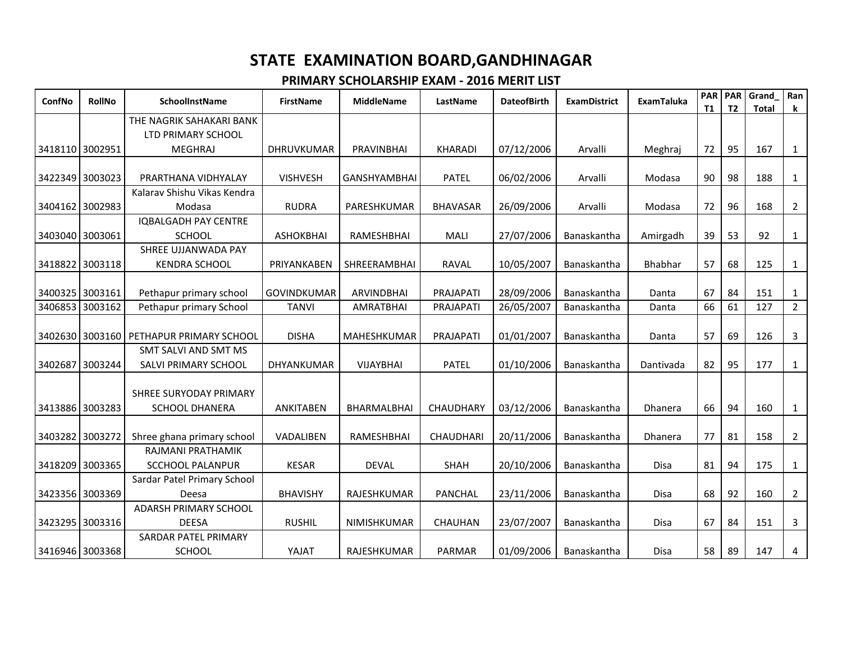| ConfNo          | <b>RollNo</b> | SchoolInstName                          | <b>FirstName</b>   | <b>MiddleName</b>   | LastName         | <b>DateofBirth</b> | <b>ExamDistrict</b> | <b>ExamTaluka</b> | PAR<br><b>T1</b> | <b>PAR</b><br>T <sub>2</sub> | Grand<br><b>Total</b> | Ran<br>k       |
|-----------------|---------------|-----------------------------------------|--------------------|---------------------|------------------|--------------------|---------------------|-------------------|------------------|------------------------------|-----------------------|----------------|
|                 |               | THE NAGRIK SAHAKARI BANK                |                    |                     |                  |                    |                     |                   |                  |                              |                       |                |
|                 |               | LTD PRIMARY SCHOOL                      |                    |                     |                  |                    |                     |                   |                  |                              |                       |                |
| 3418110 3002951 |               | <b>MEGHRAJ</b>                          | <b>DHRUVKUMAR</b>  | PRAVINBHAI          | <b>KHARADI</b>   | 07/12/2006         | Arvalli             | Meghraj           | 72               | 95                           | 167                   | $\mathbf{1}$   |
|                 |               |                                         |                    |                     |                  |                    |                     |                   |                  |                              |                       |                |
| 3422349 3003023 |               | PRARTHANA VIDHYALAY                     | <b>VISHVESH</b>    | <b>GANSHYAMBHAI</b> | <b>PATEL</b>     | 06/02/2006         | Arvalli             | Modasa            | 90               | 98                           | 188                   | $\mathbf{1}$   |
|                 |               | Kalarav Shishu Vikas Kendra             |                    |                     |                  |                    |                     |                   |                  |                              |                       |                |
| 3404162 3002983 |               | Modasa                                  | <b>RUDRA</b>       | PARESHKUMAR         | <b>BHAVASAR</b>  | 26/09/2006         | Arvalli             | Modasa            | 72               | 96                           | 168                   | $\overline{2}$ |
|                 |               | <b>IQBALGADH PAY CENTRE</b>             |                    |                     |                  |                    |                     |                   |                  |                              |                       |                |
| 3403040 3003061 |               | <b>SCHOOL</b>                           | <b>ASHOKBHAI</b>   | RAMESHBHAI          | MALI             | 27/07/2006         | Banaskantha         | Amirgadh          | 39               | 53                           | 92                    | 1              |
|                 |               | SHREE UJJANWADA PAY                     |                    |                     |                  |                    |                     |                   |                  |                              |                       |                |
| 3418822 3003118 |               | <b>KENDRA SCHOOL</b>                    | PRIYANKABEN        | <b>SHREERAMBHAI</b> | RAVAL            | 10/05/2007         | Banaskantha         | Bhabhar           | 57               | 68                           | 125                   | $\mathbf{1}$   |
|                 |               |                                         |                    |                     |                  |                    |                     |                   |                  |                              |                       |                |
| 3400325 3003161 |               | Pethapur primary school                 | <b>GOVINDKUMAR</b> | <b>ARVINDBHAI</b>   | PRAJAPATI        | 28/09/2006         | Banaskantha         | Danta             | 67               | 84                           | 151                   | $\mathbf{1}$   |
| 3406853 3003162 |               | Pethapur primary School                 | <b>TANVI</b>       | <b>AMRATBHAI</b>    | PRAJAPATI        | 26/05/2007         | Banaskantha         | Danta             | 66               | 61                           | 127                   | $\overline{2}$ |
|                 |               |                                         |                    |                     |                  |                    |                     |                   |                  |                              |                       |                |
|                 |               | 3402630 3003160 PETHAPUR PRIMARY SCHOOL | <b>DISHA</b>       | MAHESHKUMAR         | PRAJAPATI        | 01/01/2007         | Banaskantha         | Danta             | 57               | 69                           | 126                   | $\mathbf{3}$   |
|                 |               | SMT SALVI AND SMT MS                    |                    |                     |                  |                    |                     |                   |                  |                              |                       |                |
| 3402687 3003244 |               | SALVI PRIMARY SCHOOL                    | DHYANKUMAR         | <b>VIJAYBHAI</b>    | <b>PATEL</b>     | 01/10/2006         | Banaskantha         | Dantivada         | 82               | 95                           | 177                   | $\mathbf{1}$   |
|                 |               |                                         |                    |                     |                  |                    |                     |                   |                  |                              |                       |                |
|                 |               | SHREE SURYODAY PRIMARY                  |                    |                     |                  |                    |                     |                   |                  |                              |                       |                |
| 3413886 3003283 |               | <b>SCHOOL DHANERA</b>                   | ANKITABEN          | BHARMALBHAI         | CHAUDHARY        | 03/12/2006         | Banaskantha         | Dhanera           | 66               | 94                           | 160                   | $\mathbf{1}$   |
|                 |               |                                         |                    |                     |                  |                    |                     |                   |                  |                              |                       |                |
| 3403282 3003272 |               | Shree ghana primary school              | VADALIBEN          | RAMESHBHAI          | <b>CHAUDHARI</b> | 20/11/2006         | Banaskantha         | Dhanera           | 77               | 81                           | 158                   | $\overline{2}$ |
|                 |               | RAJMANI PRATHAMIK                       |                    |                     |                  |                    |                     |                   |                  |                              |                       |                |
| 3418209 3003365 |               | <b>SCCHOOL PALANPUR</b>                 | <b>KESAR</b>       | <b>DEVAL</b>        | <b>SHAH</b>      | 20/10/2006         | Banaskantha         | <b>Disa</b>       | 81               | 94                           | 175                   | $\mathbf{1}$   |
|                 |               | Sardar Patel Primary School             |                    |                     |                  |                    |                     |                   |                  |                              |                       |                |
| 3423356 3003369 |               | Deesa                                   | <b>BHAVISHY</b>    | RAJESHKUMAR         | PANCHAL          | 23/11/2006         | Banaskantha         | Disa              | 68               | 92                           | 160                   | $\overline{2}$ |
|                 |               | <b>ADARSH PRIMARY SCHOOL</b>            |                    |                     |                  |                    |                     |                   |                  |                              |                       |                |
| 3423295 3003316 |               | <b>DEESA</b>                            | <b>RUSHIL</b>      | NIMISHKUMAR         | <b>CHAUHAN</b>   | 23/07/2007         | Banaskantha         | <b>Disa</b>       | 67               | 84                           | 151                   | $\mathbf{3}$   |
|                 |               | SARDAR PATEL PRIMARY                    |                    |                     |                  |                    |                     |                   |                  |                              |                       |                |
| 3416946 3003368 |               | <b>SCHOOL</b>                           | YAJAT              | RAJESHKUMAR         | PARMAR           | 01/09/2006         | Banaskantha         | Disa              | 58               | 89                           | 147                   | 4              |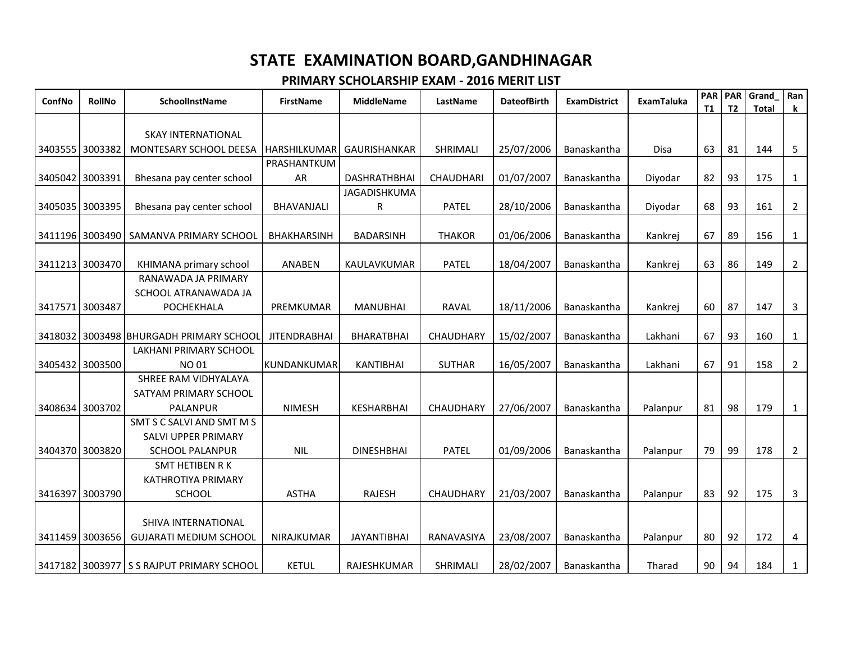| ConfNo          | <b>RollNo</b> | SchoolInstName                                | <b>FirstName</b>    | <b>MiddleName</b>   | LastName      | <b>DateofBirth</b> | <b>ExamDistrict</b> | <b>ExamTaluka</b> | <b>PAR</b><br><b>T1</b> | <b>PAR</b><br>T <sub>2</sub> | Grand<br><b>Total</b> | Ran<br>k       |
|-----------------|---------------|-----------------------------------------------|---------------------|---------------------|---------------|--------------------|---------------------|-------------------|-------------------------|------------------------------|-----------------------|----------------|
|                 |               |                                               |                     |                     |               |                    |                     |                   |                         |                              |                       |                |
|                 |               | <b>SKAY INTERNATIONAL</b>                     |                     |                     |               |                    |                     |                   |                         |                              |                       |                |
| 3403555 3003382 |               | MONTESARY SCHOOL DEESA                        | HARSHILKUMAR        | GAURISHANKAR        | SHRIMALI      | 25/07/2006         | Banaskantha         | Disa              | 63                      | 81                           | 144                   | 5              |
|                 |               |                                               | PRASHANTKUM         |                     |               |                    |                     |                   |                         |                              |                       |                |
| 3405042         | 3003391       | Bhesana pay center school                     | AR                  | <b>DASHRATHBHAI</b> | CHAUDHARI     | 01/07/2007         | Banaskantha         | Diyodar           | 82                      | 93                           | 175                   | $\mathbf{1}$   |
|                 |               |                                               |                     | JAGADISHKUMA        |               |                    |                     |                   |                         |                              |                       |                |
| 3405035 3003395 |               | Bhesana pay center school                     | BHAVANJALI          | ${\sf R}$           | <b>PATEL</b>  | 28/10/2006         | Banaskantha         | Diyodar           | 68                      | 93                           | 161                   | $\overline{2}$ |
| 3411196 3003490 |               | SAMANVA PRIMARY SCHOOL                        | <b>BHAKHARSINH</b>  | <b>BADARSINH</b>    | <b>THAKOR</b> | 01/06/2006         | Banaskantha         | Kankrej           | 67                      | 89                           | 156                   | $\mathbf{1}$   |
|                 |               |                                               |                     |                     |               |                    |                     |                   |                         |                              |                       |                |
| 3411213 3003470 |               | KHIMANA primary school                        | <b>ANABEN</b>       | KAULAVKUMAR         | <b>PATEL</b>  | 18/04/2007         | Banaskantha         | Kankrej           | 63                      | 86                           | 149                   | $\overline{2}$ |
|                 |               | RANAWADA JA PRIMARY                           |                     |                     |               |                    |                     |                   |                         |                              |                       |                |
|                 |               | SCHOOL ATRANAWADA JA                          |                     |                     |               |                    |                     |                   |                         |                              |                       |                |
| 3417571 3003487 |               | POCHEKHALA                                    | PREMKUMAR           | <b>MANUBHAI</b>     | <b>RAVAL</b>  | 18/11/2006         | Banaskantha         | Kankrej           | 60                      | 87                           | 147                   | $\mathbf{3}$   |
|                 |               |                                               |                     |                     |               |                    |                     |                   |                         |                              |                       |                |
| 3418032         |               | 3003498 BHURGADH PRIMARY SCHOOL               | <b>JITENDRABHAI</b> | <b>BHARATBHAI</b>   | CHAUDHARY     | 15/02/2007         | Banaskantha         | Lakhani           | 67                      | 93                           | 160                   | $\mathbf{1}$   |
|                 |               | <b>LAKHANI PRIMARY SCHOOL</b>                 |                     |                     |               |                    |                     |                   |                         |                              |                       |                |
| 3405432         | 3003500       | <b>NO01</b>                                   | KUNDANKUMAR         | <b>KANTIBHAI</b>    | <b>SUTHAR</b> | 16/05/2007         | Banaskantha         | Lakhani           | 67                      | 91                           | 158                   | $\overline{2}$ |
|                 |               | SHREE RAM VIDHYALAYA                          |                     |                     |               |                    |                     |                   |                         |                              |                       |                |
|                 |               | SATYAM PRIMARY SCHOOL                         |                     |                     |               |                    |                     |                   |                         |                              |                       |                |
| 3408634 3003702 |               | <b>PALANPUR</b>                               | <b>NIMESH</b>       | <b>KESHARBHAI</b>   | CHAUDHARY     | 27/06/2007         | Banaskantha         | Palanpur          | 81                      | 98                           | 179                   | $\mathbf{1}$   |
|                 |               | SMT S C SALVI AND SMT M S                     |                     |                     |               |                    |                     |                   |                         |                              |                       |                |
|                 |               | SALVI UPPER PRIMARY                           |                     |                     |               |                    |                     |                   |                         |                              |                       |                |
| 3404370         | 3003820       | <b>SCHOOL PALANPUR</b>                        | <b>NIL</b>          | <b>DINESHBHAI</b>   | <b>PATEL</b>  | 01/09/2006         | Banaskantha         | Palanpur          | 79                      | 99                           | 178                   | $\overline{2}$ |
|                 |               | <b>SMT HETIBEN RK</b>                         |                     |                     |               |                    |                     |                   |                         |                              |                       |                |
|                 |               | <b>KATHROTIYA PRIMARY</b>                     |                     |                     |               |                    |                     |                   |                         |                              |                       |                |
| 3416397 3003790 |               | SCHOOL                                        | <b>ASTHA</b>        | <b>RAJESH</b>       | CHAUDHARY     | 21/03/2007         | Banaskantha         | Palanpur          | 83                      | 92                           | 175                   | 3              |
|                 |               | SHIVA INTERNATIONAL                           |                     |                     |               |                    |                     |                   |                         |                              |                       |                |
| 3411459         | 3003656       | <b>GUJARATI MEDIUM SCHOOL</b>                 | <b>NIRAJKUMAR</b>   | <b>JAYANTIBHAI</b>  | RANAVASIYA    | 23/08/2007         | Banaskantha         | Palanpur          | 80                      | 92                           | 172                   | 4              |
|                 |               |                                               |                     |                     |               |                    |                     |                   |                         |                              |                       |                |
|                 |               | 3417182   3003977   S S RAJPUT PRIMARY SCHOOL | <b>KETUL</b>        | RAJESHKUMAR         | SHRIMALI      | 28/02/2007         | Banaskantha         | Tharad            | 90                      | 94                           | 184                   | $\mathbf{1}$   |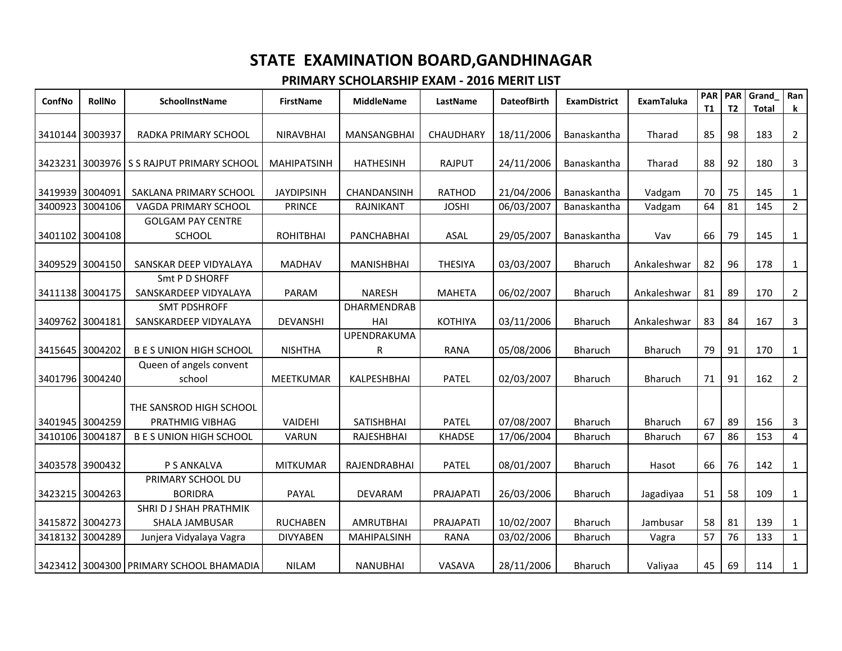| ConfNo          | <b>RollNo</b>   | SchoolInstName                                    | <b>FirstName</b>   | <b>MiddleName</b>         | LastName       | <b>DateofBirth</b> | <b>ExamDistrict</b> | <b>ExamTaluka</b> | <b>PAR</b><br><b>T1</b> | PAR<br>T <sub>2</sub> | Grand<br><b>Total</b> | Ran<br>k.      |
|-----------------|-----------------|---------------------------------------------------|--------------------|---------------------------|----------------|--------------------|---------------------|-------------------|-------------------------|-----------------------|-----------------------|----------------|
| 3410144 3003937 |                 | RADKA PRIMARY SCHOOL                              | <b>NIRAVBHAI</b>   | MANSANGBHAI               | CHAUDHARY      | 18/11/2006         | Banaskantha         | Tharad            | 85                      | 98                    | 183                   | $\overline{2}$ |
|                 |                 | 3423231 3003976 S S RAJPUT PRIMARY SCHOOL         | <b>MAHIPATSINH</b> | <b>HATHESINH</b>          | <b>RAJPUT</b>  | 24/11/2006         | Banaskantha         | Tharad            | 88                      | 92                    | 180                   | 3              |
| 3419939 3004091 |                 | SAKLANA PRIMARY SCHOOL                            | <b>JAYDIPSINH</b>  | CHANDANSINH               | <b>RATHOD</b>  | 21/04/2006         | Banaskantha         | Vadgam            | 70                      | 75                    | 145                   | 1              |
| 3400923         | 3004106         | VAGDA PRIMARY SCHOOL                              | <b>PRINCE</b>      | RAJNIKANT                 | <b>JOSHI</b>   | 06/03/2007         | Banaskantha         | Vadgam            | 64                      | 81                    | 145                   | $2^{\circ}$    |
|                 | 3401102 3004108 | <b>GOLGAM PAY CENTRE</b><br><b>SCHOOL</b>         | <b>ROHITBHAI</b>   | <b>PANCHABHAI</b>         | ASAL           | 29/05/2007         | Banaskantha         | Vav               | 66                      | 79                    | 145                   | 1              |
|                 | 3409529 3004150 | SANSKAR DEEP VIDYALAYA                            | <b>MADHAV</b>      | <b>MANISHBHAI</b>         | <b>THESIYA</b> | 03/03/2007         | Bharuch             | Ankaleshwar       | 82                      | 96                    | 178                   | $\mathbf{1}$   |
|                 | 3411138 3004175 | Smt P D SHORFF<br>SANSKARDEEP VIDYALAYA           | PARAM              | <b>NARESH</b>             | <b>MAHETA</b>  | 06/02/2007         | <b>Bharuch</b>      | Ankaleshwar       | 81                      | 89                    | 170                   | $\overline{2}$ |
| 3409762 3004181 |                 | <b>SMT PDSHROFF</b><br>SANSKARDEEP VIDYALAYA      | <b>DEVANSHI</b>    | <b>DHARMENDRAB</b><br>HAI | <b>KOTHIYA</b> | 03/11/2006         | <b>Bharuch</b>      | Ankaleshwar       | 83                      | 84                    | 167                   | 3              |
|                 | 3415645 3004202 | <b>B E S UNION HIGH SCHOOL</b>                    | <b>NISHTHA</b>     | UPENDRAKUMA<br>R          | <b>RANA</b>    | 05/08/2006         | Bharuch             | <b>Bharuch</b>    | 79                      | 91                    | 170                   | 1              |
|                 | 3401796 3004240 | Queen of angels convent<br>school                 | <b>MEETKUMAR</b>   | KALPESHBHAI               | <b>PATEL</b>   | 02/03/2007         | Bharuch             | <b>Bharuch</b>    | 71                      | 91                    | 162                   | $\overline{2}$ |
|                 | 3401945 3004259 | THE SANSROD HIGH SCHOOL<br><b>PRATHMIG VIBHAG</b> | VAIDEHI            | <b>SATISHBHAI</b>         | <b>PATEL</b>   | 07/08/2007         | Bharuch             | <b>Bharuch</b>    | 67                      | 89                    | 156                   | 3              |
|                 | 3410106 3004187 | <b>B E S UNION HIGH SCHOOL</b>                    | VARUN              | <b>RAJESHBHAI</b>         | <b>KHADSE</b>  | 17/06/2004         | <b>Bharuch</b>      | Bharuch           | 67                      | 86                    | 153                   | $\overline{4}$ |
|                 | 3403578 3900432 | P S ANKALVA                                       | <b>MITKUMAR</b>    | RAJENDRABHAI              | <b>PATEL</b>   | 08/01/2007         | <b>Bharuch</b>      | Hasot             | 66                      | 76                    | 142                   | $\mathbf{1}$   |
|                 | 3423215 3004263 | PRIMARY SCHOOL DU<br><b>BORIDRA</b>               | PAYAL              | <b>DEVARAM</b>            | PRAJAPATI      | 26/03/2006         | <b>Bharuch</b>      | Jagadiyaa         | 51                      | 58                    | 109                   | 1              |
|                 | 3415872 3004273 | SHRI D J SHAH PRATHMIK<br><b>SHALA JAMBUSAR</b>   | <b>RUCHABEN</b>    | <b>AMRUTBHAI</b>          | PRAJAPATI      | 10/02/2007         | Bharuch             | Jambusar          | 58                      | 81                    | 139                   | $\mathbf{1}$   |
|                 | 3418132 3004289 | Junjera Vidyalaya Vagra                           | <b>DIVYABEN</b>    | <b>MAHIPALSINH</b>        | <b>RANA</b>    | 03/02/2006         | <b>Bharuch</b>      | Vagra             | 57                      | 76                    | 133                   | $\mathbf{1}$   |
|                 |                 | 3423412 3004300 PRIMARY SCHOOL BHAMADIA           | <b>NILAM</b>       | <b>NANUBHAI</b>           | VASAVA         | 28/11/2006         | <b>Bharuch</b>      | Valiyaa           | 45                      | 69                    | 114                   | $\mathbf{1}$   |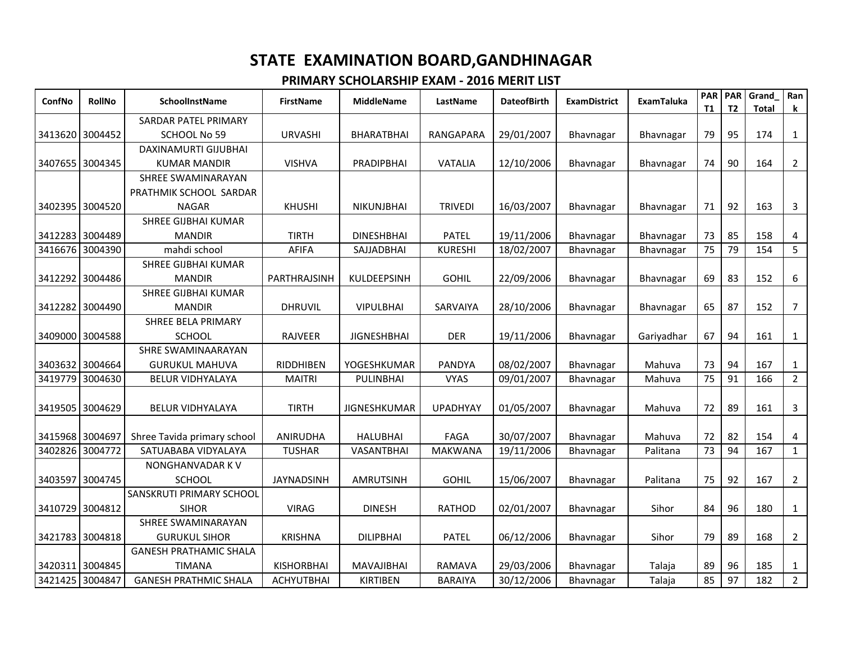| ConfNo          | <b>RollNo</b>   | <b>SchoolInstName</b>         | <b>FirstName</b>  | <b>MiddleName</b>   | LastName        | <b>DateofBirth</b> | <b>ExamDistrict</b> | <b>ExamTaluka</b> | <b>PAR</b><br><b>T1</b> | <b>PAR</b><br>T <sub>2</sub> | Grand<br><b>Total</b> | Ran<br>k.      |
|-----------------|-----------------|-------------------------------|-------------------|---------------------|-----------------|--------------------|---------------------|-------------------|-------------------------|------------------------------|-----------------------|----------------|
|                 |                 | SARDAR PATEL PRIMARY          |                   |                     |                 |                    |                     |                   |                         |                              |                       |                |
| 3413620 3004452 |                 | SCHOOL No 59                  | <b>URVASHI</b>    | BHARATBHAI          | RANGAPARA       | 29/01/2007         | Bhavnagar           | Bhavnagar         | 79                      | 95                           | 174                   | $\mathbf{1}$   |
|                 |                 | DAXINAMURTI GIJUBHAI          |                   |                     |                 |                    |                     |                   |                         |                              |                       |                |
| 3407655 3004345 |                 | <b>KUMAR MANDIR</b>           | <b>VISHVA</b>     | PRADIPBHAI          | <b>VATALIA</b>  | 12/10/2006         | Bhavnagar           | Bhavnagar         | 74                      | 90                           | 164                   | $\overline{2}$ |
|                 |                 | SHREE SWAMINARAYAN            |                   |                     |                 |                    |                     |                   |                         |                              |                       |                |
|                 |                 | PRATHMIK SCHOOL SARDAR        |                   |                     |                 |                    |                     |                   |                         |                              |                       |                |
| 3402395 3004520 |                 | <b>NAGAR</b>                  | <b>KHUSHI</b>     | NIKUNJBHAI          | <b>TRIVEDI</b>  | 16/03/2007         | Bhavnagar           | Bhavnagar         | 71                      | 92                           | 163                   | 3              |
|                 |                 | <b>SHREE GIJBHAI KUMAR</b>    |                   |                     |                 |                    |                     |                   |                         |                              |                       |                |
|                 | 3412283 3004489 | <b>MANDIR</b>                 | <b>TIRTH</b>      | <b>DINESHBHAI</b>   | <b>PATEL</b>    | 19/11/2006         | Bhavnagar           | Bhavnagar         | 73                      | 85                           | 158                   | 4              |
| 3416676         | 3004390         | mahdi school                  | <b>AFIFA</b>      | SAJJADBHAI          | <b>KURESHI</b>  | 18/02/2007         | Bhavnagar           | Bhavnagar         | 75                      | 79                           | 154                   | 5 <sup>1</sup> |
|                 |                 | <b>SHREE GIJBHAI KUMAR</b>    |                   |                     |                 |                    |                     |                   |                         |                              |                       |                |
| 3412292         | 3004486         | <b>MANDIR</b>                 | PARTHRAJSINH      | KULDEEPSINH         | <b>GOHIL</b>    | 22/09/2006         | Bhavnagar           | Bhavnagar         | 69                      | 83                           | 152                   | 6              |
|                 |                 | <b>SHREE GIJBHAI KUMAR</b>    |                   |                     |                 |                    |                     |                   |                         |                              |                       |                |
| 3412282 3004490 |                 | <b>MANDIR</b>                 | <b>DHRUVIL</b>    | <b>VIPULBHAI</b>    | SARVAIYA        | 28/10/2006         | Bhavnagar           | Bhavnagar         | 65                      | 87                           | 152                   | 7              |
|                 |                 | <b>SHREE BELA PRIMARY</b>     |                   |                     |                 |                    |                     |                   |                         |                              |                       |                |
|                 | 3409000 3004588 | <b>SCHOOL</b>                 | RAJVEER           | <b>JIGNESHBHAI</b>  | <b>DER</b>      | 19/11/2006         | Bhavnagar           | Gariyadhar        | 67                      | 94                           | 161                   | $\mathbf{1}$   |
|                 |                 | SHRE SWAMINAARAYAN            |                   |                     |                 |                    |                     |                   |                         |                              |                       |                |
| 3403632 3004664 |                 | <b>GURUKUL MAHUVA</b>         | RIDDHIBEN         | YOGESHKUMAR         | PANDYA          | 08/02/2007         | Bhavnagar           | Mahuva            | 73                      | 94                           | 167                   | $\mathbf{1}$   |
| 3419779         | 3004630         | <b>BELUR VIDHYALAYA</b>       | <b>MAITRI</b>     | <b>PULINBHAI</b>    | <b>VYAS</b>     | 09/01/2007         | Bhavnagar           | Mahuva            | 75                      | 91                           | 166                   | $2^{\circ}$    |
|                 |                 |                               |                   |                     |                 |                    |                     |                   |                         |                              |                       |                |
| 3419505         | 3004629         | <b>BELUR VIDHYALAYA</b>       | <b>TIRTH</b>      | <b>JIGNESHKUMAR</b> | <b>UPADHYAY</b> | 01/05/2007         | Bhavnagar           | Mahuva            | 72                      | 89                           | 161                   | 3              |
|                 |                 |                               |                   |                     |                 |                    |                     |                   |                         |                              |                       |                |
| 3415968         | 3004697         | Shree Tavida primary school   | <b>ANIRUDHA</b>   | <b>HALUBHAI</b>     | FAGA            | 30/07/2007         | Bhavnagar           | Mahuva            | 72                      | 82                           | 154                   | 4              |
| 3402826         | 3004772         | SATUABABA VIDYALAYA           | <b>TUSHAR</b>     | VASANTBHAI          | <b>MAKWANA</b>  | 19/11/2006         | Bhavnagar           | Palitana          | 73                      | 94                           | 167                   | 1              |
|                 |                 | NONGHANVADAR K V              |                   |                     |                 |                    |                     |                   |                         |                              |                       |                |
| 3403597 3004745 |                 | <b>SCHOOL</b>                 | <b>JAYNADSINH</b> | <b>AMRUTSINH</b>    | <b>GOHIL</b>    | 15/06/2007         | Bhavnagar           | Palitana          | 75                      | 92                           | 167                   | $\overline{2}$ |
|                 |                 | SANSKRUTI PRIMARY SCHOOL      |                   |                     |                 |                    |                     |                   |                         |                              |                       |                |
| 3410729         | 3004812         | <b>SIHOR</b>                  | <b>VIRAG</b>      | <b>DINESH</b>       | <b>RATHOD</b>   | 02/01/2007         | Bhavnagar           | Sihor             | 84                      | 96                           | 180                   | $\mathbf{1}$   |
|                 |                 | SHREE SWAMINARAYAN            |                   |                     |                 |                    |                     |                   |                         |                              |                       |                |
| 3421783 3004818 |                 | <b>GURUKUL SIHOR</b>          | <b>KRISHNA</b>    | <b>DILIPBHAI</b>    | <b>PATEL</b>    | 06/12/2006         | Bhavnagar           | Sihor             | 79                      | 89                           | 168                   | $\overline{2}$ |
|                 |                 | <b>GANESH PRATHAMIC SHALA</b> |                   |                     |                 |                    |                     |                   |                         |                              |                       |                |
|                 | 342031113004845 | <b>TIMANA</b>                 | <b>KISHORBHAI</b> | <b>MAVAJIBHAI</b>   | <b>RAMAVA</b>   | 29/03/2006         | Bhavnagar           | Talaja            | 89                      | 96                           | 185                   | 1              |
| 3421425 3004847 |                 | <b>GANESH PRATHMIC SHALA</b>  | <b>ACHYUTBHAI</b> | <b>KIRTIBEN</b>     | <b>BARAIYA</b>  | 30/12/2006         | Bhavnagar           | Talaja            | 85                      | 97                           | 182                   | $2^{\circ}$    |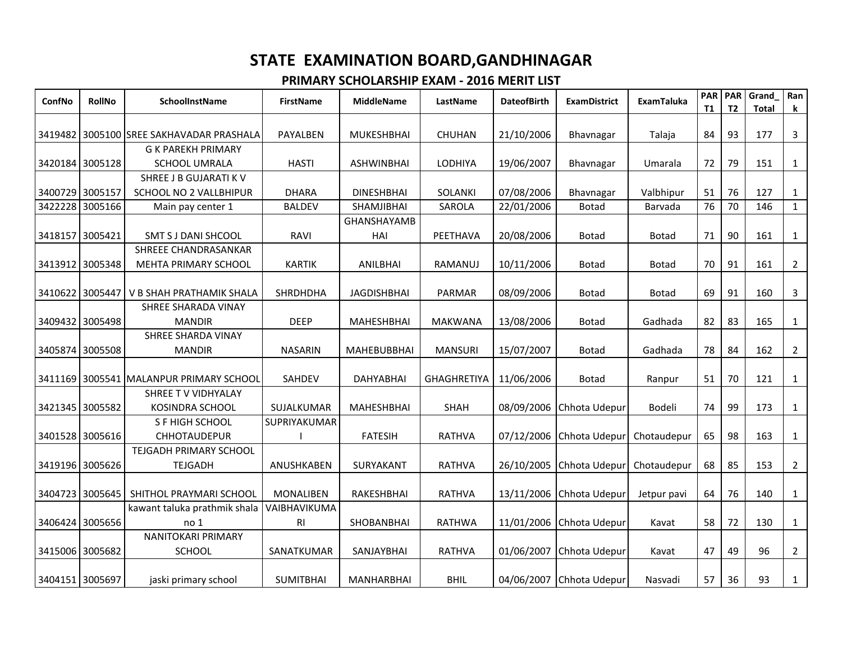| ConfNo  | <b>RollNo</b>   | <b>SchoolInstName</b>                       | <b>FirstName</b> | <b>MiddleName</b>  | LastName           | <b>DateofBirth</b> | <b>ExamDistrict</b>      | <b>ExamTaluka</b> | <b>PAR</b><br><b>T1</b> | <b>PAR</b><br>T <sub>2</sub> | Grand<br><b>Total</b> | Ran<br>k       |
|---------|-----------------|---------------------------------------------|------------------|--------------------|--------------------|--------------------|--------------------------|-------------------|-------------------------|------------------------------|-----------------------|----------------|
|         |                 |                                             |                  |                    |                    |                    |                          |                   |                         |                              |                       |                |
|         |                 | 3419482   3005100 ISREE SAKHAVADAR PRASHALA | PAYALBEN         | MUKESHBHAI         | CHUHAN             | 21/10/2006         | Bhavnagar                | Talaja            | 84                      | 93                           | 177                   | 3              |
|         |                 | <b>G K PAREKH PRIMARY</b>                   |                  |                    |                    |                    |                          |                   |                         |                              |                       |                |
|         | 3420184 3005128 | <b>SCHOOL UMRALA</b>                        | <b>HASTI</b>     | <b>ASHWINBHAI</b>  | LODHIYA            | 19/06/2007         | Bhavnagar                | Umarala           | 72                      | 79                           | 151                   | $\mathbf{1}$   |
|         |                 | SHREE J B GUJARATI K V                      |                  |                    |                    |                    |                          |                   |                         |                              |                       |                |
|         | 3400729 3005157 | SCHOOL NO 2 VALLBHIPUR                      | <b>DHARA</b>     | <b>DINESHBHAI</b>  | SOLANKI            | 07/08/2006         | Bhavnagar                | Valbhipur         | 51                      | 76                           | 127                   | 1              |
| 3422228 | 3005166         | Main pay center 1                           | <b>BALDEV</b>    | SHAMJIBHAI         | <b>SAROLA</b>      | 22/01/2006         | <b>Botad</b>             | Barvada           | 76                      | 70                           | 146                   | $\mathbf{1}$   |
|         |                 |                                             |                  | GHANSHAYAMB        |                    |                    |                          |                   |                         |                              |                       |                |
|         | 3418157 3005421 | <b>SMT S J DANI SHCOOL</b>                  | RAVI             | HAI                | PEETHAVA           | 20/08/2006         | <b>Botad</b>             | Botad             | 71                      | 90                           | 161                   | $\mathbf{1}$   |
|         |                 | SHREEE CHANDRASANKAR                        |                  |                    |                    |                    |                          |                   |                         |                              |                       |                |
|         | 3413912 3005348 | MEHTA PRIMARY SCHOOL                        | <b>KARTIK</b>    | ANILBHAI           | RAMANUJ            | 10/11/2006         | <b>Botad</b>             | <b>Botad</b>      | 70                      | 91                           | 161                   | $\overline{2}$ |
|         |                 |                                             |                  |                    |                    |                    |                          |                   |                         |                              |                       |                |
| 3410622 | 3005447         | V B SHAH PRATHAMIK SHALA                    | <b>SHRDHDHA</b>  | <b>JAGDISHBHAI</b> | PARMAR             | 08/09/2006         | <b>Botad</b>             | <b>Botad</b>      | 69                      | 91                           | 160                   | 3              |
|         |                 | SHREE SHARADA VINAY                         |                  |                    |                    |                    |                          |                   |                         |                              |                       |                |
|         | 3409432 3005498 | <b>MANDIR</b>                               | <b>DEEP</b>      | <b>MAHESHBHAI</b>  | <b>MAKWANA</b>     | 13/08/2006         | <b>Botad</b>             | Gadhada           | 82                      | 83                           | 165                   | $\mathbf{1}$   |
|         |                 | SHREE SHARDA VINAY                          |                  |                    |                    |                    |                          |                   |                         |                              |                       |                |
|         | 3405874 3005508 | <b>MANDIR</b>                               | <b>NASARIN</b>   | <b>MAHEBUBBHAI</b> | <b>MANSURI</b>     | 15/07/2007         | Botad                    | Gadhada           | 78                      | 84                           | 162                   | $\overline{2}$ |
|         |                 |                                             |                  |                    |                    |                    |                          |                   |                         |                              |                       |                |
|         |                 | 3411169 3005541 MALANPUR PRIMARY SCHOOL     | SAHDEV           | <b>DAHYABHAI</b>   | <b>GHAGHRETIYA</b> | 11/06/2006         | Botad                    | Ranpur            | 51                      | 70                           | 121                   | $\mathbf{1}$   |
|         |                 | SHREE TV VIDHYALAY                          |                  |                    |                    |                    |                          |                   |                         |                              |                       |                |
|         | 3421345 3005582 | <b>KOSINDRA SCHOOL</b>                      | SUJALKUMAR       | MAHESHBHAI         | <b>SHAH</b>        | 08/09/2006         | Chhota Udepur            | Bodeli            | 74                      | 99                           | 173                   | $\mathbf{1}$   |
|         |                 | S F HIGH SCHOOL                             | SUPRIYAKUMAR     |                    |                    |                    |                          |                   |                         |                              |                       |                |
|         | 3401528 3005616 | <b>CHHOTAUDEPUR</b>                         |                  | <b>FATESIH</b>     | <b>RATHVA</b>      | 07/12/2006         | Chhota Udepur            | Chotaudepur       | 65                      | 98                           | 163                   | 1              |
|         |                 | TEJGADH PRIMARY SCHOOL                      |                  |                    |                    |                    |                          |                   |                         |                              |                       |                |
|         | 3419196 3005626 | <b>TEJGADH</b>                              | ANUSHKABEN       | SURYAKANT          | RATHVA             | 26/10/2005         | Chhota Udepur            | Chotaudepur       | 68                      | 85                           | 153                   | $\overline{2}$ |
|         |                 |                                             |                  |                    |                    |                    |                          |                   |                         |                              |                       |                |
|         | 3404723 3005645 | SHITHOL PRAYMARI SCHOOL                     | <b>MONALIBEN</b> | RAKESHBHAI         | <b>RATHVA</b>      | 13/11/2006         | Chhota Udepur            | Jetpur pavi       | 64                      | 76                           | 140                   | $\mathbf{1}$   |
|         |                 | kawant taluka prathmik shala                | VAIBHAVIKUMA     |                    |                    |                    |                          |                   |                         |                              |                       |                |
|         | 3406424 3005656 | no <sub>1</sub>                             | R <sub>l</sub>   | SHOBANBHAI         | <b>RATHWA</b>      | 11/01/2006         | Chhota Udepur            | Kavat             | 58                      | 72                           | 130                   | $\mathbf{1}$   |
|         |                 | <b>NANITOKARI PRIMARY</b>                   |                  |                    |                    |                    |                          |                   |                         |                              |                       |                |
|         | 3415006 3005682 | <b>SCHOOL</b>                               | SANATKUMAR       | SANJAYBHAI         | <b>RATHVA</b>      | 01/06/2007         | Chhota Udepur            | Kavat             | 47                      | 49                           | 96                    | $\overline{2}$ |
|         |                 |                                             |                  |                    |                    |                    |                          |                   |                         |                              |                       |                |
|         | 3404151 3005697 | jaski primary school                        | <b>SUMITBHAI</b> | MANHARBHAI         | <b>BHIL</b>        |                    | 04/06/2007 Chhota Udepur | Nasvadi           | 57                      | 36                           | 93                    | $\mathbf{1}$   |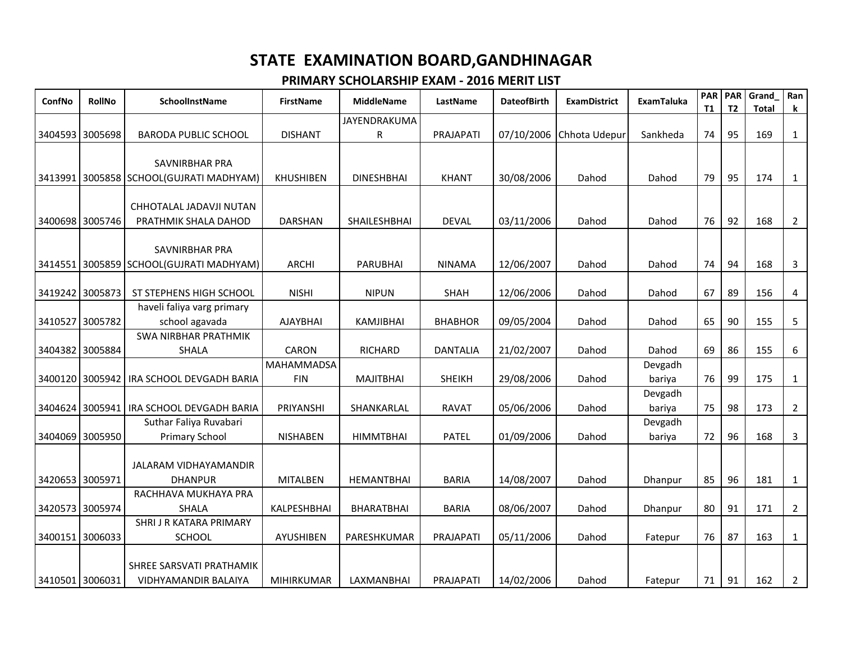| ConfNo          | <b>RollNo</b> | <b>SchoolInstName</b>                    | <b>FirstName</b>  | <b>MiddleName</b> | LastName        | <b>DateofBirth</b> | <b>ExamDistrict</b> | <b>ExamTaluka</b> | <b>PAR</b><br>T1 | <b>PAR</b><br><b>T2</b> | Grand<br><b>Total</b> | Ran<br>k       |
|-----------------|---------------|------------------------------------------|-------------------|-------------------|-----------------|--------------------|---------------------|-------------------|------------------|-------------------------|-----------------------|----------------|
|                 |               |                                          |                   | JAYENDRAKUMA      |                 |                    |                     |                   |                  |                         |                       |                |
| 3404593 3005698 |               | <b>BARODA PUBLIC SCHOOL</b>              | <b>DISHANT</b>    | R                 | PRAJAPATI       | 07/10/2006         | Chhota Udepur       | Sankheda          | 74               | 95                      | 169                   | $\mathbf{1}$   |
|                 |               |                                          |                   |                   |                 |                    |                     |                   |                  |                         |                       |                |
|                 |               | SAVNIRBHAR PRA                           |                   |                   |                 |                    |                     |                   |                  |                         |                       |                |
|                 |               | 3413991 3005858 SCHOOL(GUJRATI MADHYAM)  | <b>KHUSHIBEN</b>  | <b>DINESHBHAI</b> | <b>KHANT</b>    | 30/08/2006         | Dahod               | Dahod             | 79               | 95                      | 174                   | $\mathbf{1}$   |
|                 |               | CHHOTALAL JADAVJI NUTAN                  |                   |                   |                 |                    |                     |                   |                  |                         |                       |                |
| 3400698         | 3005746       | PRATHMIK SHALA DAHOD                     | <b>DARSHAN</b>    | SHAILESHBHAI      | <b>DEVAL</b>    | 03/11/2006         | Dahod               | Dahod             | 76               | 92                      | 168                   | $\overline{2}$ |
|                 |               |                                          |                   |                   |                 |                    |                     |                   |                  |                         |                       |                |
|                 |               | SAVNIRBHAR PRA                           |                   |                   |                 |                    |                     |                   |                  |                         |                       |                |
|                 |               | 3414551 3005859 SCHOOL (GUJRATI MADHYAM) | <b>ARCHI</b>      | <b>PARUBHAI</b>   | <b>NINAMA</b>   | 12/06/2007         | Dahod               | Dahod             | 74               | 94                      | 168                   | $\mathbf{3}$   |
|                 |               |                                          |                   |                   |                 |                    |                     |                   |                  |                         |                       |                |
| 3419242 3005873 |               | ST STEPHENS HIGH SCHOOL                  | <b>NISHI</b>      | <b>NIPUN</b>      | <b>SHAH</b>     | 12/06/2006         | Dahod               | Dahod             | 67               | 89                      | 156                   | 4              |
|                 |               | haveli faliya varg primary               |                   |                   |                 |                    |                     |                   |                  |                         |                       |                |
| 3410527         | 3005782       | school agavada                           | <b>AJAYBHAI</b>   | KAMJIBHAI         | <b>BHABHOR</b>  | 09/05/2004         | Dahod               | Dahod             | 65               | 90                      | 155                   | 5              |
|                 |               | <b>SWA NIRBHAR PRATHMIK</b>              |                   |                   |                 |                    |                     |                   |                  |                         |                       |                |
| 3404382 3005884 |               | SHALA                                    | <b>CARON</b>      | <b>RICHARD</b>    | <b>DANTALIA</b> | 21/02/2007         | Dahod               | Dahod             | 69               | 86                      | 155                   | 6              |
|                 |               |                                          | <b>MAHAMMADSA</b> |                   |                 |                    |                     | Devgadh           |                  |                         |                       |                |
| 3400120         |               | 3005942   IRA SCHOOL DEVGADH BARIA       | <b>FIN</b>        | <b>MAJITBHAI</b>  | <b>SHEIKH</b>   | 29/08/2006         | Dahod               | bariya            | 76               | 99                      | 175                   | $\mathbf{1}$   |
|                 |               |                                          |                   |                   |                 |                    |                     | Devgadh           |                  |                         |                       |                |
| 3404624         |               | 3005941   IRA SCHOOL DEVGADH BARIA       | PRIYANSHI         | SHANKARLAL        | <b>RAVAT</b>    | 05/06/2006         | Dahod               | bariya            | 75               | 98                      | 173                   | $\overline{2}$ |
|                 |               | Suthar Faliya Ruvabari                   |                   |                   |                 |                    |                     | Devgadh           |                  |                         |                       |                |
| 3404069         | 3005950       | Primary School                           | <b>NISHABEN</b>   | <b>HIMMTBHAI</b>  | <b>PATEL</b>    | 01/09/2006         | Dahod               | bariya            | 72               | 96                      | 168                   | $\mathbf{3}$   |
|                 |               |                                          |                   |                   |                 |                    |                     |                   |                  |                         |                       |                |
|                 |               | <b>JALARAM VIDHAYAMANDIR</b>             |                   |                   |                 |                    |                     |                   |                  | 96                      |                       |                |
| 3420653 3005971 |               | <b>DHANPUR</b><br>RACHHAVA MUKHAYA PRA   | <b>MITALBEN</b>   | <b>HEMANTBHAI</b> | <b>BARIA</b>    | 14/08/2007         | Dahod               | Dhanpur           | 85               |                         | 181                   | $\mathbf{1}$   |
| 3420573 3005974 |               | <b>SHALA</b>                             | KALPESHBHAI       | <b>BHARATBHAI</b> | <b>BARIA</b>    | 08/06/2007         | Dahod               | Dhanpur           | 80               | 91                      | 171                   | $\overline{2}$ |
|                 |               | SHRI J R KATARA PRIMARY                  |                   |                   |                 |                    |                     |                   |                  |                         |                       |                |
| 3400151 3006033 |               | SCHOOL                                   | AYUSHIBEN         | PARESHKUMAR       | PRAJAPATI       | 05/11/2006         | Dahod               | Fatepur           | 76               | 87                      | 163                   | $\mathbf{1}$   |
|                 |               |                                          |                   |                   |                 |                    |                     |                   |                  |                         |                       |                |
|                 |               | SHREE SARSVATI PRATHAMIK                 |                   |                   |                 |                    |                     |                   |                  |                         |                       |                |
| 3410501 3006031 |               | VIDHYAMANDIR BALAIYA                     | <b>MIHIRKUMAR</b> | LAXMANBHAI        | PRAJAPATI       | 14/02/2006         | Dahod               | Fatepur           | 71               | 91                      | 162                   | $\overline{2}$ |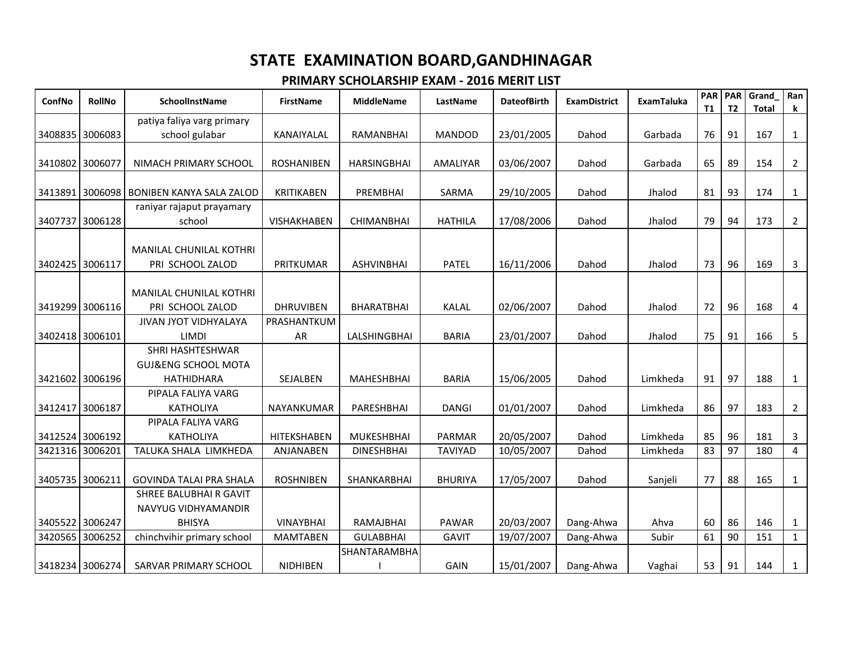| ConfNo          | <b>RollNo</b>   | <b>SchoolInstName</b>                       | <b>FirstName</b>   | <b>MiddleName</b>   | LastName       | <b>DateofBirth</b> | <b>ExamDistrict</b> | <b>ExamTaluka</b> | <b>PAR</b><br><b>T1</b> | <b>PAR</b><br><b>T2</b> | Grand<br><b>Total</b> | Ran<br>k       |
|-----------------|-----------------|---------------------------------------------|--------------------|---------------------|----------------|--------------------|---------------------|-------------------|-------------------------|-------------------------|-----------------------|----------------|
|                 |                 | patiya faliya varg primary                  |                    |                     |                |                    |                     |                   |                         |                         |                       |                |
|                 | 3408835 3006083 | school gulabar                              | KANAIYALAL         | RAMANBHAI           | <b>MANDOD</b>  | 23/01/2005         | Dahod               | Garbada           | 76                      | 91                      | 167                   | $\mathbf{1}$   |
|                 |                 |                                             |                    |                     |                |                    |                     |                   |                         |                         |                       |                |
| 3410802 3006077 |                 | NIMACH PRIMARY SCHOOL                       | <b>ROSHANIBEN</b>  | <b>HARSINGBHAI</b>  | AMALIYAR       | 03/06/2007         | Dahod               | Garbada           | 65                      | 89                      | 154                   | $\overline{2}$ |
| 3413891         |                 | 3006098 BONIBEN KANYA SALA ZALOD            | <b>KRITIKABEN</b>  | PREMBHAI            | SARMA          | 29/10/2005         | Dahod               | Jhalod            | 81                      | 93                      | 174                   | $\mathbf{1}$   |
|                 |                 | raniyar rajaput prayamary                   |                    |                     |                |                    |                     |                   |                         |                         |                       |                |
| 3407737         | 3006128         | school                                      | VISHAKHABEN        | <b>CHIMANBHAI</b>   | <b>HATHILA</b> | 17/08/2006         | Dahod               | Jhalod            | 79                      | 94                      | 173                   | $\overline{2}$ |
|                 |                 | <b>MANILAL CHUNILAL KOTHRI</b>              |                    |                     |                |                    |                     |                   |                         |                         |                       |                |
| 3402425 3006117 |                 | PRI SCHOOL ZALOD                            | PRITKUMAR          | <b>ASHVINBHAI</b>   | <b>PATEL</b>   | 16/11/2006         | Dahod               | Jhalod            | 73                      | 96                      | 169                   | 3              |
|                 |                 | <b>MANILAL CHUNILAL KOTHRI</b>              |                    |                     |                |                    |                     |                   |                         |                         |                       |                |
|                 | 3419299 3006116 | PRI SCHOOL ZALOD                            | <b>DHRUVIBEN</b>   | <b>BHARATBHAI</b>   | <b>KALAL</b>   | 02/06/2007         | Dahod               | Jhalod            | 72                      | 96                      | 168                   | 4              |
|                 |                 | <b>JIVAN JYOT VIDHYALAYA</b>                | PRASHANTKUM        |                     |                |                    |                     |                   |                         |                         |                       |                |
| 3402418 3006101 |                 | <b>LIMDI</b>                                | AR                 | LALSHINGBHAI        | <b>BARIA</b>   | 23/01/2007         | Dahod               | Jhalod            | 75                      | 91                      | 166                   | 5              |
|                 |                 | SHRI HASHTESHWAR<br><b>GUJŊ SCHOOL MOTA</b> |                    |                     |                |                    |                     |                   |                         |                         |                       |                |
| 3421602 3006196 |                 | <b>HATHIDHARA</b>                           | SEJALBEN           | <b>MAHESHBHAI</b>   | <b>BARIA</b>   | 15/06/2005         | Dahod               | Limkheda          | 91                      | 97                      | 188                   | $\mathbf{1}$   |
|                 |                 | PIPALA FALIYA VARG                          |                    |                     |                |                    |                     |                   |                         |                         |                       |                |
| 3412417 3006187 |                 | <b>KATHOLIYA</b>                            | <b>NAYANKUMAR</b>  | PARESHBHAI          | <b>DANGI</b>   | 01/01/2007         | Dahod               | Limkheda          | 86                      | 97                      | 183                   | $\overline{2}$ |
|                 |                 | PIPALA FALIYA VARG                          |                    |                     |                |                    |                     |                   |                         |                         |                       |                |
| 3412524 3006192 |                 | <b>KATHOLIYA</b>                            | <b>HITEKSHABEN</b> | <b>MUKESHBHAI</b>   | <b>PARMAR</b>  | 20/05/2007         | Dahod               | Limkheda          | 85                      | 96                      | 181                   | 3              |
| 3421316         | 3006201         | TALUKA SHALA LIMKHEDA                       | ANJANABEN          | <b>DINESHBHAI</b>   | <b>TAVIYAD</b> | 10/05/2007         | Dahod               | Limkheda          | 83                      | 97                      | 180                   | $\overline{4}$ |
| 3405735         | 3006211         | <b>GOVINDA TALAI PRA SHALA</b>              | <b>ROSHNIBEN</b>   | SHANKARBHAI         | <b>BHURIYA</b> | 17/05/2007         | Dahod               | Sanjeli           | 77                      | 88                      | 165                   | $\mathbf{1}$   |
|                 |                 | SHREE BALUBHAI R GAVIT                      |                    |                     |                |                    |                     |                   |                         |                         |                       |                |
|                 |                 | NAVYUG VIDHYAMANDIR                         |                    |                     |                |                    |                     |                   |                         |                         |                       |                |
| 3405522 3006247 |                 | <b>BHISYA</b>                               | <b>VINAYBHAI</b>   | RAMAJBHAI           | <b>PAWAR</b>   | 20/03/2007         | Dang-Ahwa           | Ahva              | 60                      | 86                      | 146                   | $\mathbf{1}$   |
| 3420565         | 3006252         | chinchvihir primary school                  | <b>MAMTABEN</b>    | <b>GULABBHAI</b>    | <b>GAVIT</b>   | 19/07/2007         | Dang-Ahwa           | Subir             | 61                      | 90                      | 151                   | $1\,$          |
|                 |                 |                                             |                    | <b>SHANTARAMBHA</b> |                |                    |                     |                   |                         |                         |                       |                |
| 3418234 3006274 |                 | SARVAR PRIMARY SCHOOL                       | <b>NIDHIBEN</b>    |                     | GAIN           | 15/01/2007         | Dang-Ahwa           | Vaghai            | 53                      | 91                      | 144                   | $\mathbf{1}$   |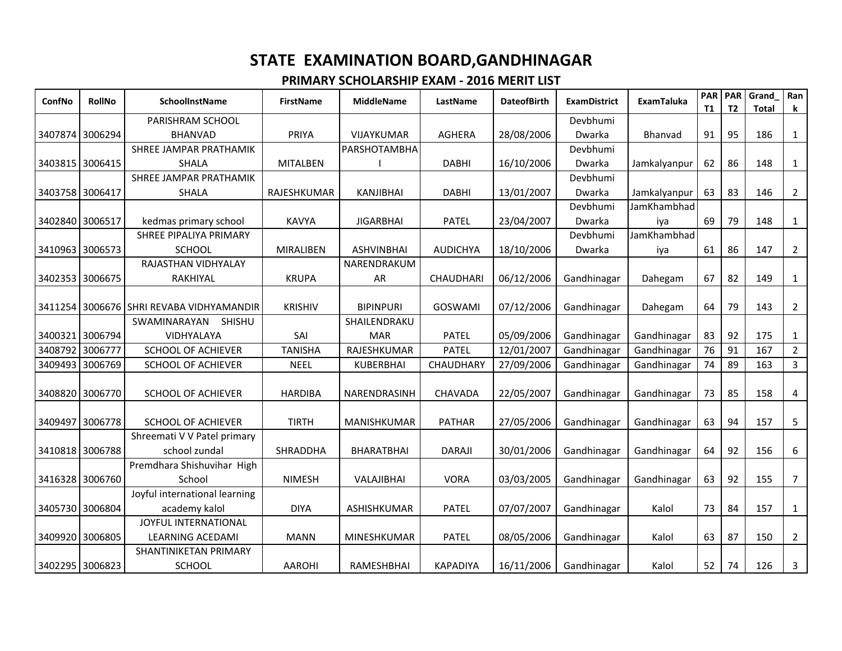| ConfNo          | <b>RollNo</b>   | <b>SchoolInstName</b>               | <b>FirstName</b> | <b>MiddleName</b> | LastName         | <b>DateofBirth</b> | <b>ExamDistrict</b> | <b>ExamTaluka</b> | PAR <sup>I</sup><br>T1 | PAR<br>T <sub>2</sub> | Grand<br><b>Total</b> | Ran<br>k       |
|-----------------|-----------------|-------------------------------------|------------------|-------------------|------------------|--------------------|---------------------|-------------------|------------------------|-----------------------|-----------------------|----------------|
|                 |                 | PARISHRAM SCHOOL                    |                  |                   |                  |                    | Devbhumi            |                   |                        |                       |                       |                |
| 3407874 3006294 |                 | <b>BHANVAD</b>                      | PRIYA            | VIJAYKUMAR        | AGHERA           | 28/08/2006         | Dwarka              | Bhanvad           | 91                     | 95                    | 186                   | $\mathbf{1}$   |
|                 |                 | SHREE JAMPAR PRATHAMIK              |                  | PARSHOTAMBHA      |                  |                    | Devbhumi            |                   |                        |                       |                       |                |
| 3403815 3006415 |                 | <b>SHALA</b>                        | <b>MITALBEN</b>  |                   | <b>DABHI</b>     | 16/10/2006         | Dwarka              | Jamkalyanpur      | 62                     | 86                    | 148                   | $\mathbf{1}$   |
|                 |                 | SHREE JAMPAR PRATHAMIK              |                  |                   |                  |                    | Devbhumi            |                   |                        |                       |                       |                |
| 3403758 3006417 |                 | <b>SHALA</b>                        | RAJESHKUMAR      | KANJIBHAI         | <b>DABHI</b>     | 13/01/2007         | Dwarka              | Jamkalyanpur      | 63                     | 83                    | 146                   | $\overline{2}$ |
|                 |                 |                                     |                  |                   |                  |                    | Devbhumi            | JamKhambhad       |                        |                       |                       |                |
| 3402840         | 3006517         | kedmas primary school               | <b>KAVYA</b>     | <b>JIGARBHAI</b>  | <b>PATEL</b>     | 23/04/2007         | Dwarka              | iya               | 69                     | 79                    | 148                   | $\mathbf{1}$   |
|                 |                 | SHREE PIPALIYA PRIMARY              |                  |                   |                  |                    | Devbhumi            | JamKhambhad       |                        |                       |                       |                |
| 3410963 3006573 |                 | <b>SCHOOL</b>                       | MIRALIBEN        | <b>ASHVINBHAI</b> | <b>AUDICHYA</b>  | 18/10/2006         | Dwarka              | iya               | 61                     | 86                    | 147                   | $\overline{2}$ |
|                 |                 | RAJASTHAN VIDHYALAY                 |                  | NARENDRAKUM       |                  |                    |                     |                   |                        |                       |                       |                |
| 3402353 3006675 |                 | RAKHIYAL                            | <b>KRUPA</b>     | AR                | <b>CHAUDHARI</b> | 06/12/2006         | Gandhinagar         | Dahegam           | 67                     | 82                    | 149                   | $\mathbf{1}$   |
|                 |                 |                                     |                  |                   |                  |                    |                     |                   |                        |                       |                       |                |
| 3411254         |                 | I 3006676 ISHRI REVABA VIDHYAMANDIR | <b>KRISHIV</b>   | <b>BIPINPURI</b>  | <b>GOSWAMI</b>   | 07/12/2006         | Gandhinagar         | Dahegam           | 64                     | 79                    | 143                   | $\overline{2}$ |
|                 |                 | SWAMINARAYAN<br>SHISHU              |                  | SHAILENDRAKU      |                  |                    |                     |                   |                        |                       |                       |                |
|                 | 3400321 3006794 | <b>VIDHYALAYA</b>                   | SAI              | <b>MAR</b>        | <b>PATEL</b>     | 05/09/2006         | Gandhinagar         | Gandhinagar       | 83                     | 92                    | 175                   | 1              |
| 3408792         | 3006777         | <b>SCHOOL OF ACHIEVER</b>           | <b>TANISHA</b>   | RAJESHKUMAR       | <b>PATEL</b>     | 12/01/2007         | Gandhinagar         | Gandhinagar       | 76                     | 91                    | 167                   | $\overline{2}$ |
| 3409493         | 3006769         | SCHOOL OF ACHIEVER                  | <b>NEEL</b>      | <b>KUBERBHAI</b>  | CHAUDHARY        | 27/09/2006         | Gandhinagar         | Gandhinagar       | 74                     | 89                    | 163                   | $\overline{3}$ |
|                 |                 |                                     |                  |                   |                  |                    |                     |                   |                        |                       |                       |                |
| 3408820         | 3006770         | <b>SCHOOL OF ACHIEVER</b>           | <b>HARDIBA</b>   | NARENDRASINH      | <b>CHAVADA</b>   | 22/05/2007         | Gandhinagar         | Gandhinagar       | 73                     | 85                    | 158                   | 4              |
|                 |                 |                                     |                  |                   |                  |                    |                     |                   |                        |                       |                       |                |
| 3409497 3006778 |                 | <b>SCHOOL OF ACHIEVER</b>           | <b>TIRTH</b>     | MANISHKUMAR       | <b>PATHAR</b>    | 27/05/2006         | Gandhinagar         | Gandhinagar       | 63                     | 94                    | 157                   | 5              |
|                 |                 | Shreemati V V Patel primary         |                  |                   |                  |                    |                     |                   |                        |                       |                       |                |
|                 | 3410818 3006788 | school zundal                       | SHRADDHA         | <b>BHARATBHAI</b> | <b>DARAJI</b>    | 30/01/2006         | Gandhinagar         | Gandhinagar       | 64                     | 92                    | 156                   | 6              |
|                 |                 | Premdhara Shishuvihar High          |                  |                   |                  |                    |                     |                   |                        |                       |                       |                |
| 3416328         | 3006760         | School                              | <b>NIMESH</b>    | VALAJIBHAI        | <b>VORA</b>      | 03/03/2005         | Gandhinagar         | Gandhinagar       | 63                     | 92                    | 155                   | 7              |
|                 |                 | Joyful international learning       |                  |                   |                  |                    |                     |                   |                        |                       |                       |                |
| 3405730         | 3006804         | academy kalol                       | <b>DIYA</b>      | ASHISHKUMAR       | <b>PATEL</b>     | 07/07/2007         | Gandhinagar         | Kalol             | 73                     | 84                    | 157                   | $\mathbf{1}$   |
|                 |                 | JOYFUL INTERNATIONAL                |                  |                   |                  |                    |                     |                   |                        |                       |                       |                |
| 3409920 3006805 |                 | <b>LEARNING ACEDAMI</b>             | <b>MANN</b>      | MINESHKUMAR       | <b>PATEL</b>     | 08/05/2006         | Gandhinagar         | Kalol             | 63                     | 87                    | 150                   | $\overline{2}$ |
|                 |                 | SHANTINIKETAN PRIMARY               |                  |                   |                  |                    |                     |                   |                        |                       |                       |                |
| 3402295 3006823 |                 | <b>SCHOOL</b>                       | <b>AAROHI</b>    | RAMESHBHAI        | <b>KAPADIYA</b>  | 16/11/2006         | Gandhinagar         | Kalol             | 52                     | 74                    | 126                   | $\mathbf{3}$   |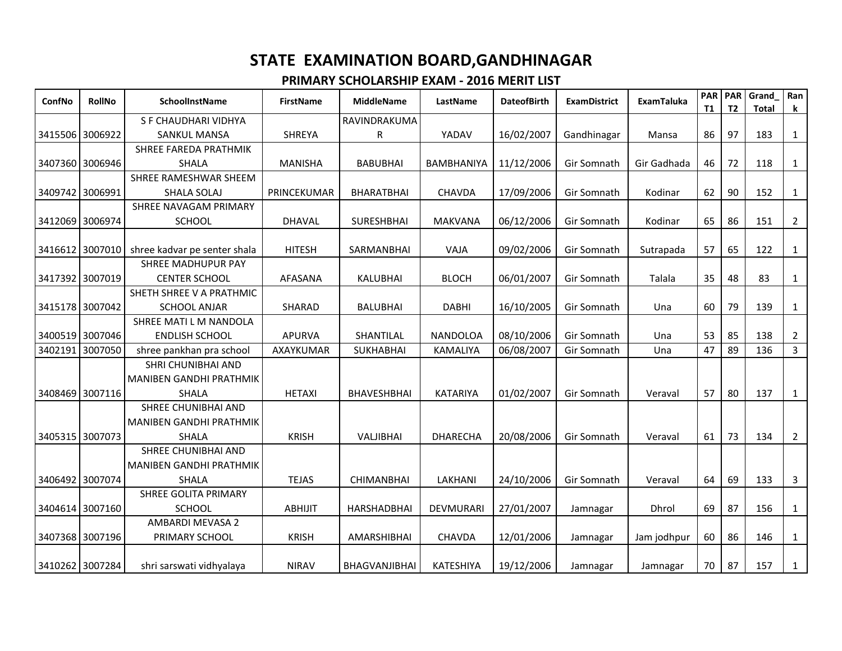| ConfNo          | <b>RollNo</b>   | <b>SchoolInstName</b>          | <b>FirstName</b> | <b>MiddleName</b>    | LastName          | <b>DateofBirth</b> | <b>ExamDistrict</b> | <b>ExamTaluka</b> | <b>PAR</b><br>T1 | PAR<br>T <sub>2</sub> | Grand<br><b>Total</b> | Ran<br>k       |
|-----------------|-----------------|--------------------------------|------------------|----------------------|-------------------|--------------------|---------------------|-------------------|------------------|-----------------------|-----------------------|----------------|
|                 |                 | S F CHAUDHARI VIDHYA           |                  | RAVINDRAKUMA         |                   |                    |                     |                   |                  |                       |                       |                |
| 3415506 3006922 |                 | <b>SANKUL MANSA</b>            | <b>SHREYA</b>    | $\mathsf R$          | YADAV             | 16/02/2007         | Gandhinagar         | Mansa             | 86               | 97                    | 183                   | $\mathbf{1}$   |
|                 |                 | <b>SHREE FAREDA PRATHMIK</b>   |                  |                      |                   |                    |                     |                   |                  |                       |                       |                |
| 3407360 3006946 |                 | <b>SHALA</b>                   | <b>MANISHA</b>   | <b>BABUBHAI</b>      | <b>BAMBHANIYA</b> | 11/12/2006         | Gir Somnath         | Gir Gadhada       | 46               | 72                    | 118                   | 1              |
|                 |                 | SHREE RAMESHWAR SHEEM          |                  |                      |                   |                    |                     |                   |                  |                       |                       |                |
|                 | 3409742 3006991 | SHALA SOLAJ                    | PRINCEKUMAR      | <b>BHARATBHAI</b>    | CHAVDA            | 17/09/2006         | Gir Somnath         | Kodinar           | 62               | 90                    | 152                   | $\mathbf{1}$   |
|                 |                 | SHREE NAVAGAM PRIMARY          |                  |                      |                   |                    |                     |                   |                  |                       |                       |                |
| 3412069         | 3006974         | <b>SCHOOL</b>                  | <b>DHAVAL</b>    | SURESHBHAI           | <b>MAKVANA</b>    | 06/12/2006         | Gir Somnath         | Kodinar           | 65               | 86                    | 151                   | $\overline{2}$ |
|                 |                 |                                |                  |                      |                   |                    |                     |                   |                  |                       |                       |                |
| 3416612 3007010 |                 | shree kadvar pe senter shala   | <b>HITESH</b>    | SARMANBHAI           | VAJA              | 09/02/2006         | Gir Somnath         | Sutrapada         | 57               | 65                    | 122                   | $\mathbf{1}$   |
|                 |                 | SHREE MADHUPUR PAY             |                  |                      |                   |                    |                     |                   |                  |                       |                       |                |
| 3417392 3007019 |                 | <b>CENTER SCHOOL</b>           | AFASANA          | <b>KALUBHAI</b>      | <b>BLOCH</b>      | 06/01/2007         | Gir Somnath         | Talala            | 35               | 48                    | 83                    | $\mathbf{1}$   |
|                 |                 | SHETH SHREE V A PRATHMIC       |                  |                      |                   |                    |                     |                   |                  |                       |                       |                |
| 3415178 3007042 |                 | <b>SCHOOL ANJAR</b>            | <b>SHARAD</b>    | <b>BALUBHAI</b>      | <b>DABHI</b>      | 16/10/2005         | Gir Somnath         | Una               | 60               | 79                    | 139                   | $\mathbf{1}$   |
|                 |                 | SHREE MATI L M NANDOLA         |                  |                      |                   |                    |                     |                   |                  |                       |                       |                |
| 3400519         | 3007046         | <b>ENDLISH SCHOOL</b>          | <b>APURVA</b>    | SHANTILAL            | <b>NANDOLOA</b>   | 08/10/2006         | Gir Somnath         | Una               | 53               | 85                    | 138                   | $\overline{2}$ |
| 3402191         | 3007050         | shree pankhan pra school       | AXAYKUMAR        | <b>SUKHABHAI</b>     | <b>KAMALIYA</b>   | 06/08/2007         | Gir Somnath         | Una               | 47               | 89                    | 136                   | $\mathbf{3}$   |
|                 |                 | SHRI CHUNIBHAI AND             |                  |                      |                   |                    |                     |                   |                  |                       |                       |                |
|                 |                 | <b>MANIBEN GANDHI PRATHMIK</b> |                  |                      |                   |                    |                     |                   |                  |                       |                       |                |
| 3408469 3007116 |                 | <b>SHALA</b>                   | <b>HETAXI</b>    | <b>BHAVESHBHAI</b>   | <b>KATARIYA</b>   | 01/02/2007         | Gir Somnath         | Veraval           | 57               | 80                    | 137                   | $\mathbf{1}$   |
|                 |                 | SHREE CHUNIBHAI AND            |                  |                      |                   |                    |                     |                   |                  |                       |                       |                |
|                 |                 | <b>MANIBEN GANDHI PRATHMIK</b> |                  |                      |                   |                    |                     |                   |                  |                       |                       |                |
| 3405315 3007073 |                 | SHALA                          | <b>KRISH</b>     | VALJIBHAI            | <b>DHARECHA</b>   | 20/08/2006         | Gir Somnath         | Veraval           | 61               | 73                    | 134                   | $\overline{2}$ |
|                 |                 | SHREE CHUNIBHAI AND            |                  |                      |                   |                    |                     |                   |                  |                       |                       |                |
|                 |                 | <b>MANIBEN GANDHI PRATHMIK</b> |                  |                      |                   |                    |                     |                   |                  |                       |                       |                |
| 3406492 3007074 |                 | <b>SHALA</b>                   | <b>TEJAS</b>     | <b>CHIMANBHAI</b>    | LAKHANI           | 24/10/2006         | Gir Somnath         | Veraval           | 64               | 69                    | 133                   | 3              |
|                 |                 | <b>SHREE GOLITA PRIMARY</b>    |                  |                      |                   |                    |                     |                   |                  |                       |                       |                |
|                 | 3404614 3007160 | <b>SCHOOL</b>                  | <b>ABHIJIT</b>   | <b>HARSHADBHAI</b>   | DEVMURARI         | 27/01/2007         | Jamnagar            | Dhrol             | 69               | 87                    | 156                   | $\mathbf{1}$   |
|                 |                 | AMBARDI MEVASA 2               |                  |                      |                   |                    |                     |                   |                  |                       |                       |                |
| 3407368 3007196 |                 | PRIMARY SCHOOL                 | <b>KRISH</b>     | AMARSHIBHAI          | CHAVDA            | 12/01/2006         | Jamnagar            | Jam jodhpur       | 60               | 86                    | 146                   | 1              |
| 3410262 3007284 |                 | shri sarswati vidhyalaya       | <b>NIRAV</b>     | <b>BHAGVANJIBHAI</b> | KATESHIYA         | 19/12/2006         | Jamnagar            | Jamnagar          | 70               | 87                    | 157                   | $\mathbf{1}$   |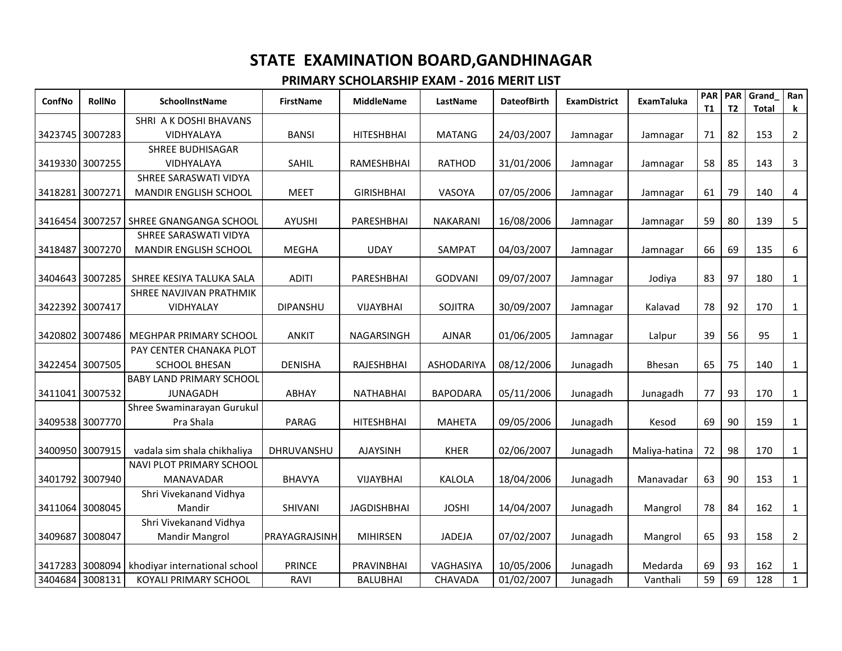| ConfNo          | <b>RollNo</b>   | <b>SchoolInstName</b>                 | <b>FirstName</b> | <b>MiddleName</b>  | LastName        | <b>DateofBirth</b> | <b>ExamDistrict</b> | <b>ExamTaluka</b> | <b>PAR</b><br><b>T1</b> | <b>PAR</b><br>T <sub>2</sub> | Grand<br><b>Total</b> | Ran<br>k       |
|-----------------|-----------------|---------------------------------------|------------------|--------------------|-----------------|--------------------|---------------------|-------------------|-------------------------|------------------------------|-----------------------|----------------|
|                 |                 | SHRI A K DOSHI BHAVANS                |                  |                    |                 |                    |                     |                   |                         |                              |                       |                |
| 3423745 3007283 |                 | VIDHYALAYA                            | <b>BANSI</b>     | <b>HITESHBHAI</b>  | <b>MATANG</b>   | 24/03/2007         | Jamnagar            | Jamnagar          | 71                      | 82                           | 153                   | $\overline{2}$ |
|                 |                 | <b>SHREE BUDHISAGAR</b>               |                  |                    |                 |                    |                     |                   |                         |                              |                       |                |
|                 | 3419330 3007255 | <b>VIDHYALAYA</b>                     | SAHIL            | RAMESHBHAI         | <b>RATHOD</b>   | 31/01/2006         | Jamnagar            | Jamnagar          | 58                      | 85                           | 143                   | 3              |
|                 |                 | SHREE SARASWATI VIDYA                 |                  |                    |                 |                    |                     |                   |                         |                              |                       |                |
| 3418281 3007271 |                 | <b>MANDIR ENGLISH SCHOOL</b>          | <b>MEET</b>      | <b>GIRISHBHAI</b>  | VASOYA          | 07/05/2006         | Jamnagar            | Jamnagar          | 61                      | 79                           | 140                   | 4              |
|                 |                 |                                       |                  |                    |                 |                    |                     |                   |                         |                              |                       |                |
| 3416454         |                 | 3007257 SHREE GNANGANGA SCHOOL        | <b>AYUSHI</b>    | PARESHBHAI         | <b>NAKARANI</b> | 16/08/2006         | Jamnagar            | Jamnagar          | 59                      | 80                           | 139                   | 5              |
|                 |                 | SHREE SARASWATI VIDYA                 |                  |                    |                 |                    |                     |                   |                         |                              |                       |                |
| 3418487         | 3007270         | MANDIR ENGLISH SCHOOL                 | <b>MEGHA</b>     | <b>UDAY</b>        | SAMPAT          | 04/03/2007         | Jamnagar            | Jamnagar          | 66                      | 69                           | 135                   | 6              |
|                 |                 |                                       |                  |                    |                 |                    |                     |                   |                         |                              |                       |                |
| 3404643         | 3007285         | SHREE KESIYA TALUKA SALA              | <b>ADITI</b>     | PARESHBHAI         | <b>GODVANI</b>  | 09/07/2007         | Jamnagar            | Jodiya            | 83                      | 97                           | 180                   | $\mathbf{1}$   |
|                 |                 | SHREE NAVJIVAN PRATHMIK               |                  |                    |                 |                    |                     |                   |                         |                              |                       |                |
| 3422392 3007417 |                 | <b>VIDHYALAY</b>                      | <b>DIPANSHU</b>  | VIJAYBHAI          | <b>SOJITRA</b>  | 30/09/2007         | Jamnagar            | Kalavad           | 78                      | 92                           | 170                   | 1              |
|                 |                 |                                       |                  |                    |                 |                    |                     |                   |                         |                              |                       |                |
| 3420802         | 3007486         | MEGHPAR PRIMARY SCHOOL                | <b>ANKIT</b>     | NAGARSINGH         | <b>AJNAR</b>    | 01/06/2005         | Jamnagar            | Lalpur            | 39                      | 56                           | 95                    | $\mathbf{1}$   |
|                 |                 | PAY CENTER CHANAKA PLOT               |                  |                    |                 |                    |                     |                   |                         |                              |                       |                |
| 3422454 3007505 |                 | <b>SCHOOL BHESAN</b>                  | <b>DENISHA</b>   | RAJESHBHAI         | ASHODARIYA      | 08/12/2006         | Junagadh            | Bhesan            | 65                      | 75                           | 140                   | $\mathbf{1}$   |
|                 |                 | <b>BABY LAND PRIMARY SCHOOL</b>       |                  |                    |                 |                    |                     |                   |                         |                              |                       |                |
|                 | 3411041 3007532 | <b>JUNAGADH</b>                       | <b>ABHAY</b>     | <b>NATHABHAI</b>   | <b>BAPODARA</b> | 05/11/2006         | Junagadh            | Junagadh          | 77                      | 93                           | 170                   | $\mathbf{1}$   |
|                 |                 | Shree Swaminarayan Gurukul            |                  |                    |                 |                    |                     |                   |                         |                              |                       |                |
| 3409538 3007770 |                 | Pra Shala                             | <b>PARAG</b>     | <b>HITESHBHAI</b>  | <b>MAHETA</b>   | 09/05/2006         | Junagadh            | Kesod             | 69                      | 90                           | 159                   | $\mathbf{1}$   |
|                 | 3400950 3007915 | vadala sim shala chikhaliya           | DHRUVANSHU       | <b>AJAYSINH</b>    | <b>KHER</b>     | 02/06/2007         | Junagadh            | Maliya-hatina     | 72                      | 98                           | 170                   | $\mathbf{1}$   |
|                 |                 | NAVI PLOT PRIMARY SCHOOL              |                  |                    |                 |                    |                     |                   |                         |                              |                       |                |
| 3401792 3007940 |                 | <b>MANAVADAR</b>                      | <b>BHAVYA</b>    | VIJAYBHAI          | <b>KALOLA</b>   | 18/04/2006         | Junagadh            | Manavadar         | 63                      | 90                           | 153                   | $\mathbf{1}$   |
|                 |                 | Shri Vivekanand Vidhya                |                  |                    |                 |                    |                     |                   |                         |                              |                       |                |
| 3411064 3008045 |                 | Mandir                                | SHIVANI          | <b>JAGDISHBHAI</b> | <b>JOSHI</b>    | 14/04/2007         | Junagadh            | Mangrol           | 78                      | 84                           | 162                   | $\mathbf{1}$   |
|                 |                 | Shri Vivekanand Vidhya                |                  |                    |                 |                    |                     |                   |                         |                              |                       |                |
| 3409687         | 3008047         | <b>Mandir Mangrol</b>                 | PRAYAGRAJSINH    | <b>MIHIRSEN</b>    | <b>JADEJA</b>   | 07/02/2007         | Junagadh            | Mangrol           | 65                      | 93                           | 158                   | $\overline{2}$ |
|                 |                 |                                       |                  |                    |                 |                    |                     |                   |                         |                              |                       |                |
| 3417283         |                 | 3008094 khodiyar international school | <b>PRINCE</b>    | PRAVINBHAI         | VAGHASIYA       | 10/05/2006         | Junagadh            | Medarda           | 69                      | 93                           | 162                   | $\mathbf{1}$   |
| 3404684         | 3008131         | KOYALI PRIMARY SCHOOL                 | <b>RAVI</b>      | <b>BALUBHAI</b>    | CHAVADA         | 01/02/2007         | Junagadh            | Vanthali          | 59                      | 69                           | 128                   | $\mathbf{1}$   |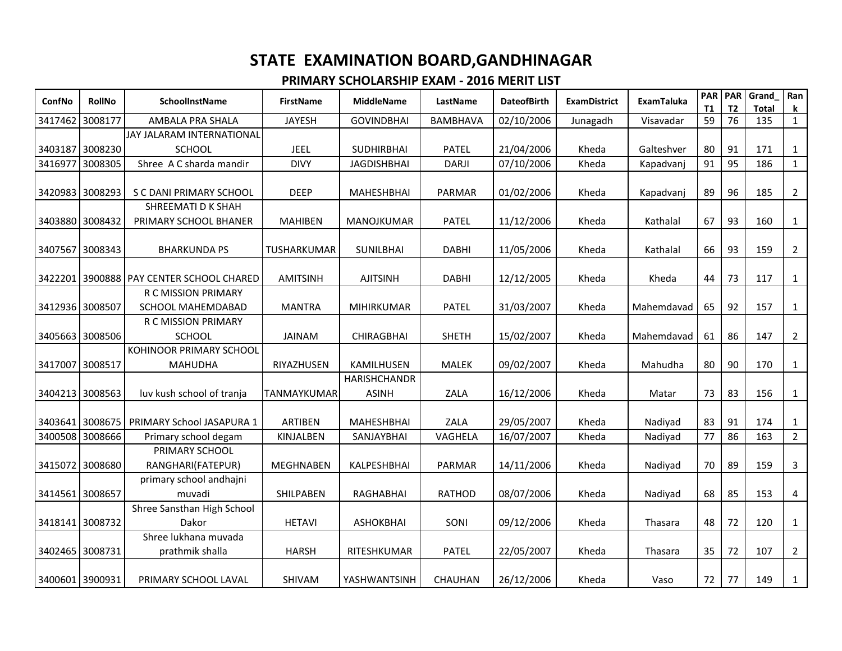| ConfNo          | <b>RollNo</b>   | SchoolInstName                  | <b>FirstName</b>   | <b>MiddleName</b>   | LastName        | <b>DateofBirth</b> | <b>ExamDistrict</b> | <b>ExamTaluka</b> | <b>PAR</b> | <b>PAR</b>      | Grand               | Ran               |
|-----------------|-----------------|---------------------------------|--------------------|---------------------|-----------------|--------------------|---------------------|-------------------|------------|-----------------|---------------------|-------------------|
| 3417462         | 3008177         | AMBALA PRA SHALA                | <b>JAYESH</b>      | <b>GOVINDBHAI</b>   | <b>BAMBHAVA</b> | 02/10/2006         | Junagadh            | Visavadar         | T1<br>59   | <b>T2</b><br>76 | <b>Total</b><br>135 | k<br>$\mathbf{1}$ |
|                 |                 | JAY JALARAM INTERNATIONAL       |                    |                     |                 |                    |                     |                   |            |                 |                     |                   |
|                 | 3403187 3008230 | <b>SCHOOL</b>                   | <b>JEEL</b>        | <b>SUDHIRBHAI</b>   | <b>PATEL</b>    | 21/04/2006         | Kheda               | Galteshver        | 80         | 91              | 171                 | $\mathbf{1}$      |
| 3416977         | 3008305         | Shree A C sharda mandir         | <b>DIVY</b>        | <b>JAGDISHBHAI</b>  | <b>DARJI</b>    | 07/10/2006         | Kheda               | Kapadvanj         | 91         | 95              | 186                 | $\mathbf{1}$      |
|                 |                 |                                 |                    |                     |                 |                    |                     |                   |            |                 |                     |                   |
| 3420983 3008293 |                 | S C DANI PRIMARY SCHOOL         | <b>DEEP</b>        | <b>MAHESHBHAI</b>   | <b>PARMAR</b>   | 01/02/2006         | Kheda               | Kapadvanj         | 89         | 96              | 185                 | $\overline{2}$    |
|                 |                 | SHREEMATI D K SHAH              |                    |                     |                 |                    |                     |                   |            |                 |                     |                   |
| 3403880 3008432 |                 | PRIMARY SCHOOL BHANER           | <b>MAHIBEN</b>     | MANOJKUMAR          | <b>PATEL</b>    | 11/12/2006         | Kheda               | Kathalal          | 67         | 93              | 160                 | $\mathbf{1}$      |
|                 |                 |                                 |                    |                     |                 |                    |                     |                   |            |                 |                     |                   |
| 3407567 3008343 |                 | <b>BHARKUNDA PS</b>             | <b>TUSHARKUMAR</b> | <b>SUNILBHAI</b>    | <b>DABHI</b>    | 11/05/2006         | Kheda               | Kathalal          | 66         | 93              | 159                 | $\overline{2}$    |
|                 |                 |                                 |                    |                     |                 |                    |                     |                   |            |                 |                     |                   |
| 3422201 3900888 |                 | <b>PAY CENTER SCHOOL CHARED</b> | <b>AMITSINH</b>    | <b>AJITSINH</b>     | <b>DABHI</b>    | 12/12/2005         | Kheda               | Kheda             | 44         | 73              | 117                 | $\mathbf{1}$      |
|                 |                 | R C MISSION PRIMARY             |                    |                     |                 |                    |                     |                   |            |                 |                     |                   |
| 3412936 3008507 |                 | SCHOOL MAHEMDABAD               | <b>MANTRA</b>      | <b>MIHIRKUMAR</b>   | <b>PATEL</b>    | 31/03/2007         | Kheda               | Mahemdavad        | 65         | 92              | 157                 | $\mathbf{1}$      |
|                 |                 | R C MISSION PRIMARY             |                    |                     |                 |                    |                     |                   |            |                 |                     |                   |
|                 | 3405663 3008506 | <b>SCHOOL</b>                   | <b>JAINAM</b>      | <b>CHIRAGBHAI</b>   | <b>SHETH</b>    | 15/02/2007         | Kheda               | Mahemdavad        | 61         | 86              | 147                 | $\overline{2}$    |
|                 |                 | KOHINOOR PRIMARY SCHOOL         |                    |                     |                 |                    |                     |                   |            |                 |                     |                   |
| 3417007 3008517 |                 | <b>MAHUDHA</b>                  | RIYAZHUSEN         | KAMILHUSEN          | <b>MALEK</b>    | 09/02/2007         | Kheda               | Mahudha           | 80         | 90              | 170                 | $\mathbf{1}$      |
|                 |                 |                                 |                    | <b>HARISHCHANDR</b> |                 |                    |                     |                   |            |                 |                     |                   |
| 3404213 3008563 |                 | luv kush school of tranja       | TANMAYKUMAR        | <b>ASINH</b>        | ZALA            | 16/12/2006         | Kheda               | Matar             | 73         | 83              | 156                 | $\mathbf{1}$      |
|                 |                 |                                 |                    |                     |                 |                    |                     |                   |            |                 |                     |                   |
| 3403641 3008675 |                 | PRIMARY School JASAPURA 1       | ARTIBEN            | <b>MAHESHBHAI</b>   | ZALA            | 29/05/2007         | Kheda               | Nadiyad           | 83         | 91              | 174                 | $\mathbf{1}$      |
| 3400508 3008666 |                 | Primary school degam            | KINJALBEN          | SANJAYBHAI          | VAGHELA         | 16/07/2007         | Kheda               | Nadiyad           | 77         | 86              | 163                 | $\overline{2}$    |
|                 |                 | PRIMARY SCHOOL                  |                    |                     |                 |                    |                     |                   |            |                 |                     |                   |
| 3415072 3008680 |                 | RANGHARI(FATEPUR)               | <b>MEGHNABEN</b>   | KALPESHBHAI         | PARMAR          | 14/11/2006         | Kheda               | Nadiyad           | 70         | 89              | 159                 | $\mathbf{3}$      |
|                 |                 | primary school andhajni         |                    |                     |                 |                    |                     |                   |            |                 |                     |                   |
| 3414561 3008657 |                 | muvadi                          | SHILPABEN          | RAGHABHAI           | <b>RATHOD</b>   | 08/07/2006         | Kheda               | Nadiyad           | 68         | 85              | 153                 | 4                 |
|                 |                 | Shree Sansthan High School      |                    |                     |                 |                    |                     |                   |            |                 |                     |                   |
| 3418141 3008732 |                 | Dakor                           | <b>HETAVI</b>      | <b>ASHOKBHAI</b>    | SONI            | 09/12/2006         | Kheda               | Thasara           | 48         | 72              | 120                 | $\mathbf{1}$      |
|                 |                 | Shree lukhana muvada            |                    |                     |                 |                    |                     |                   |            |                 |                     |                   |
| 3402465 3008731 |                 | prathmik shalla                 | <b>HARSH</b>       | RITESHKUMAR         | <b>PATEL</b>    | 22/05/2007         | Kheda               | Thasara           | 35         | 72              | 107                 | $\overline{2}$    |
|                 |                 |                                 |                    |                     |                 |                    |                     |                   |            |                 |                     |                   |
| 3400601 3900931 |                 | PRIMARY SCHOOL LAVAL            | SHIVAM             | YASHWANTSINH        | CHAUHAN         | 26/12/2006         | Kheda               | Vaso              | 72         | 77              | 149                 | $\mathbf{1}$      |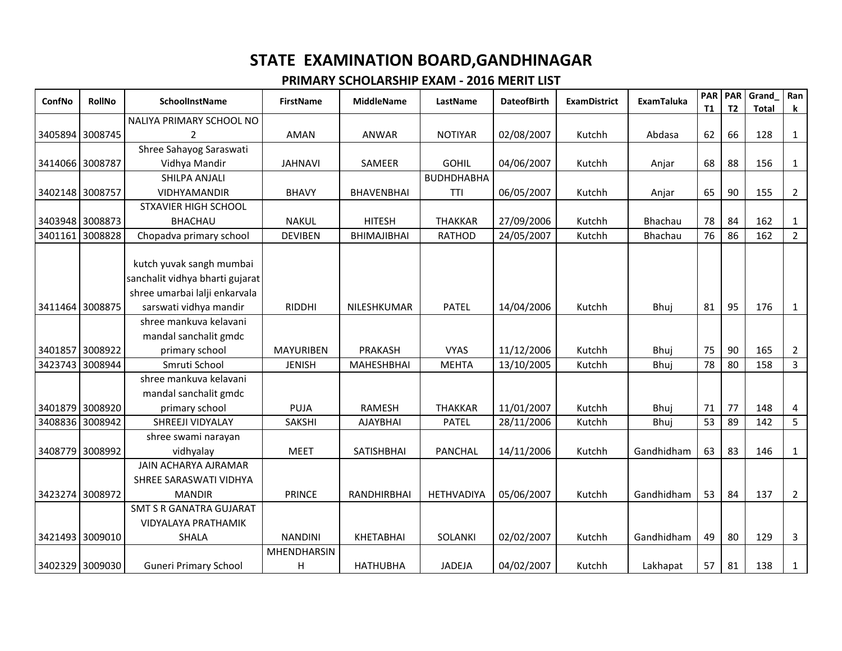| ConfNo          | RollNo          | SchoolInstName                  | <b>FirstName</b> | <b>MiddleName</b>  | LastName          | <b>DateofBirth</b> | <b>ExamDistrict</b> | <b>ExamTaluka</b> | <b>PAR</b><br><b>T1</b> | <b>PAR</b><br>T <sub>2</sub> | Grand        | Ran            |
|-----------------|-----------------|---------------------------------|------------------|--------------------|-------------------|--------------------|---------------------|-------------------|-------------------------|------------------------------|--------------|----------------|
|                 |                 | NALIYA PRIMARY SCHOOL NO        |                  |                    |                   |                    |                     |                   |                         |                              | <b>Total</b> | $\mathbf k$    |
|                 | 3405894 3008745 | $\overline{2}$                  | <b>AMAN</b>      | ANWAR              | <b>NOTIYAR</b>    | 02/08/2007         | Kutchh              | Abdasa            | 62                      | 66                           | 128          | $\mathbf{1}$   |
|                 |                 | Shree Sahayog Saraswati         |                  |                    |                   |                    |                     |                   |                         |                              |              |                |
|                 | 3414066 3008787 | Vidhya Mandir                   | <b>JAHNAVI</b>   | SAMEER             | <b>GOHIL</b>      | 04/06/2007         | Kutchh              | Anjar             | 68                      | 88                           | 156          | 1              |
|                 |                 | SHILPA ANJALI                   |                  |                    | <b>BUDHDHABHA</b> |                    |                     |                   |                         |                              |              |                |
|                 | 3402148 3008757 | VIDHYAMANDIR                    | <b>BHAVY</b>     | <b>BHAVENBHAI</b>  | TTI               | 06/05/2007         | Kutchh              | Anjar             | 65                      | 90                           | 155          | $\overline{2}$ |
|                 |                 | <b>STXAVIER HIGH SCHOOL</b>     |                  |                    |                   |                    |                     |                   |                         |                              |              |                |
|                 | 3403948 3008873 | <b>BHACHAU</b>                  | <b>NAKUL</b>     | <b>HITESH</b>      | <b>THAKKAR</b>    | 27/09/2006         | Kutchh              | Bhachau           | 78                      | 84                           | 162          | $\mathbf{1}$   |
| 3401161         | 3008828         | Chopadva primary school         | <b>DEVIBEN</b>   | BHIMAJIBHAI        | <b>RATHOD</b>     | 24/05/2007         | Kutchh              | Bhachau           | 76                      | 86                           | 162          | $2^{\circ}$    |
|                 |                 |                                 |                  |                    |                   |                    |                     |                   |                         |                              |              |                |
|                 |                 | kutch yuvak sangh mumbai        |                  |                    |                   |                    |                     |                   |                         |                              |              |                |
|                 |                 | sanchalit vidhya bharti gujarat |                  |                    |                   |                    |                     |                   |                         |                              |              |                |
|                 |                 | shree umarbai lalji enkarvala   |                  |                    |                   |                    |                     |                   |                         |                              |              |                |
| 3411464 3008875 |                 | sarswati vidhya mandir          | <b>RIDDHI</b>    | NILESHKUMAR        | <b>PATEL</b>      | 14/04/2006         | Kutchh              | Bhuj              | 81                      | 95                           | 176          | $\mathbf{1}$   |
|                 |                 | shree mankuva kelavani          |                  |                    |                   |                    |                     |                   |                         |                              |              |                |
|                 |                 | mandal sanchalit gmdc           |                  |                    |                   |                    |                     |                   |                         |                              |              |                |
|                 | 3401857 3008922 | primary school                  | <b>MAYURIBEN</b> | PRAKASH            | <b>VYAS</b>       | 11/12/2006         | Kutchh              | Bhuj              | 75                      | 90                           | 165          | $\overline{2}$ |
| 3423743         | 3008944         | Smruti School                   | <b>JENISH</b>    | <b>MAHESHBHAI</b>  | <b>MEHTA</b>      | 13/10/2005         | Kutchh              | Bhuj              | 78                      | 80                           | 158          | 3              |
|                 |                 | shree mankuva kelavani          |                  |                    |                   |                    |                     |                   |                         |                              |              |                |
|                 |                 | mandal sanchalit gmdc           |                  |                    |                   |                    |                     |                   |                         |                              |              |                |
|                 | 3401879 3008920 | primary school                  | <b>PUJA</b>      | <b>RAMESH</b>      | <b>THAKKAR</b>    | 11/01/2007         | Kutchh              | Bhuj              | 71                      | 77                           | 148          | 4              |
| 3408836         | 3008942         | SHREEJI VIDYALAY                | <b>SAKSHI</b>    | <b>AJAYBHAI</b>    | <b>PATEL</b>      | 28/11/2006         | Kutchh              | Bhuj              | 53                      | 89                           | 142          | 5              |
|                 |                 | shree swami narayan             |                  |                    |                   |                    |                     |                   |                         |                              |              |                |
| 3408779         | 3008992         | vidhyalay                       | <b>MEET</b>      | SATISHBHAI         | <b>PANCHAL</b>    | 14/11/2006         | Kutchh              | Gandhidham        | 63                      | 83                           | 146          | 1              |
|                 |                 | JAIN ACHARYA AJRAMAR            |                  |                    |                   |                    |                     |                   |                         |                              |              |                |
|                 |                 | SHREE SARASWATI VIDHYA          |                  |                    |                   |                    |                     |                   |                         |                              |              |                |
|                 | 3423274 3008972 | <b>MANDIR</b>                   | <b>PRINCE</b>    | <b>RANDHIRBHAI</b> | HETHVADIYA        | 05/06/2007         | Kutchh              | Gandhidham        | 53                      | 84                           | 137          | $\overline{2}$ |
|                 |                 | <b>SMT S R GANATRA GUJARAT</b>  |                  |                    |                   |                    |                     |                   |                         |                              |              |                |
|                 |                 | VIDYALAYA PRATHAMIK             |                  |                    |                   |                    |                     |                   |                         |                              |              |                |
|                 | 3421493 3009010 | <b>SHALA</b>                    | <b>NANDINI</b>   | KHETABHAI          | SOLANKI           | 02/02/2007         | Kutchh              | Gandhidham        | 49                      | 80                           | 129          | $\mathbf{3}$   |
|                 |                 |                                 | MHENDHARSIN      |                    |                   |                    |                     |                   |                         |                              |              |                |
|                 | 3402329 3009030 | <b>Guneri Primary School</b>    | H                | <b>HATHUBHA</b>    | <b>JADEJA</b>     | 04/02/2007         | Kutchh              | Lakhapat          | 57                      | 81                           | 138          | $\mathbf{1}$   |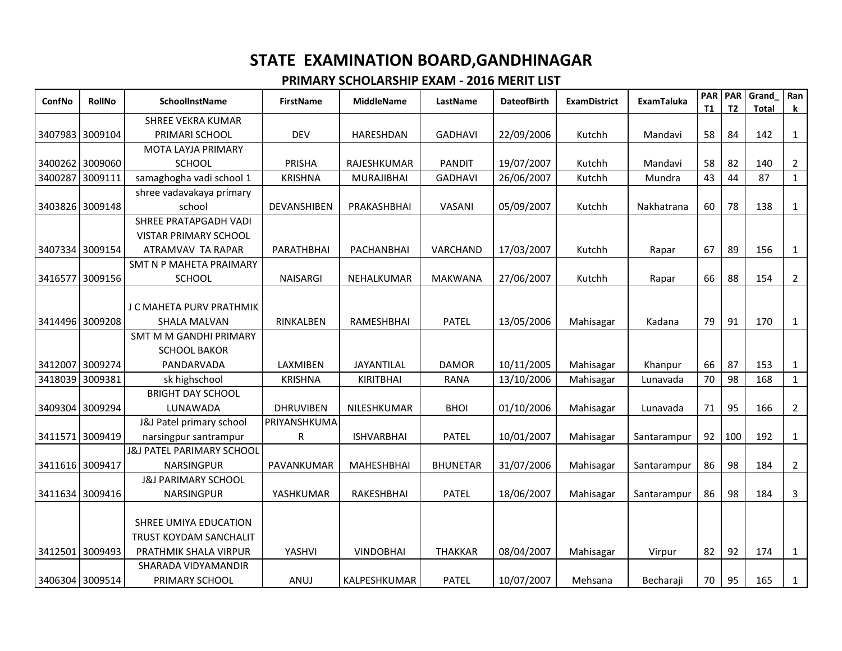| ConfNo          | <b>RollNo</b> | <b>SchoolInstName</b>                | <b>FirstName</b> | <b>MiddleName</b> | LastName        | <b>DateofBirth</b> | <b>ExamDistrict</b> | <b>ExamTaluka</b> | <b>PAR</b><br><b>T1</b> | <b>PAR</b><br>T <sub>2</sub> | Grand<br><b>Total</b> | Ran<br>k       |
|-----------------|---------------|--------------------------------------|------------------|-------------------|-----------------|--------------------|---------------------|-------------------|-------------------------|------------------------------|-----------------------|----------------|
|                 |               | <b>SHREE VEKRA KUMAR</b>             |                  |                   |                 |                    |                     |                   |                         |                              |                       |                |
| 3407983 3009104 |               | PRIMARI SCHOOL                       | <b>DEV</b>       | <b>HARESHDAN</b>  | <b>GADHAVI</b>  | 22/09/2006         | Kutchh              | Mandavi           | 58                      | 84                           | 142                   | 1              |
|                 |               | <b>MOTA LAYJA PRIMARY</b>            |                  |                   |                 |                    |                     |                   |                         |                              |                       |                |
| 3400262         | 3009060       | <b>SCHOOL</b>                        | <b>PRISHA</b>    | RAJESHKUMAR       | <b>PANDIT</b>   | 19/07/2007         | Kutchh              | Mandavi           | 58                      | 82                           | 140                   | $\overline{2}$ |
| 3400287         | 3009111       | samaghogha vadi school 1             | <b>KRISHNA</b>   | <b>MURAJIBHAI</b> | <b>GADHAVI</b>  | 26/06/2007         | Kutchh              | Mundra            | 43                      | 44                           | 87                    | 1              |
|                 |               | shree vadavakaya primary             |                  |                   |                 |                    |                     |                   |                         |                              |                       |                |
| 3403826 3009148 |               | school                               | DEVANSHIBEN      | PRAKASHBHAI       | VASANI          | 05/09/2007         | Kutchh              | Nakhatrana        | 60                      | 78                           | 138                   | $\mathbf{1}$   |
|                 |               | SHREE PRATAPGADH VADI                |                  |                   |                 |                    |                     |                   |                         |                              |                       |                |
|                 |               | <b>VISTAR PRIMARY SCHOOL</b>         |                  |                   |                 |                    |                     |                   |                         |                              |                       |                |
| 3407334 3009154 |               | ATRAMVAV TA RAPAR                    | PARATHBHAI       | PACHANBHAI        | VARCHAND        | 17/03/2007         | Kutchh              | Rapar             | 67                      | 89                           | 156                   | $\mathbf{1}$   |
|                 |               | SMT N P MAHETA PRAIMARY              |                  |                   |                 |                    |                     |                   |                         |                              |                       |                |
| 3416577         | 3009156       | <b>SCHOOL</b>                        | <b>NAISARGI</b>  | NEHALKUMAR        | <b>MAKWANA</b>  | 27/06/2007         | Kutchh              | Rapar             | 66                      | 88                           | 154                   | $\overline{2}$ |
|                 |               |                                      |                  |                   |                 |                    |                     |                   |                         |                              |                       |                |
|                 |               | J C MAHETA PURV PRATHMIK             |                  |                   |                 |                    |                     |                   |                         |                              |                       |                |
| 3414496         | 3009208       | <b>SHALA MALVAN</b>                  | RINKALBEN        | RAMESHBHAI        | PATEL           | 13/05/2006         | Mahisagar           | Kadana            | 79                      | 91                           | 170                   | $\mathbf{1}$   |
|                 |               | SMT M M GANDHI PRIMARY               |                  |                   |                 |                    |                     |                   |                         |                              |                       |                |
|                 |               | <b>SCHOOL BAKOR</b>                  |                  |                   |                 |                    |                     |                   |                         |                              |                       |                |
| 3412007 3009274 |               | PANDARVADA                           | LAXMIBEN         | JAYANTILAL        | <b>DAMOR</b>    | 10/11/2005         | Mahisagar           | Khanpur           | 66                      | 87                           | 153                   | $\mathbf{1}$   |
| 3418039         | 3009381       | sk highschool                        | <b>KRISHNA</b>   | <b>KIRITBHAI</b>  | <b>RANA</b>     | 13/10/2006         | Mahisagar           | Lunavada          | 70                      | 98                           | 168                   | $\mathbf{1}$   |
|                 |               | <b>BRIGHT DAY SCHOOL</b>             |                  |                   |                 |                    |                     |                   |                         |                              |                       |                |
| 3409304 3009294 |               | LUNAWADA                             | <b>DHRUVIBEN</b> | NILESHKUMAR       | <b>BHOI</b>     | 01/10/2006         | Mahisagar           | Lunavada          | 71                      | 95                           | 166                   | $\overline{2}$ |
|                 |               | J&J Patel primary school             | PRIYANSHKUMA     |                   |                 |                    |                     |                   |                         |                              |                       |                |
| 3411571 3009419 |               | narsingpur santrampur                | R                | <b>ISHVARBHAI</b> | <b>PATEL</b>    | 10/01/2007         | Mahisagar           | Santarampur       | 92                      | 100                          | 192                   | $\mathbf{1}$   |
|                 |               | <b>J&amp;J PATEL PARIMARY SCHOOL</b> |                  |                   |                 |                    |                     |                   |                         |                              |                       |                |
| 3411616 3009417 |               | <b>NARSINGPUR</b>                    | PAVANKUMAR       | <b>MAHESHBHAI</b> | <b>BHUNETAR</b> | 31/07/2006         | Mahisagar           | Santarampur       | 86                      | 98                           | 184                   | $\overline{2}$ |
|                 |               | <b>J&amp;J PARIMARY SCHOOL</b>       |                  |                   |                 |                    |                     |                   |                         |                              |                       |                |
| 3411634 3009416 |               | <b>NARSINGPUR</b>                    | YASHKUMAR        | RAKESHBHAI        | <b>PATEL</b>    | 18/06/2007         | Mahisagar           | Santarampur       | 86                      | 98                           | 184                   | 3              |
|                 |               |                                      |                  |                   |                 |                    |                     |                   |                         |                              |                       |                |
|                 |               | SHREE UMIYA EDUCATION                |                  |                   |                 |                    |                     |                   |                         |                              |                       |                |
|                 |               | TRUST KOYDAM SANCHALIT               |                  |                   |                 |                    |                     |                   |                         |                              |                       |                |
| 3412501 3009493 |               | PRATHMIK SHALA VIRPUR                | YASHVI           | <b>VINDOBHAI</b>  | <b>THAKKAR</b>  | 08/04/2007         | Mahisagar           | Virpur            | 82                      | 92                           | 174                   | $\mathbf{1}$   |
|                 |               | SHARADA VIDYAMANDIR                  |                  |                   |                 |                    |                     |                   |                         |                              |                       |                |
| 3406304 3009514 |               | PRIMARY SCHOOL                       | ANUJ             | KALPESHKUMAR      | <b>PATEL</b>    | 10/07/2007         | Mehsana             | Becharaji         | 70                      | 95                           | 165                   | $\mathbf{1}$   |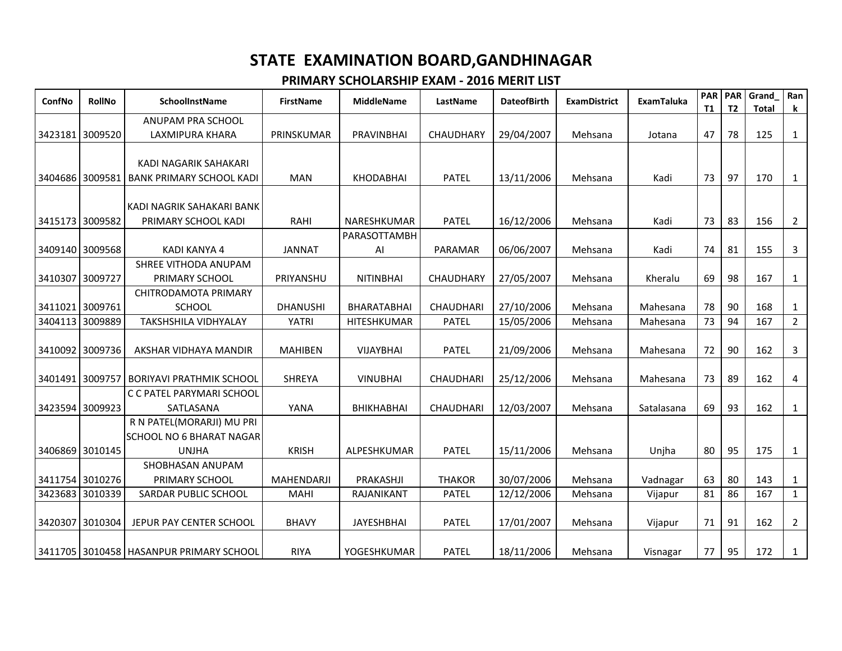| ConfNo          | <b>RollNo</b> | <b>SchoolInstName</b>                                        | <b>FirstName</b>  | <b>MiddleName</b> | LastName         | <b>DateofBirth</b> | <b>ExamDistrict</b> | <b>ExamTaluka</b> | <b>PAR PAR</b><br><b>T1</b> | T <sub>2</sub> | Grand<br><b>Total</b> | Ran<br>k       |
|-----------------|---------------|--------------------------------------------------------------|-------------------|-------------------|------------------|--------------------|---------------------|-------------------|-----------------------------|----------------|-----------------------|----------------|
|                 |               | ANUPAM PRA SCHOOL                                            |                   |                   |                  |                    |                     |                   |                             |                |                       |                |
| 3423181 3009520 |               | LAXMIPURA KHARA                                              | PRINSKUMAR        | <b>PRAVINBHAI</b> | <b>CHAUDHARY</b> | 29/04/2007         | Mehsana             | Jotana            | 47                          | 78             | 125                   | 1              |
|                 |               | KADI NAGARIK SAHAKARI                                        |                   |                   |                  |                    |                     |                   |                             |                |                       |                |
| 3404686         | 3009581       | <b>BANK PRIMARY SCHOOL KADI</b>                              | <b>MAN</b>        | <b>KHODABHAI</b>  | <b>PATEL</b>     | 13/11/2006         | Mehsana             | Kadi              | 73                          | 97             | 170                   | $\mathbf{1}$   |
|                 |               | KADI NAGRIK SAHAKARI BANK                                    |                   |                   |                  |                    |                     |                   |                             |                |                       |                |
| 3415173 3009582 |               | PRIMARY SCHOOL KADI                                          | RAHI              | NARESHKUMAR       | <b>PATEL</b>     | 16/12/2006         | Mehsana             | Kadi              | 73                          | 83             | 156                   | $\overline{2}$ |
|                 |               |                                                              |                   | PARASOTTAMBH      |                  |                    |                     |                   |                             |                |                       |                |
| 3409140         | 3009568       | <b>KADI KANYA 4</b>                                          | <b>JANNAT</b>     | Al                | PARAMAR          | 06/06/2007         | Mehsana             | Kadi              | 74                          | 81             | 155                   | 3              |
|                 |               | SHREE VITHODA ANUPAM                                         |                   |                   |                  |                    |                     |                   |                             |                |                       |                |
| 3410307 3009727 |               | PRIMARY SCHOOL                                               | PRIYANSHU         | <b>NITINBHAI</b>  | CHAUDHARY        | 27/05/2007         | Mehsana             | Kheralu           | 69                          | 98             | 167                   | $\mathbf{1}$   |
|                 |               | CHITRODAMOTA PRIMARY                                         |                   |                   |                  |                    |                     |                   |                             |                |                       |                |
| 3411021 3009761 |               | <b>SCHOOL</b>                                                | <b>DHANUSHI</b>   | BHARATABHAI       | <b>CHAUDHARI</b> | 27/10/2006         | Mehsana             | Mahesana          | 78                          | 90             | 168                   | 1              |
| 3404113         | 3009889       | TAKSHSHILA VIDHYALAY                                         | <b>YATRI</b>      | HITESHKUMAR       | <b>PATEL</b>     | 15/05/2006         | Mehsana             | Mahesana          | 73                          | 94             | 167                   | $\overline{2}$ |
| 3410092 3009736 |               | AKSHAR VIDHAYA MANDIR                                        | <b>MAHIBEN</b>    | <b>VIJAYBHAI</b>  | <b>PATEL</b>     | 21/09/2006         | Mehsana             | Mahesana          | 72                          | 90             | 162                   | 3              |
| 3401491 3009757 |               | <b>BORIYAVI PRATHMIK SCHOOL</b>                              | <b>SHREYA</b>     | <b>VINUBHAI</b>   | <b>CHAUDHARI</b> | 25/12/2006         | Mehsana             | Mahesana          | 73                          | 89             | 162                   | 4              |
| 3423594 3009923 |               | C C PATEL PARYMARI SCHOOL<br>SATLASANA                       | YANA              | <b>BHIKHABHAI</b> | <b>CHAUDHARI</b> | 12/03/2007         | Mehsana             | Satalasana        | 69                          | 93             | 162                   | $\mathbf{1}$   |
|                 |               | R N PATEL(MORARJI) MU PRI<br><b>SCHOOL NO 6 BHARAT NAGAR</b> |                   |                   |                  |                    |                     |                   |                             |                |                       |                |
| 3406869         | 3010145       | <b>UNJHA</b>                                                 | <b>KRISH</b>      | ALPESHKUMAR       | <b>PATEL</b>     | 15/11/2006         | Mehsana             | Unjha             | 80                          | 95             | 175                   | $\mathbf{1}$   |
|                 |               | SHOBHASAN ANUPAM                                             |                   |                   |                  |                    |                     |                   |                             |                |                       |                |
| 3411754 3010276 |               | PRIMARY SCHOOL                                               | <b>MAHENDARJI</b> | PRAKASHJI         | <b>THAKOR</b>    | 30/07/2006         | Mehsana             | Vadnagar          | 63                          | 80             | 143                   | 1              |
| 3423683         | 3010339       | SARDAR PUBLIC SCHOOL                                         | <b>MAHI</b>       | RAJANIKANT        | <b>PATEL</b>     | 12/12/2006         | Mehsana             | Vijapur           | 81                          | 86             | 167                   | $\mathbf{1}$   |
| 3420307         | 3010304       | JEPUR PAY CENTER SCHOOL                                      | <b>BHAVY</b>      | <b>JAYESHBHAI</b> | <b>PATEL</b>     | 17/01/2007         | Mehsana             | Vijapur           | 71                          | 91             | 162                   | $\overline{2}$ |
|                 |               | 3411705 3010458 HASANPUR PRIMARY SCHOOL                      | <b>RIYA</b>       | YOGESHKUMAR       | <b>PATEL</b>     | 18/11/2006         | Mehsana             | Visnagar          | 77                          | 95             | 172                   | $\mathbf{1}$   |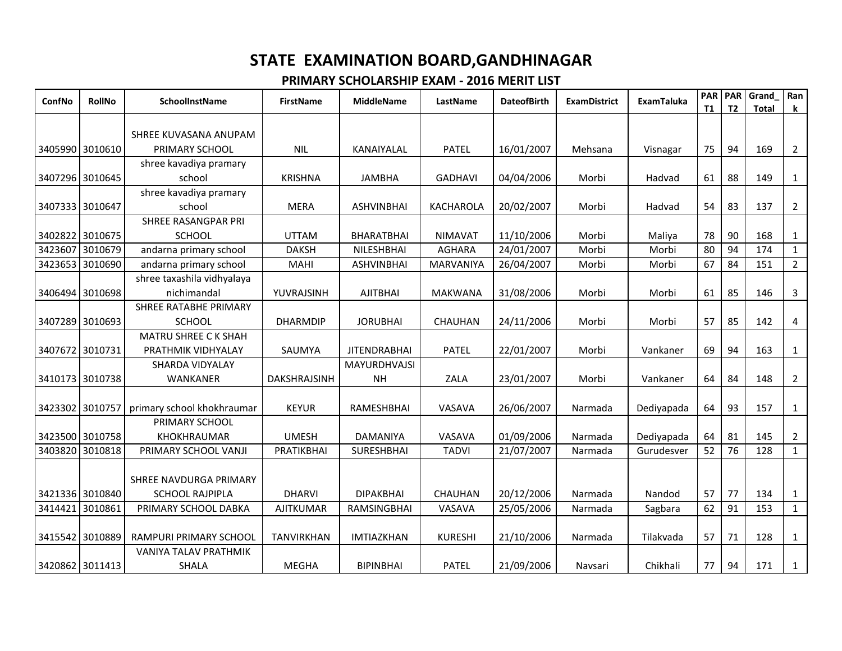| ConfNo          | <b>RollNo</b>   | <b>SchoolInstName</b>        | <b>FirstName</b>  | <b>MiddleName</b>   | LastName         | <b>DateofBirth</b> | <b>ExamDistrict</b> | <b>ExamTaluka</b> | PAR<br><b>T1</b> | <b>PAR</b><br>T <sub>2</sub> | Grand<br><b>Total</b> | Ran<br>$\mathbf k$ |
|-----------------|-----------------|------------------------------|-------------------|---------------------|------------------|--------------------|---------------------|-------------------|------------------|------------------------------|-----------------------|--------------------|
|                 |                 |                              |                   |                     |                  |                    |                     |                   |                  |                              |                       |                    |
|                 |                 | SHREE KUVASANA ANUPAM        |                   |                     |                  |                    |                     |                   |                  |                              |                       |                    |
| 3405990 3010610 |                 | PRIMARY SCHOOL               | <b>NIL</b>        | KANAIYALAL          | <b>PATEL</b>     | 16/01/2007         | Mehsana             | Visnagar          | 75               | 94                           | 169                   | $\overline{2}$     |
|                 |                 | shree kavadiya pramary       |                   |                     |                  |                    |                     |                   |                  |                              |                       |                    |
| 3407296 3010645 |                 | school                       | <b>KRISHNA</b>    | <b>JAMBHA</b>       | <b>GADHAVI</b>   | 04/04/2006         | Morbi               | Hadvad            | 61               | 88                           | 149                   | $\mathbf{1}$       |
|                 |                 | shree kavadiya pramary       |                   |                     |                  |                    |                     |                   |                  |                              |                       |                    |
| 3407333 3010647 |                 | school                       | <b>MERA</b>       | <b>ASHVINBHAI</b>   | KACHAROLA        | 20/02/2007         | Morbi               | Hadvad            | 54               | 83                           | 137                   | $\overline{2}$     |
|                 |                 | SHREE RASANGPAR PRI          |                   |                     |                  |                    |                     |                   |                  |                              |                       |                    |
|                 | 3402822 3010675 | <b>SCHOOL</b>                | <b>UTTAM</b>      | <b>BHARATBHAI</b>   | <b>NIMAVAT</b>   | 11/10/2006         | Morbi               | Maliya            | 78               | 90                           | 168                   | 1                  |
| 3423607         | 3010679         | andarna primary school       | <b>DAKSH</b>      | NILESHBHAI          | <b>AGHARA</b>    | 24/01/2007         | Morbi               | Morbi             | 80               | 94                           | 174                   | $\mathbf{1}$       |
| 3423653         | 3010690         | andarna primary school       | <b>MAHI</b>       | <b>ASHVINBHAI</b>   | <b>MARVANIYA</b> | 26/04/2007         | Morbi               | Morbi             | 67               | 84                           | 151                   | $\overline{2}$     |
|                 |                 | shree taxashila vidhyalaya   |                   |                     |                  |                    |                     |                   |                  |                              |                       |                    |
|                 | 3406494 3010698 | nichimandal                  | YUVRAJSINH        | <b>AJITBHAI</b>     | <b>MAKWANA</b>   | 31/08/2006         | Morbi               | Morbi             | 61               | 85                           | 146                   | $\mathbf{3}$       |
|                 |                 | <b>SHREE RATABHE PRIMARY</b> |                   |                     |                  |                    |                     |                   |                  |                              |                       |                    |
| 3407289         | 3010693         | <b>SCHOOL</b>                | <b>DHARMDIP</b>   | <b>JORUBHAI</b>     | CHAUHAN          | 24/11/2006         | Morbi               | Morbi             | 57               | 85                           | 142                   | $\overline{4}$     |
|                 |                 | MATRU SHREE C K SHAH         |                   |                     |                  |                    |                     |                   |                  |                              |                       |                    |
| 3407672 3010731 |                 | PRATHMIK VIDHYALAY           | SAUMYA            | <b>JITENDRABHAI</b> | <b>PATEL</b>     | 22/01/2007         | Morbi               | Vankaner          | 69               | 94                           | 163                   | 1                  |
|                 |                 | SHARDA VIDYALAY              |                   | MAYURDHVAJSI        |                  |                    |                     |                   |                  |                              |                       |                    |
| 3410173 3010738 |                 | <b>WANKANER</b>              | DAKSHRAJSINH      | <b>NH</b>           | <b>ZALA</b>      | 23/01/2007         | Morbi               | Vankaner          | 64               | 84                           | 148                   | $\overline{2}$     |
| 3423302         | 3010757         | primary school khokhraumar   | <b>KEYUR</b>      | RAMESHBHAI          | VASAVA           | 26/06/2007         | Narmada             | Dediyapada        | 64               | 93                           | 157                   | 1                  |
|                 |                 | PRIMARY SCHOOL               |                   |                     |                  |                    |                     |                   |                  |                              |                       |                    |
|                 | 3423500 3010758 | KHOKHRAUMAR                  | <b>UMESH</b>      | DAMANIYA            | VASAVA           | 01/09/2006         | Narmada             | Dediyapada        | 64               | 81                           | 145                   | $\overline{2}$     |
| 3403820         | 3010818         | PRIMARY SCHOOL VANJI         | PRATIKBHAI        | <b>SURESHBHAI</b>   | <b>TADVI</b>     | 21/07/2007         | Narmada             | Gurudesver        | 52               | 76                           | 128                   | $\mathbf{1}$       |
|                 |                 |                              |                   |                     |                  |                    |                     |                   |                  |                              |                       |                    |
|                 |                 | SHREE NAVDURGA PRIMARY       |                   |                     |                  |                    |                     |                   |                  |                              |                       |                    |
|                 | 3421336 3010840 | <b>SCHOOL RAJPIPLA</b>       | <b>DHARVI</b>     | <b>DIPAKBHAI</b>    | CHAUHAN          | 20/12/2006         | Narmada             | Nandod            | 57               | 77                           | 134                   | $\mathbf{1}$       |
| 3414421         | 3010861         | PRIMARY SCHOOL DABKA         | <b>AJITKUMAR</b>  | <b>RAMSINGBHAI</b>  | VASAVA           | 25/05/2006         | Narmada             | Sagbara           | 62               | 91                           | 153                   | $\mathbf{1}$       |
|                 |                 |                              |                   |                     |                  |                    |                     |                   |                  |                              |                       |                    |
| 3415542 3010889 |                 | RAMPURI PRIMARY SCHOOL       | <b>TANVIRKHAN</b> | <b>IMTIAZKHAN</b>   | <b>KURESHI</b>   | 21/10/2006         | Narmada             | Tilakvada         | 57               | 71                           | 128                   | 1                  |
|                 |                 | <b>VANIYA TALAV PRATHMIK</b> |                   |                     |                  |                    |                     |                   |                  |                              |                       |                    |
| 3420862 3011413 |                 | <b>SHALA</b>                 | <b>MEGHA</b>      | <b>BIPINBHAI</b>    | <b>PATEL</b>     | 21/09/2006         | Navsari             | Chikhali          | 77               | 94                           | 171                   | $\mathbf{1}$       |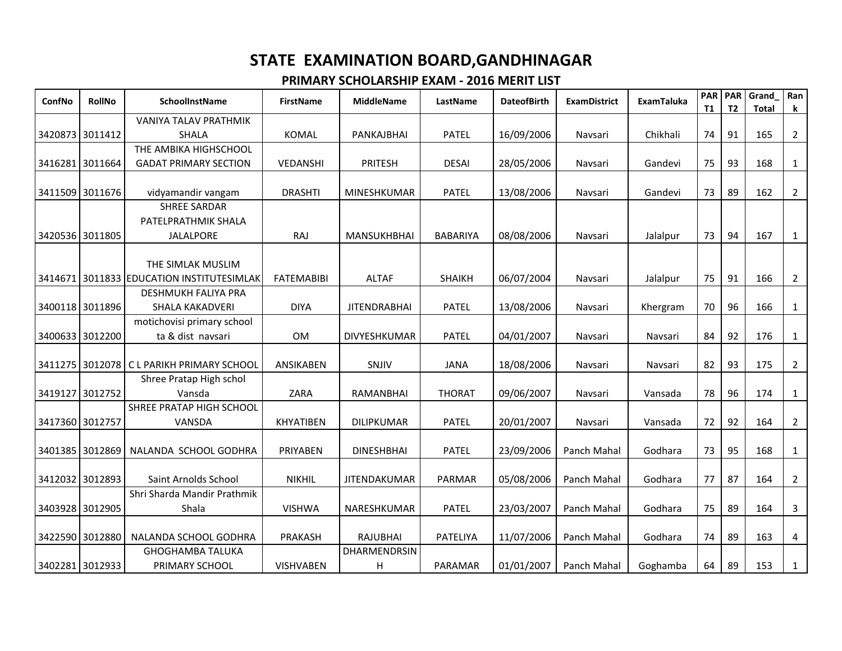| ConfNo | <b>RollNo</b>   | SchoolInstName                            | <b>FirstName</b>  | <b>MiddleName</b>   | LastName        | <b>DateofBirth</b> | <b>ExamDistrict</b> | <b>ExamTaluka</b> | PAR<br>T1 | <b>PAR</b><br>T <sub>2</sub> | Grand<br><b>Total</b> | Ran<br>$\bf k$ |
|--------|-----------------|-------------------------------------------|-------------------|---------------------|-----------------|--------------------|---------------------|-------------------|-----------|------------------------------|-----------------------|----------------|
|        |                 | VANIYA TALAV PRATHMIK                     |                   |                     |                 |                    |                     |                   |           |                              |                       |                |
|        | 3420873 3011412 | <b>SHALA</b>                              | <b>KOMAL</b>      | PANKAJBHAI          | <b>PATEL</b>    | 16/09/2006         | Navsari             | Chikhali          | 74        | 91                           | 165                   | $\overline{2}$ |
|        |                 | THE AMBIKA HIGHSCHOOL                     |                   |                     |                 |                    |                     |                   |           |                              |                       |                |
|        | 3416281 3011664 | <b>GADAT PRIMARY SECTION</b>              | VEDANSHI          | PRITESH             | <b>DESAI</b>    | 28/05/2006         | Navsari             | Gandevi           | 75        | 93                           | 168                   | $\mathbf{1}$   |
|        |                 |                                           |                   |                     |                 |                    |                     |                   |           |                              |                       |                |
|        | 3411509 3011676 | vidyamandir vangam                        | <b>DRASHTI</b>    | MINESHKUMAR         | <b>PATEL</b>    | 13/08/2006         | Navsari             | Gandevi           | 73        | 89                           | 162                   | $\overline{2}$ |
|        |                 | <b>SHREE SARDAR</b>                       |                   |                     |                 |                    |                     |                   |           |                              |                       |                |
|        |                 | PATELPRATHMIK SHALA                       |                   |                     |                 |                    |                     |                   |           |                              |                       |                |
|        | 3420536 3011805 | <b>JALALPORE</b>                          | <b>RAJ</b>        | <b>MANSUKHBHAI</b>  | <b>BABARIYA</b> | 08/08/2006         | Navsari             | Jalalpur          | 73        | 94                           | 167                   | $\mathbf{1}$   |
|        |                 |                                           |                   |                     |                 |                    |                     |                   |           |                              |                       |                |
|        |                 | THE SIMLAK MUSLIM                         |                   |                     |                 |                    |                     |                   |           |                              |                       |                |
|        |                 | 3414671 3011833 EDUCATION INSTITUTESIMLAK | <b>FATEMABIBI</b> | <b>ALTAF</b>        | <b>SHAIKH</b>   | 06/07/2004         | Navsari             | Jalalpur          | 75        | 91                           | 166                   | $\overline{2}$ |
|        |                 | <b>DESHMUKH FALIYA PRA</b>                |                   |                     |                 |                    |                     |                   |           |                              |                       |                |
|        | 3400118 3011896 | SHALA KAKADVERI                           | <b>DIYA</b>       | <b>JITENDRABHAI</b> | <b>PATEL</b>    | 13/08/2006         | Navsari             | Khergram          | 70        | 96                           | 166                   | $\mathbf{1}$   |
|        |                 | motichovisi primary school                |                   |                     |                 |                    |                     |                   |           |                              |                       |                |
|        | 3400633 3012200 | ta & dist navsari                         | <b>OM</b>         | DIVYESHKUMAR        | <b>PATEL</b>    | 04/01/2007         | Navsari             | Navsari           | 84        | 92                           | 176                   | $\mathbf{1}$   |
|        |                 | 3411275 3012078 C L PARIKH PRIMARY SCHOOL | ANSIKABEN         | SNJIV               | <b>JANA</b>     | 18/08/2006         | Navsari             | Navsari           | 82        | 93                           | 175                   | $\overline{2}$ |
|        |                 | Shree Pratap High schol                   |                   |                     |                 |                    |                     |                   |           |                              |                       |                |
|        | 3419127 3012752 | Vansda                                    | ZARA              | RAMANBHAI           | <b>THORAT</b>   | 09/06/2007         | Navsari             | Vansada           | 78        | 96                           | 174                   | $\mathbf{1}$   |
|        |                 | SHREE PRATAP HIGH SCHOOL                  |                   |                     |                 |                    |                     |                   |           |                              |                       |                |
|        | 3417360 3012757 | VANSDA                                    | KHYATIBEN         | <b>DILIPKUMAR</b>   | <b>PATEL</b>    | 20/01/2007         | Navsari             | Vansada           | 72        | 92                           | 164                   | $\overline{2}$ |
|        |                 |                                           |                   |                     |                 |                    |                     |                   |           |                              |                       |                |
|        | 3401385 3012869 | NALANDA SCHOOL GODHRA                     | PRIYABEN          | <b>DINESHBHAI</b>   | <b>PATEL</b>    | 23/09/2006         | Panch Mahal         | Godhara           | 73        | 95                           | 168                   | $\mathbf{1}$   |
|        |                 |                                           |                   |                     |                 |                    |                     |                   |           |                              |                       |                |
|        | 3412032 3012893 | Saint Arnolds School                      | <b>NIKHIL</b>     | <b>JITENDAKUMAR</b> | PARMAR          | 05/08/2006         | Panch Mahal         | Godhara           | 77        | 87                           | 164                   | $\overline{2}$ |
|        |                 | Shri Sharda Mandir Prathmik               |                   |                     |                 |                    |                     |                   |           |                              |                       |                |
|        | 3403928 3012905 | Shala                                     | <b>VISHWA</b>     | NARESHKUMAR         | <b>PATEL</b>    | 23/03/2007         | Panch Mahal         | Godhara           | 75        | 89                           | 164                   | 3              |
|        | 3422590 3012880 | NALANDA SCHOOL GODHRA                     | PRAKASH           | <b>RAJUBHAI</b>     | PATELIYA        | 11/07/2006         | Panch Mahal         | Godhara           | 74        | 89                           | 163                   | 4              |
|        |                 | <b>GHOGHAMBA TALUKA</b>                   |                   | DHARMENDRSIN        |                 |                    |                     |                   |           |                              |                       |                |
|        | 3402281 3012933 | PRIMARY SCHOOL                            | <b>VISHVABEN</b>  | H                   | PARAMAR         | 01/01/2007         | Panch Mahal         | Goghamba          | 64        | 89                           | 153                   | $\mathbf{1}$   |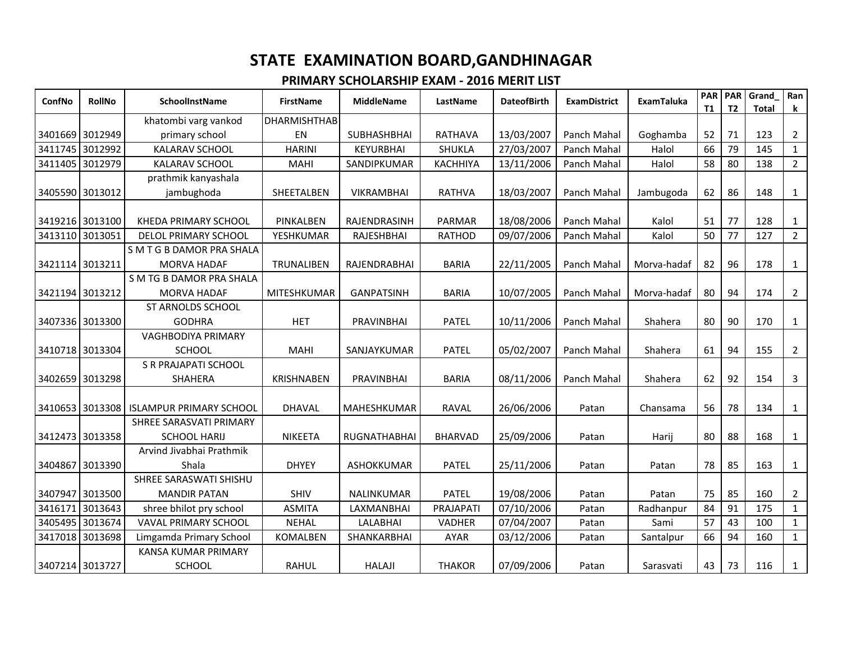| ConfNo          | <b>RollNo</b>   | SchoolInstName                 | <b>FirstName</b>    | <b>MiddleName</b>  | LastName        | <b>DateofBirth</b> | <b>ExamDistrict</b> | <b>ExamTaluka</b> | <b>PAR</b><br><b>T1</b> | <b>PAR</b><br>T <sub>2</sub> | Grand<br><b>Total</b> | Ran<br>k       |
|-----------------|-----------------|--------------------------------|---------------------|--------------------|-----------------|--------------------|---------------------|-------------------|-------------------------|------------------------------|-----------------------|----------------|
|                 |                 | khatombi varg vankod           | <b>DHARMISHTHAB</b> |                    |                 |                    |                     |                   |                         |                              |                       |                |
| 3401669 3012949 |                 | primary school                 | EN                  | <b>SUBHASHBHAI</b> | RATHAVA         | 13/03/2007         | Panch Mahal         | Goghamba          | 52                      | 71                           | 123                   | $\overline{2}$ |
| 3411745         | 3012992         | <b>KALARAV SCHOOL</b>          | <b>HARINI</b>       | <b>KEYURBHAI</b>   | <b>SHUKLA</b>   | 27/03/2007         | Panch Mahal         | Halol             | 66                      | 79                           | 145                   | $\mathbf{1}$   |
| 3411405         | 3012979         | <b>KALARAV SCHOOL</b>          | <b>MAHI</b>         | SANDIPKUMAR        | <b>KACHHIYA</b> | 13/11/2006         | Panch Mahal         | Halol             | 58                      | 80                           | 138                   | $\overline{2}$ |
|                 |                 | prathmik kanyashala            |                     |                    |                 |                    |                     |                   |                         |                              |                       |                |
| 3405590         | 3013012         | jambughoda                     | SHEETALBEN          | <b>VIKRAMBHAI</b>  | <b>RATHVA</b>   | 18/03/2007         | Panch Mahal         | Jambugoda         | 62                      | 86                           | 148                   | 1              |
|                 |                 |                                |                     |                    |                 |                    |                     |                   |                         |                              |                       |                |
| 3419216 3013100 |                 | KHEDA PRIMARY SCHOOL           | PINKALBEN           | RAJENDRASINH       | <b>PARMAR</b>   | 18/08/2006         | Panch Mahal         | Kalol             | 51                      | 77                           | 128                   | 1              |
| 3413110         | 3013051         | DELOL PRIMARY SCHOOL           | YESHKUMAR           | RAJESHBHAI         | <b>RATHOD</b>   | 09/07/2006         | Panch Mahal         | Kalol             | 50                      | 77                           | 127                   | $\overline{2}$ |
|                 |                 | S M T G B DAMOR PRA SHALA      |                     |                    |                 |                    |                     |                   |                         |                              |                       |                |
| 3421114 3013211 |                 | <b>MORVA HADAF</b>             | TRUNALIBEN          | RAJENDRABHAI       | <b>BARIA</b>    | 22/11/2005         | Panch Mahal         | Morva-hadaf       | 82                      | 96                           | 178                   | $\mathbf{1}$   |
|                 |                 | S M TG B DAMOR PRA SHALA       |                     |                    |                 |                    |                     |                   |                         |                              |                       |                |
| 3421194 3013212 |                 | <b>MORVA HADAF</b>             | <b>MITESHKUMAR</b>  | <b>GANPATSINH</b>  | <b>BARIA</b>    | 10/07/2005         | Panch Mahal         | Morva-hadaf       | 80                      | 94                           | 174                   | $\overline{2}$ |
|                 |                 | ST ARNOLDS SCHOOL              |                     |                    |                 |                    |                     |                   |                         |                              |                       |                |
| 3407336 3013300 |                 | <b>GODHRA</b>                  | <b>HET</b>          | PRAVINBHAI         | <b>PATEL</b>    | 10/11/2006         | Panch Mahal         | Shahera           | 80                      | 90                           | 170                   | $\mathbf{1}$   |
|                 |                 | <b>VAGHBODIYA PRIMARY</b>      |                     |                    |                 |                    |                     |                   |                         |                              |                       |                |
| 3410718 3013304 |                 | SCHOOL                         | <b>MAHI</b>         | SANJAYKUMAR        | <b>PATEL</b>    | 05/02/2007         | Panch Mahal         | Shahera           | 61                      | 94                           | 155                   | $\overline{2}$ |
|                 |                 | S R PRAJAPATI SCHOOL           |                     |                    |                 |                    |                     |                   |                         |                              |                       |                |
| 3402659 3013298 |                 | <b>SHAHERA</b>                 | <b>KRISHNABEN</b>   | PRAVINBHAI         | <b>BARIA</b>    | 08/11/2006         | Panch Mahal         | Shahera           | 62                      | 92                           | 154                   | $\mathbf{3}$   |
|                 |                 |                                |                     |                    |                 |                    |                     |                   |                         |                              |                       |                |
| 3410653 3013308 |                 | <b>ISLAMPUR PRIMARY SCHOOL</b> | <b>DHAVAL</b>       | <b>MAHESHKUMAR</b> | <b>RAVAL</b>    | 26/06/2006         | Patan               | Chansama          | 56                      | 78                           | 134                   | $\mathbf{1}$   |
|                 |                 | SHREE SARASVATI PRIMARY        |                     |                    |                 |                    |                     |                   |                         |                              |                       |                |
| 3412473 3013358 |                 | <b>SCHOOL HARIJ</b>            | NIKEETA             | RUGNATHABHAI       | <b>BHARVAD</b>  | 25/09/2006         | Patan               | Harij             | 80                      | 88                           | 168                   | $\mathbf{1}$   |
|                 |                 | Arvind Jivabhai Prathmik       |                     |                    |                 |                    |                     |                   |                         |                              |                       |                |
| 3404867         | 3013390         | Shala                          | <b>DHYEY</b>        | ASHOKKUMAR         | <b>PATEL</b>    | 25/11/2006         | Patan               | Patan             | 78                      | 85                           | 163                   | $\mathbf{1}$   |
|                 |                 | SHREE SARASWATI SHISHU         |                     |                    |                 |                    |                     |                   |                         |                              |                       |                |
|                 | 3407947 3013500 | <b>MANDIR PATAN</b>            | <b>SHIV</b>         | NALINKUMAR         | <b>PATEL</b>    | 19/08/2006         | Patan               | Patan             | 75                      | 85                           | 160                   | $\overline{2}$ |
| 3416171         | 3013643         | shree bhilot pry school        | <b>ASMITA</b>       | LAXMANBHAI         | PRAJAPATI       | 07/10/2006         | Patan               | Radhanpur         | 84                      | 91                           | 175                   | $\mathbf{1}$   |
| 3405495         | 3013674         | <b>VAVAL PRIMARY SCHOOL</b>    | <b>NEHAL</b>        | <b>LALABHAI</b>    | <b>VADHER</b>   | 07/04/2007         | Patan               | Sami              | 57                      | 43                           | 100                   | $\mathbf{1}$   |
| 3417018         | 3013698         | Limgamda Primary School        | KOMALBEN            | SHANKARBHAI        | <b>AYAR</b>     | 03/12/2006         | Patan               | Santalpur         | 66                      | 94                           | 160                   | $\mathbf{1}$   |
|                 |                 | <b>KANSA KUMAR PRIMARY</b>     |                     |                    |                 |                    |                     |                   |                         |                              |                       |                |
| 3407214 3013727 |                 | <b>SCHOOL</b>                  | <b>RAHUL</b>        | <b>HALAJI</b>      | <b>THAKOR</b>   | 07/09/2006         | Patan               | Sarasvati         | 43                      | 73                           | 116                   | $\mathbf{1}$   |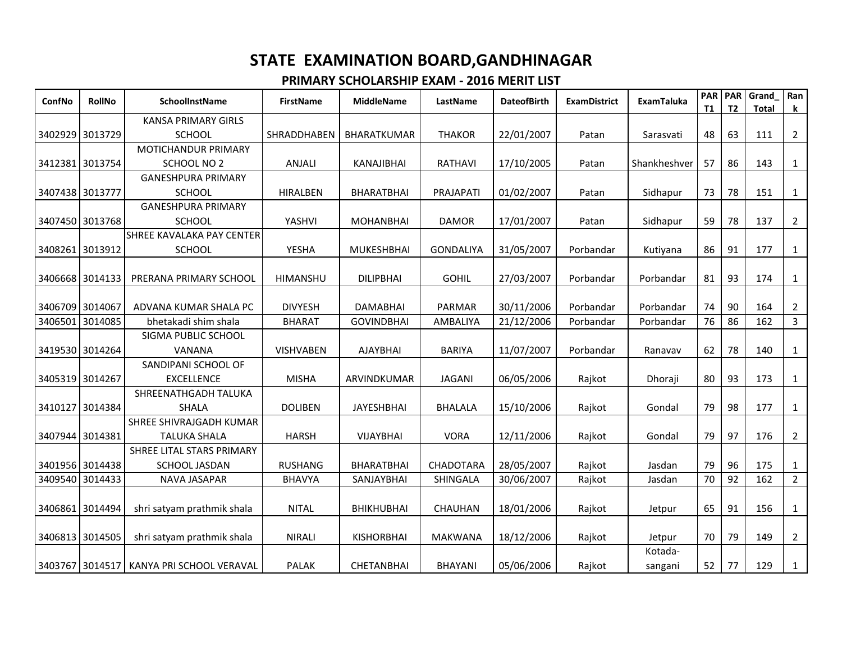| ConfNo          | <b>RollNo</b>   | <b>SchoolInstName</b>            | <b>FirstName</b>   | <b>MiddleName</b>  | LastName         | <b>DateofBirth</b> | <b>ExamDistrict</b> | <b>ExamTaluka</b> | <b>PAR</b><br><b>T1</b> | <b>PAR</b><br>T <sub>2</sub> | Grand<br><b>Total</b> | Ran<br>k       |
|-----------------|-----------------|----------------------------------|--------------------|--------------------|------------------|--------------------|---------------------|-------------------|-------------------------|------------------------------|-----------------------|----------------|
|                 |                 | <b>KANSA PRIMARY GIRLS</b>       |                    |                    |                  |                    |                     |                   |                         |                              |                       |                |
|                 | 3402929 3013729 | <b>SCHOOL</b>                    | <b>SHRADDHABEN</b> | <b>BHARATKUMAR</b> | <b>THAKOR</b>    | 22/01/2007         | Patan               | Sarasvati         | 48                      | 63                           | 111                   | $\overline{2}$ |
|                 |                 | MOTICHANDUR PRIMARY              |                    |                    |                  |                    |                     |                   |                         |                              |                       |                |
|                 | 3412381 3013754 | <b>SCHOOL NO 2</b>               | ANJALI             | KANAJIBHAI         | <b>RATHAVI</b>   | 17/10/2005         | Patan               | Shankheshver      | 57                      | 86                           | 143                   | $\mathbf{1}$   |
|                 |                 | <b>GANESHPURA PRIMARY</b>        |                    |                    |                  |                    |                     |                   |                         |                              |                       |                |
|                 | 3407438 3013777 | <b>SCHOOL</b>                    | <b>HIRALBEN</b>    | <b>BHARATBHAI</b>  | PRAJAPATI        | 01/02/2007         | Patan               | Sidhapur          | 73                      | 78                           | 151                   | $\mathbf{1}$   |
|                 |                 | <b>GANESHPURA PRIMARY</b>        |                    |                    |                  |                    |                     |                   |                         |                              |                       |                |
|                 | 3407450 3013768 | <b>SCHOOL</b>                    | YASHVI             | <b>MOHANBHAI</b>   | <b>DAMOR</b>     | 17/01/2007         | Patan               | Sidhapur          | 59                      | 78                           | 137                   | $\overline{2}$ |
|                 |                 | <b>SHREE KAVALAKA PAY CENTER</b> |                    |                    |                  |                    |                     |                   |                         |                              |                       |                |
| 3408261         | 3013912         | <b>SCHOOL</b>                    | <b>YESHA</b>       | <b>MUKESHBHAI</b>  | <b>GONDALIYA</b> | 31/05/2007         | Porbandar           | Kutiyana          | 86                      | 91                           | 177                   | 1              |
|                 |                 |                                  |                    |                    |                  |                    |                     |                   |                         |                              |                       |                |
|                 | 3406668 3014133 | PRERANA PRIMARY SCHOOL           | HIMANSHU           | <b>DILIPBHAI</b>   | <b>GOHIL</b>     | 27/03/2007         | Porbandar           | Porbandar         | 81                      | 93                           | 174                   | 1              |
|                 |                 |                                  |                    |                    |                  |                    |                     |                   |                         |                              |                       |                |
| 3406709 3014067 |                 | ADVANA KUMAR SHALA PC            | <b>DIVYESH</b>     | <b>DAMABHAI</b>    | PARMAR           | 30/11/2006         | Porbandar           | Porbandar         | 74                      | 90                           | 164                   | $\overline{2}$ |
| 3406501         | 3014085         | bhetakadi shim shala             | <b>BHARAT</b>      | <b>GOVINDBHAI</b>  | AMBALIYA         | 21/12/2006         | Porbandar           | Porbandar         | 76                      | 86                           | 162                   | $\overline{3}$ |
|                 |                 | SIGMA PUBLIC SCHOOL              |                    |                    |                  |                    |                     |                   |                         |                              |                       |                |
|                 | 3419530 3014264 | <b>VANANA</b>                    | <b>VISHVABEN</b>   | <b>AJAYBHAI</b>    | <b>BARIYA</b>    | 11/07/2007         | Porbandar           | Ranavav           | 62                      | 78                           | 140                   | $\mathbf{1}$   |
|                 |                 | SANDIPANI SCHOOL OF              |                    |                    |                  |                    |                     |                   |                         |                              |                       |                |
|                 | 3405319 3014267 | <b>EXCELLENCE</b>                | <b>MISHA</b>       | ARVINDKUMAR        | <b>JAGANI</b>    | 06/05/2006         | Rajkot              | Dhoraji           | 80                      | 93                           | 173                   | $\mathbf{1}$   |
|                 |                 | SHREENATHGADH TALUKA             |                    |                    |                  |                    |                     |                   |                         |                              |                       |                |
|                 | 3410127 3014384 | <b>SHALA</b>                     | <b>DOLIBEN</b>     | <b>JAYESHBHAI</b>  | <b>BHALALA</b>   | 15/10/2006         | Rajkot              | Gondal            | 79                      | 98                           | 177                   | 1              |
|                 |                 | SHREE SHIVRAJGADH KUMAR          |                    |                    |                  |                    |                     |                   |                         |                              |                       |                |
|                 | 3407944 3014381 | <b>TALUKA SHALA</b>              | <b>HARSH</b>       | VIJAYBHAI          | <b>VORA</b>      | 12/11/2006         | Rajkot              | Gondal            | 79                      | 97                           | 176                   | $\overline{2}$ |
|                 |                 | SHREE LITAL STARS PRIMARY        |                    |                    |                  |                    |                     |                   |                         |                              |                       |                |
|                 | 3401956 3014438 | SCHOOL JASDAN                    | <b>RUSHANG</b>     | <b>BHARATBHAI</b>  | CHADOTARA        | 28/05/2007         | Rajkot              | Jasdan            | 79                      | 96                           | 175                   | $\mathbf{1}$   |
| 3409540         | 3014433         | NAVA JASAPAR                     | <b>BHAVYA</b>      | SANJAYBHAI         | SHINGALA         | 30/06/2007         | Rajkot              | Jasdan            | 70                      | 92                           | 162                   | $\overline{2}$ |
|                 |                 |                                  |                    |                    |                  |                    |                     |                   |                         |                              |                       |                |
|                 | 3406861 3014494 | shri satyam prathmik shala       | <b>NITAL</b>       | <b>BHIKHUBHAI</b>  | CHAUHAN          | 18/01/2006         | Rajkot              | Jetpur            | 65                      | 91                           | 156                   | $\mathbf{1}$   |
|                 |                 |                                  |                    |                    |                  |                    |                     |                   |                         |                              |                       |                |
|                 | 3406813 3014505 | shri satyam prathmik shala       | <b>NIRALI</b>      | <b>KISHORBHAI</b>  | <b>MAKWANA</b>   | 18/12/2006         | Rajkot              | Jetpur            | 70                      | 79                           | 149                   | $\overline{2}$ |
|                 |                 |                                  |                    |                    |                  |                    |                     | Kotada-           |                         |                              |                       |                |
|                 | 3403767 3014517 | KANYA PRI SCHOOL VERAVAL         | <b>PALAK</b>       | <b>CHETANBHAI</b>  | <b>BHAYANI</b>   | 05/06/2006         | Rajkot              | sangani           | 52                      | 77                           | 129                   | $\mathbf{1}$   |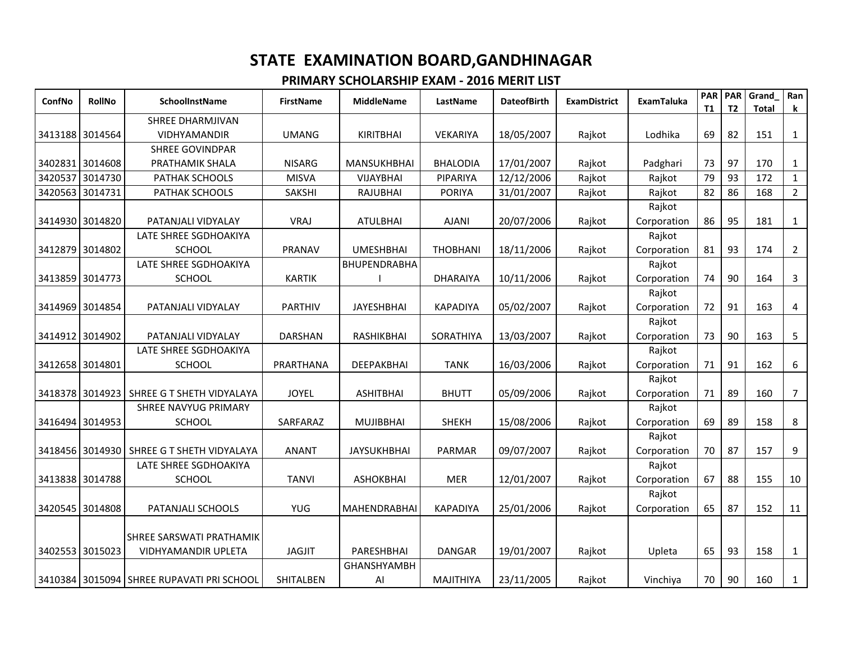| ConfNo          | <b>RollNo</b> | <b>SchoolInstName</b>                     | <b>FirstName</b> | <b>MiddleName</b>   | LastName         | <b>DateofBirth</b> | <b>ExamDistrict</b> | <b>ExamTaluka</b> | <b>PAR</b><br><b>T1</b> | PAR<br>T <sub>2</sub> | Grand<br><b>Total</b> | Ran<br>k       |
|-----------------|---------------|-------------------------------------------|------------------|---------------------|------------------|--------------------|---------------------|-------------------|-------------------------|-----------------------|-----------------------|----------------|
|                 |               | <b>SHREE DHARMJIVAN</b>                   |                  |                     |                  |                    |                     |                   |                         |                       |                       |                |
| 3413188 3014564 |               | <b>VIDHYAMANDIR</b>                       | <b>UMANG</b>     | KIRITBHAI           | <b>VEKARIYA</b>  | 18/05/2007         | Rajkot              | Lodhika           | 69                      | 82                    | 151                   | $\mathbf{1}$   |
|                 |               | <b>SHREE GOVINDPAR</b>                    |                  |                     |                  |                    |                     |                   |                         |                       |                       |                |
| 3402831 3014608 |               | PRATHAMIK SHALA                           | <b>NISARG</b>    | <b>MANSUKHBHAI</b>  | <b>BHALODIA</b>  | 17/01/2007         | Rajkot              | Padghari          | 73                      | 97                    | 170                   | $\mathbf{1}$   |
| 3420537 3014730 |               | PATHAK SCHOOLS                            | <b>MISVA</b>     | VIJAYBHAI           | PIPARIYA         | 12/12/2006         | Rajkot              | Rajkot            | 79                      | 93                    | 172                   | $\mathbf{1}$   |
| 3420563 3014731 |               | PATHAK SCHOOLS                            | SAKSHI           | RAJUBHAI            | <b>PORIYA</b>    | 31/01/2007         | Rajkot              | Rajkot            | 82                      | 86                    | 168                   | $\overline{2}$ |
|                 |               |                                           |                  |                     |                  |                    |                     | Rajkot            |                         |                       |                       |                |
| 3414930 3014820 |               | PATANJALI VIDYALAY                        | <b>VRAJ</b>      | <b>ATULBHAI</b>     | <b>AJANI</b>     | 20/07/2006         | Rajkot              | Corporation       | 86                      | 95                    | 181                   | $\mathbf{1}$   |
|                 |               | LATE SHREE SGDHOAKIYA                     |                  |                     |                  |                    |                     | Rajkot            |                         |                       |                       |                |
| 3412879 3014802 |               | <b>SCHOOL</b>                             | PRANAV           | <b>UMESHBHAI</b>    | <b>THOBHANI</b>  | 18/11/2006         | Rajkot              | Corporation       | 81                      | 93                    | 174                   | $\overline{2}$ |
|                 |               | LATE SHREE SGDHOAKIYA                     |                  | BHUPENDRABHA        |                  |                    |                     | Rajkot            |                         |                       |                       |                |
| 3413859 3014773 |               | <b>SCHOOL</b>                             | <b>KARTIK</b>    |                     | <b>DHARAIYA</b>  | 10/11/2006         | Rajkot              | Corporation       | 74                      | 90                    | 164                   | $\mathsf{3}$   |
|                 |               |                                           |                  |                     |                  |                    |                     | Rajkot            |                         |                       |                       |                |
| 3414969 3014854 |               | PATANJALI VIDYALAY                        | <b>PARTHIV</b>   | <b>JAYESHBHAI</b>   | <b>KAPADIYA</b>  | 05/02/2007         | Rajkot              | Corporation       | 72                      | 91                    | 163                   | 4              |
|                 |               |                                           |                  |                     |                  |                    |                     | Rajkot            |                         |                       |                       |                |
| 3414912 3014902 |               | PATANJALI VIDYALAY                        | <b>DARSHAN</b>   | RASHIKBHAI          | SORATHIYA        | 13/03/2007         | Rajkot              | Corporation       | 73                      | 90                    | 163                   | 5              |
|                 |               | LATE SHREE SGDHOAKIYA                     |                  |                     |                  |                    |                     | Rajkot            |                         |                       |                       |                |
| 3412658 3014801 |               | <b>SCHOOL</b>                             | PRARTHANA        | DEEPAKBHAI          | TANK             | 16/03/2006         | Rajkot              | Corporation       | 71                      | 91                    | 162                   | 6              |
|                 |               |                                           |                  |                     |                  |                    |                     | Rajkot            |                         |                       |                       |                |
| 3418378 3014923 |               | SHREE G T SHETH VIDYALAYA                 | <b>JOYEL</b>     | <b>ASHITBHAI</b>    | <b>BHUTT</b>     | 05/09/2006         | Rajkot              | Corporation       | 71                      | 89                    | 160                   | $\overline{7}$ |
|                 |               | SHREE NAVYUG PRIMARY                      |                  |                     |                  |                    |                     | Rajkot            |                         |                       |                       |                |
| 3416494 3014953 |               | <b>SCHOOL</b>                             | SARFARAZ         | <b>MUJIBBHAI</b>    | <b>SHEKH</b>     | 15/08/2006         | Rajkot              | Corporation       | 69                      | 89                    | 158                   | 8              |
|                 |               |                                           |                  |                     |                  |                    |                     | Rajkot            |                         |                       |                       |                |
| 3418456 3014930 |               | SHREE G T SHETH VIDYALAYA                 | <b>ANANT</b>     | <b>JAYSUKHBHAI</b>  | <b>PARMAR</b>    | 09/07/2007         | Rajkot              | Corporation       | 70                      | 87                    | 157                   | 9              |
|                 |               | LATE SHREE SGDHOAKIYA                     |                  |                     |                  |                    |                     | Rajkot            |                         |                       |                       |                |
| 3413838 3014788 |               | <b>SCHOOL</b>                             | <b>TANVI</b>     | <b>ASHOKBHAI</b>    | <b>MER</b>       | 12/01/2007         | Rajkot              | Corporation       | 67                      | 88                    | 155                   | 10             |
|                 |               |                                           |                  |                     |                  |                    |                     | Rajkot            |                         |                       |                       |                |
| 3420545 3014808 |               | PATANJALI SCHOOLS                         | YUG.             | <b>MAHENDRABHAI</b> | <b>KAPADIYA</b>  | 25/01/2006         | Rajkot              | Corporation       | 65                      | 87                    | 152                   | 11             |
|                 |               |                                           |                  |                     |                  |                    |                     |                   |                         |                       |                       |                |
|                 |               | SHREE SARSWATI PRATHAMIK                  |                  |                     |                  |                    |                     |                   |                         |                       |                       |                |
| 3402553 3015023 |               | <b>VIDHYAMANDIR UPLETA</b>                | <b>JAGJIT</b>    | PARESHBHAI          | DANGAR           | 19/01/2007         | Rajkot              | Upleta            | 65                      | 93                    | 158                   | $\mathbf{1}$   |
|                 |               |                                           |                  | GHANSHYAMBH         |                  |                    |                     |                   |                         |                       |                       |                |
|                 |               | 3410384 3015094 SHREE RUPAVATI PRI SCHOOL | SHITALBEN        | Al                  | <b>MAJITHIYA</b> | 23/11/2005         | Rajkot              | Vinchiya          | 70                      | 90                    | 160                   | $\mathbf{1}$   |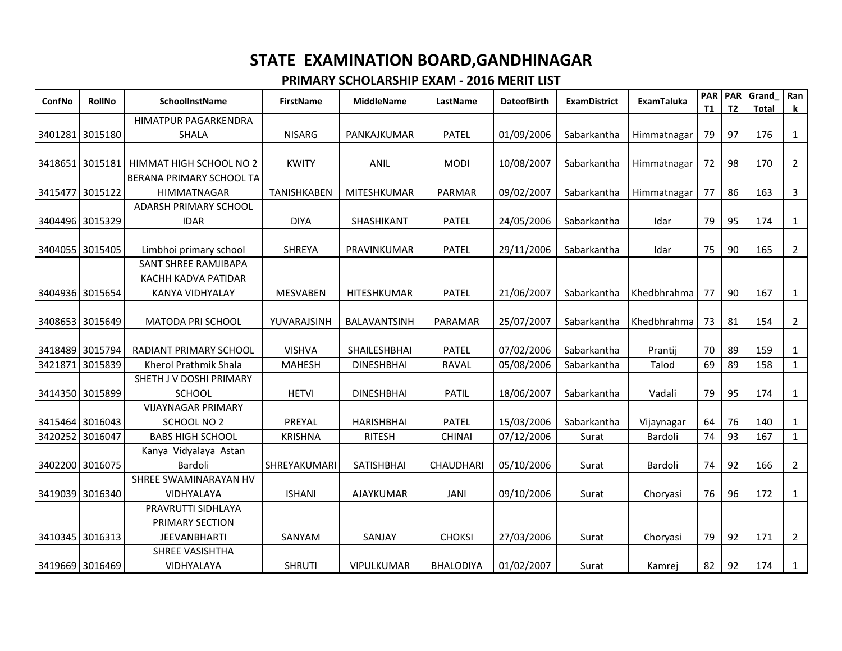| ConfNo          | <b>RollNo</b>              | <b>SchoolInstName</b>         | <b>FirstName</b>   | <b>MiddleName</b>                 | LastName                     | <b>DateofBirth</b>       | <b>ExamDistrict</b>        | <b>ExamTaluka</b> | <b>PAR</b><br>T1 | <b>PAR</b><br>T <sub>2</sub> | Grand<br><b>Total</b> | Ran<br>$\bf k$               |
|-----------------|----------------------------|-------------------------------|--------------------|-----------------------------------|------------------------------|--------------------------|----------------------------|-------------------|------------------|------------------------------|-----------------------|------------------------------|
|                 |                            | <b>HIMATPUR PAGARKENDRA</b>   |                    |                                   |                              |                          |                            |                   |                  |                              |                       |                              |
|                 | 3401281 3015180            | <b>SHALA</b>                  | <b>NISARG</b>      | PANKAJKUMAR                       | <b>PATEL</b>                 | 01/09/2006               | Sabarkantha                | Himmatnagar       | 79               | 97                           | 176                   | $\mathbf{1}$                 |
|                 |                            |                               |                    |                                   |                              |                          |                            |                   |                  |                              |                       |                              |
|                 | 3418651 3015181            | HIMMAT HIGH SCHOOL NO 2       | <b>KWITY</b>       | ANIL                              | <b>MODI</b>                  | 10/08/2007               | Sabarkantha                | Himmatnagar       | 72               | 98                           | 170                   | $\overline{2}$               |
|                 |                            | BERANA PRIMARY SCHOOL TA      |                    |                                   |                              |                          |                            |                   |                  |                              |                       |                              |
|                 | 3415477 3015122            | <b>HIMMATNAGAR</b>            | <b>TANISHKABEN</b> | <b>MITESHKUMAR</b>                | PARMAR                       | 09/02/2007               | Sabarkantha                | Himmatnagar       | 77               | 86                           | 163                   | $\mathbf{3}$                 |
|                 |                            | ADARSH PRIMARY SCHOOL         |                    |                                   |                              |                          |                            |                   |                  |                              |                       |                              |
|                 | 3404496 3015329            | <b>IDAR</b>                   | <b>DIYA</b>        | SHASHIKANT                        | <b>PATEL</b>                 | 24/05/2006               | Sabarkantha                | Idar              | 79               | 95                           | 174                   | $\mathbf{1}$                 |
|                 |                            |                               |                    |                                   |                              |                          |                            |                   |                  |                              |                       |                              |
|                 | 3404055 3015405            | Limbhoi primary school        | <b>SHREYA</b>      | PRAVINKUMAR                       | <b>PATEL</b>                 | 29/11/2006               | Sabarkantha                | Idar              | 75               | 90                           | 165                   | $\overline{2}$               |
|                 |                            | SANT SHREE RAMJIBAPA          |                    |                                   |                              |                          |                            |                   |                  |                              |                       |                              |
|                 |                            | KACHH KADVA PATIDAR           |                    |                                   |                              |                          |                            |                   |                  |                              |                       |                              |
|                 | 3404936 3015654            | <b>KANYA VIDHYALAY</b>        | <b>MESVABEN</b>    | <b>HITESHKUMAR</b>                | <b>PATEL</b>                 | 21/06/2007               | Sabarkantha                | Khedbhrahma       | 77               | 90                           | 167                   | $\mathbf{1}$                 |
|                 |                            |                               |                    |                                   |                              |                          |                            |                   |                  |                              |                       |                              |
|                 | 3408653 3015649            | <b>MATODA PRI SCHOOL</b>      | YUVARAJSINH        | <b>BALAVANTSINH</b>               | PARAMAR                      | 25/07/2007               | Sabarkantha                | Khedbhrahma       | 73               | 81                           | 154                   | $\overline{2}$               |
|                 |                            | <b>RADIANT PRIMARY SCHOOL</b> | <b>VISHVA</b>      |                                   |                              |                          |                            |                   | 70               | 89                           | 159                   |                              |
| 3421871         | 3418489 3015794<br>3015839 | Kherol Prathmik Shala         | <b>MAHESH</b>      | SHAILESHBHAI<br><b>DINESHBHAI</b> | <b>PATEL</b><br><b>RAVAL</b> | 07/02/2006<br>05/08/2006 | Sabarkantha<br>Sabarkantha | Prantij<br>Talod  | 69               | 89                           | 158                   | $\mathbf{1}$<br>$\mathbf{1}$ |
|                 |                            | SHETH J V DOSHI PRIMARY       |                    |                                   |                              |                          |                            |                   |                  |                              |                       |                              |
| 3414350 3015899 |                            | <b>SCHOOL</b>                 | <b>HETVI</b>       | <b>DINESHBHAI</b>                 | <b>PATIL</b>                 | 18/06/2007               | Sabarkantha                | Vadali            | 79               | 95                           | 174                   | $\mathbf{1}$                 |
|                 |                            | <b>VIJAYNAGAR PRIMARY</b>     |                    |                                   |                              |                          |                            |                   |                  |                              |                       |                              |
|                 | 3415464 3016043            | <b>SCHOOL NO 2</b>            | PREYAL             | <b>HARISHBHAI</b>                 | <b>PATEL</b>                 | 15/03/2006               | Sabarkantha                | Vijaynagar        | 64               | 76                           | 140                   | $\mathbf{1}$                 |
| 3420252         | 3016047                    | <b>BABS HIGH SCHOOL</b>       | <b>KRISHNA</b>     | <b>RITESH</b>                     | <b>CHINAI</b>                | 07/12/2006               | Surat                      | Bardoli           | 74               | 93                           | 167                   | $\mathbf{1}$                 |
|                 |                            | Kanya Vidyalaya Astan         |                    |                                   |                              |                          |                            |                   |                  |                              |                       |                              |
|                 | 3402200 3016075            | Bardoli                       | SHREYAKUMARI       | SATISHBHAI                        | <b>CHAUDHARI</b>             | 05/10/2006               | Surat                      | Bardoli           | 74               | 92                           | 166                   | $\overline{2}$               |
|                 |                            | SHREE SWAMINARAYAN HV         |                    |                                   |                              |                          |                            |                   |                  |                              |                       |                              |
|                 | 3419039 3016340            | <b>VIDHYALAYA</b>             | <b>ISHANI</b>      | <b>AJAYKUMAR</b>                  | <b>JANI</b>                  | 09/10/2006               | Surat                      | Choryasi          | 76               | 96                           | 172                   | $\mathbf{1}$                 |
|                 |                            | PRAVRUTTI SIDHLAYA            |                    |                                   |                              |                          |                            |                   |                  |                              |                       |                              |
|                 |                            | PRIMARY SECTION               |                    |                                   |                              |                          |                            |                   |                  |                              |                       |                              |
|                 | 3410345 3016313            | <b>JEEVANBHARTI</b>           | SANYAM             | SANJAY                            | <b>CHOKSI</b>                | 27/03/2006               | Surat                      | Choryasi          | 79               | 92                           | 171                   | $\overline{2}$               |
|                 |                            | SHREE VASISHTHA               |                    |                                   |                              |                          |                            |                   |                  |                              |                       |                              |
|                 | 3419669 3016469            | <b>VIDHYALAYA</b>             | <b>SHRUTI</b>      | <b>VIPULKUMAR</b>                 | <b>BHALODIYA</b>             | 01/02/2007               | Surat                      | Kamrej            | 82               | 92                           | 174                   | $\mathbf{1}$                 |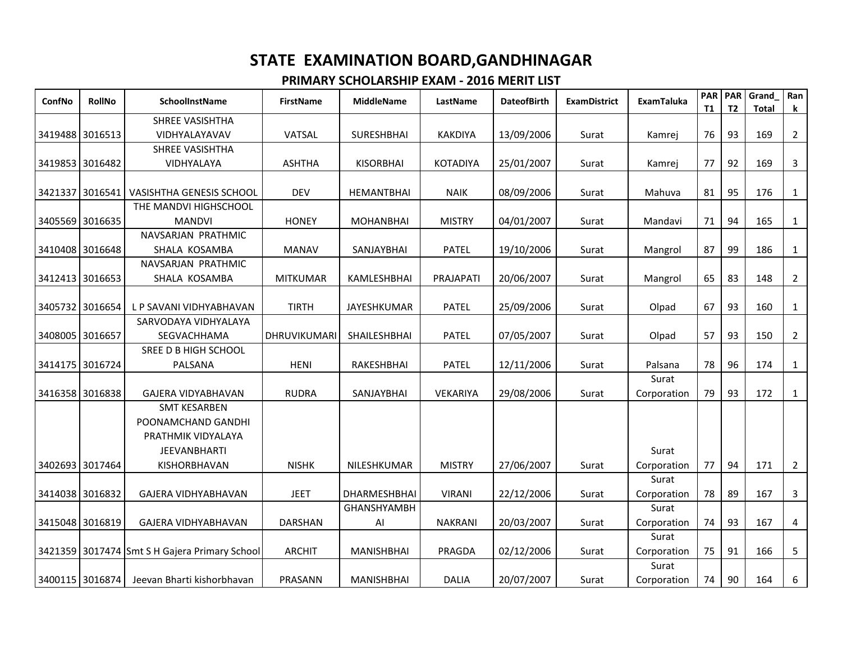| ConfNo          | <b>RollNo</b>   | SchoolInstName                                | <b>FirstName</b> | <b>MiddleName</b>  | LastName        | <b>DateofBirth</b> | <b>ExamDistrict</b> | <b>ExamTaluka</b> | <b>PAR</b><br><b>T1</b> | <b>PAR</b><br>T <sub>2</sub> | Grand<br><b>Total</b> | Ran<br>k       |
|-----------------|-----------------|-----------------------------------------------|------------------|--------------------|-----------------|--------------------|---------------------|-------------------|-------------------------|------------------------------|-----------------------|----------------|
|                 |                 | <b>SHREE VASISHTHA</b>                        |                  |                    |                 |                    |                     |                   |                         |                              |                       |                |
| 3419488 3016513 |                 | VIDHYALAYAVAV                                 | VATSAL           | <b>SURESHBHAI</b>  | <b>KAKDIYA</b>  | 13/09/2006         | Surat               | Kamrej            | 76                      | 93                           | 169                   | $\overline{2}$ |
|                 |                 | SHREE VASISHTHA                               |                  |                    |                 |                    |                     |                   |                         |                              |                       |                |
| 3419853 3016482 |                 | VIDHYALAYA                                    | <b>ASHTHA</b>    | <b>KISORBHAI</b>   | <b>KOTADIYA</b> | 25/01/2007         | Surat               | Kamrej            | 77                      | 92                           | 169                   | 3              |
|                 |                 |                                               |                  |                    |                 |                    |                     |                   |                         |                              |                       |                |
| 3421337         | 3016541         | <b>VASISHTHA GENESIS SCHOOL</b>               | DEV              | HEMANTBHAI         | <b>NAIK</b>     | 08/09/2006         | Surat               | Mahuva            | 81                      | 95                           | 176                   | 1              |
|                 |                 | THE MANDVI HIGHSCHOOL                         |                  |                    |                 |                    |                     |                   |                         |                              |                       |                |
| 3405569         | 3016635         | <b>MANDVI</b>                                 | <b>HONEY</b>     | <b>MOHANBHAI</b>   | <b>MISTRY</b>   | 04/01/2007         | Surat               | Mandavi           | 71                      | 94                           | 165                   | 1              |
|                 |                 | NAVSARJAN PRATHMIC                            |                  |                    |                 |                    |                     |                   |                         |                              |                       |                |
| 3410408 3016648 |                 | SHALA KOSAMBA                                 | <b>MANAV</b>     | SANJAYBHAI         | <b>PATEL</b>    | 19/10/2006         | Surat               | Mangrol           | 87                      | 99                           | 186                   | $\mathbf{1}$   |
|                 |                 | NAVSARJAN PRATHMIC                            |                  |                    |                 |                    |                     |                   |                         |                              |                       |                |
|                 | 3412413 3016653 | SHALA KOSAMBA                                 | <b>MITKUMAR</b>  | KAMLESHBHAI        | PRAJAPATI       | 20/06/2007         | Surat               | Mangrol           | 65                      | 83                           | 148                   | $\overline{2}$ |
|                 |                 |                                               |                  |                    |                 |                    |                     |                   |                         |                              |                       |                |
| 3405732 3016654 |                 | L P SAVANI VIDHYABHAVAN                       | <b>TIRTH</b>     | JAYESHKUMAR        | <b>PATEL</b>    | 25/09/2006         | Surat               | Olpad             | 67                      | 93                           | 160                   | 1              |
|                 |                 | SARVODAYA VIDHYALAYA                          |                  |                    |                 |                    |                     |                   |                         |                              |                       |                |
| 3408005 3016657 |                 | SEGVACHHAMA                                   | DHRUVIKUMARI     | SHAILESHBHAI       | <b>PATEL</b>    | 07/05/2007         | Surat               | Olpad             | 57                      | 93                           | 150                   | $\overline{2}$ |
|                 |                 | SREE D B HIGH SCHOOL                          |                  |                    |                 |                    |                     |                   |                         |                              |                       |                |
| 3414175 3016724 |                 | PALSANA                                       | <b>HENI</b>      | RAKESHBHAI         | <b>PATEL</b>    | 12/11/2006         | Surat               | Palsana           | 78                      | 96                           | 174                   | $\mathbf{1}$   |
|                 |                 |                                               |                  |                    |                 |                    |                     | Surat             |                         |                              |                       |                |
| 3416358 3016838 |                 | <b>GAJERA VIDYABHAVAN</b>                     | <b>RUDRA</b>     | SANJAYBHAI         | VEKARIYA        | 29/08/2006         | Surat               | Corporation       | 79                      | 93                           | 172                   | $\mathbf{1}$   |
|                 |                 | <b>SMT KESARBEN</b>                           |                  |                    |                 |                    |                     |                   |                         |                              |                       |                |
|                 |                 | POONAMCHAND GANDHI                            |                  |                    |                 |                    |                     |                   |                         |                              |                       |                |
|                 |                 | PRATHMIK VIDYALAYA                            |                  |                    |                 |                    |                     |                   |                         |                              |                       |                |
|                 |                 | <b>JEEVANBHARTI</b>                           |                  |                    |                 |                    |                     | Surat             |                         |                              |                       |                |
| 3402693 3017464 |                 | KISHORBHAVAN                                  | <b>NISHK</b>     | NILESHKUMAR        | <b>MISTRY</b>   | 27/06/2007         | Surat               | Corporation       | 77                      | 94                           | 171                   | $\overline{2}$ |
|                 |                 |                                               |                  |                    |                 |                    |                     | Surat             |                         |                              |                       |                |
| 3414038 3016832 |                 | GAJERA VIDHYABHAVAN                           | <b>JEET</b>      | DHARMESHBHAI       | <b>VIRANI</b>   | 22/12/2006         | Surat               | Corporation       | 78                      | 89                           | 167                   | 3              |
|                 |                 |                                               |                  | <b>GHANSHYAMBH</b> |                 |                    |                     | Surat             |                         |                              |                       |                |
| 3415048 3016819 |                 | GAJERA VIDHYABHAVAN                           | DARSHAN          | Al                 | <b>NAKRANI</b>  | 20/03/2007         | Surat               | Corporation       | 74                      | 93                           | 167                   | 4              |
|                 |                 |                                               |                  |                    |                 |                    |                     | Surat             |                         |                              |                       |                |
|                 |                 | 3421359 3017474 Smt S H Gajera Primary School | <b>ARCHIT</b>    | <b>MANISHBHAI</b>  | PRAGDA          | 02/12/2006         | Surat               | Corporation       | 75                      | 91                           | 166                   | 5              |
|                 |                 |                                               |                  |                    |                 |                    |                     | Surat             |                         |                              |                       |                |
| 3400115 3016874 |                 | Jeevan Bharti kishorbhavan                    | PRASANN          | <b>MANISHBHAI</b>  | <b>DALIA</b>    | 20/07/2007         | Surat               | Corporation       | 74                      | 90                           | 164                   | 6              |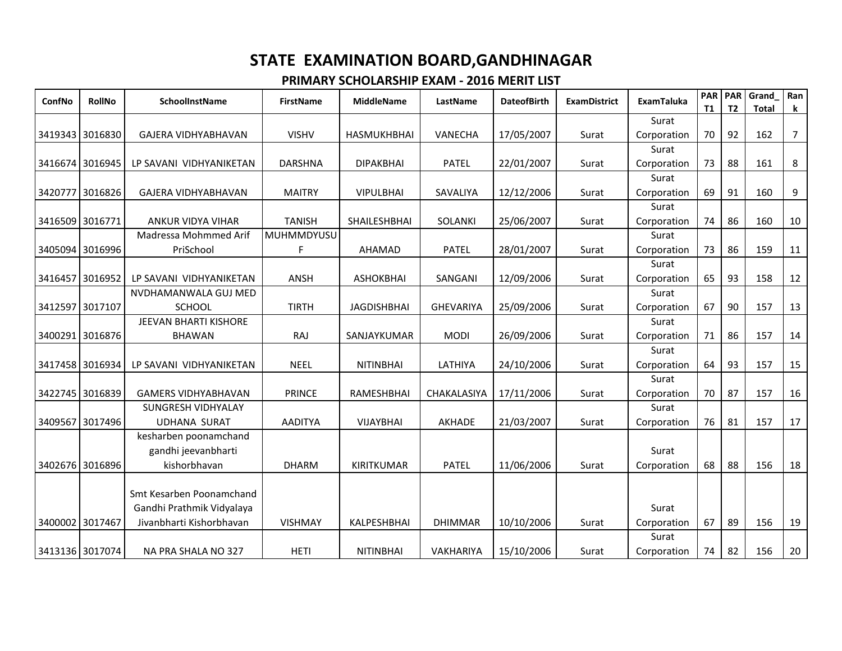| ConfNo          | <b>RollNo</b>   | SchoolInstName             | <b>FirstName</b> | <b>MiddleName</b>  | LastName         | <b>DateofBirth</b> | <b>ExamDistrict</b> | <b>ExamTaluka</b> | <b>PAR</b><br>T1 | <b>PAR</b><br>T <sub>2</sub> | Grand<br><b>Total</b> | Ran<br>$\mathbf k$ |
|-----------------|-----------------|----------------------------|------------------|--------------------|------------------|--------------------|---------------------|-------------------|------------------|------------------------------|-----------------------|--------------------|
|                 |                 |                            |                  |                    |                  |                    |                     | Surat             |                  |                              |                       |                    |
| 3419343 3016830 |                 | GAJERA VIDHYABHAVAN        | <b>VISHV</b>     | <b>HASMUKHBHAI</b> | <b>VANECHA</b>   | 17/05/2007         | Surat               | Corporation       | 70               | 92                           | 162                   | $\overline{7}$     |
|                 |                 |                            |                  |                    |                  |                    |                     | Surat             |                  |                              |                       |                    |
| 3416674         | 3016945         | LP SAVANI VIDHYANIKETAN    | <b>DARSHNA</b>   | <b>DIPAKBHAI</b>   | <b>PATEL</b>     | 22/01/2007         | Surat               | Corporation       | 73               | 88                           | 161                   | 8                  |
|                 |                 |                            |                  |                    |                  |                    |                     | Surat             |                  |                              |                       |                    |
| 3420777         | 3016826         | GAJERA VIDHYABHAVAN        | <b>MAITRY</b>    | <b>VIPULBHAI</b>   | SAVALIYA         | 12/12/2006         | Surat               | Corporation       | 69               | 91                           | 160                   | 9                  |
|                 |                 |                            |                  |                    |                  |                    |                     | Surat             |                  |                              |                       |                    |
| 3416509 3016771 |                 | <b>ANKUR VIDYA VIHAR</b>   | <b>TANISH</b>    | SHAILESHBHAI       | <b>SOLANKI</b>   | 25/06/2007         | Surat               | Corporation       | 74               | 86                           | 160                   | 10                 |
|                 |                 | Madressa Mohmmed Arif      | MUHMMDYUSU       |                    |                  |                    |                     | Surat             |                  |                              |                       |                    |
| 3405094 3016996 |                 | PriSchool                  | F                | AHAMAD             | PATEL            | 28/01/2007         | Surat               | Corporation       | 73               | 86                           | 159                   | 11                 |
|                 |                 |                            |                  |                    |                  |                    |                     | Surat             |                  |                              |                       |                    |
|                 | 3416457 3016952 | LP SAVANI VIDHYANIKETAN    | ANSH             | <b>ASHOKBHAI</b>   | SANGANI          | 12/09/2006         | Surat               | Corporation       | 65               | 93                           | 158                   | 12                 |
|                 |                 | NVDHAMANWALA GUJ MED       |                  |                    |                  |                    |                     | Surat             |                  |                              |                       |                    |
| 3412597 3017107 |                 | <b>SCHOOL</b>              | <b>TIRTH</b>     | <b>JAGDISHBHAI</b> | <b>GHEVARIYA</b> | 25/09/2006         | Surat               | Corporation       | 67               | 90                           | 157                   | 13                 |
|                 |                 | JEEVAN BHARTI KISHORE      |                  |                    |                  |                    |                     | Surat             |                  |                              |                       |                    |
| 3400291 3016876 |                 | <b>BHAWAN</b>              | RAJ              | SANJAYKUMAR        | <b>MODI</b>      | 26/09/2006         | Surat               | Corporation       | 71               | 86                           | 157                   | 14                 |
|                 |                 |                            |                  |                    |                  |                    |                     | Surat             |                  |                              |                       |                    |
| 3417458 3016934 |                 | LP SAVANI VIDHYANIKETAN    | <b>NEEL</b>      | <b>NITINBHAI</b>   | LATHIYA          | 24/10/2006         | Surat               | Corporation       | 64               | 93                           | 157                   | 15                 |
|                 |                 |                            |                  |                    |                  |                    |                     | Surat             |                  |                              |                       |                    |
| 3422745 3016839 |                 | <b>GAMERS VIDHYABHAVAN</b> | <b>PRINCE</b>    | RAMESHBHAI         | CHAKALASIYA      | 17/11/2006         | Surat               | Corporation       | 70               | 87                           | 157                   | 16                 |
|                 |                 | SUNGRESH VIDHYALAY         |                  |                    |                  |                    |                     | Surat             |                  |                              |                       |                    |
| 3409567         | 3017496         | <b>UDHANA SURAT</b>        | <b>AADITYA</b>   | <b>VIJAYBHAI</b>   | AKHADE           | 21/03/2007         | Surat               | Corporation       | 76               | 81                           | 157                   | 17                 |
|                 |                 | kesharben poonamchand      |                  |                    |                  |                    |                     |                   |                  |                              |                       |                    |
|                 |                 | gandhi jeevanbharti        |                  |                    |                  |                    |                     | Surat             |                  |                              |                       |                    |
| 3402676 3016896 |                 | kishorbhavan               | <b>DHARM</b>     | <b>KIRITKUMAR</b>  | <b>PATEL</b>     | 11/06/2006         | Surat               | Corporation       | 68               | 88                           | 156                   | 18                 |
|                 |                 |                            |                  |                    |                  |                    |                     |                   |                  |                              |                       |                    |
|                 |                 | Smt Kesarben Poonamchand   |                  |                    |                  |                    |                     |                   |                  |                              |                       |                    |
|                 |                 | Gandhi Prathmik Vidyalaya  |                  |                    |                  |                    |                     | Surat             |                  |                              |                       |                    |
| 3400002 3017467 |                 | Jivanbharti Kishorbhavan   | <b>VISHMAY</b>   | KALPESHBHAI        | <b>DHIMMAR</b>   | 10/10/2006         | Surat               | Corporation       | 67               | 89                           | 156                   | 19                 |
|                 |                 |                            |                  |                    |                  |                    |                     | Surat             |                  |                              |                       |                    |
| 3413136 3017074 |                 | NA PRA SHALA NO 327        | <b>HETI</b>      | <b>NITINBHAI</b>   | VAKHARIYA        | 15/10/2006         | Surat               | Corporation       | 74               | 82                           | 156                   | 20                 |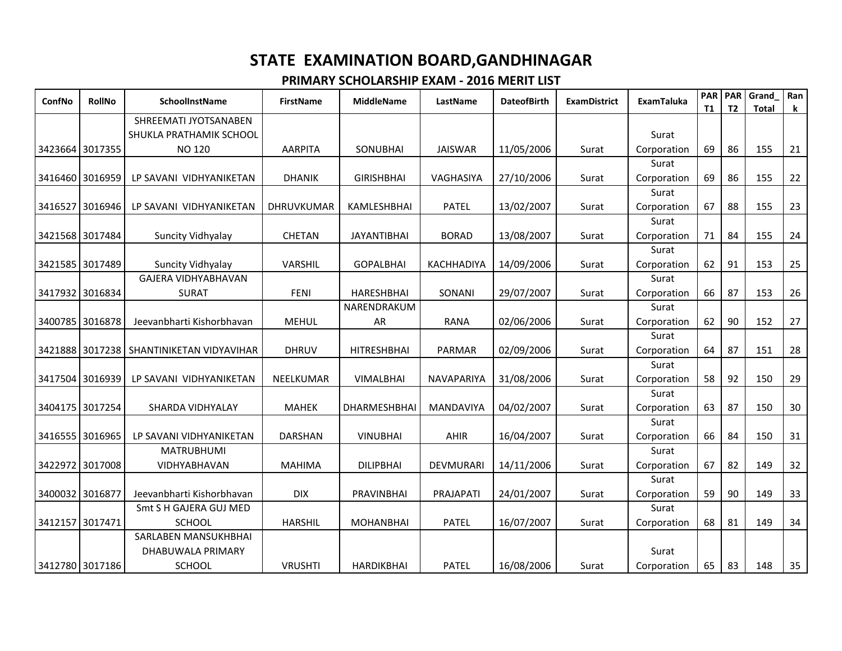|                    |                                          | <b>FirstName</b>  | <b>MiddleName</b>  | LastName          | <b>DateofBirth</b> | <b>ExamDistrict</b> | <b>ExamTaluka</b>    | <b>PAR</b><br>T1 | PAR<br>T <sub>2</sub> | Grand<br><b>Total</b> | Ran<br>k |
|--------------------|------------------------------------------|-------------------|--------------------|-------------------|--------------------|---------------------|----------------------|------------------|-----------------------|-----------------------|----------|
|                    | SHREEMATI JYOTSANABEN                    |                   |                    |                   |                    |                     |                      |                  |                       |                       |          |
|                    | SHUKLA PRATHAMIK SCHOOL                  |                   |                    |                   |                    |                     | Surat                |                  |                       |                       |          |
| 3423664 3017355    | <b>NO 120</b>                            | <b>AARPITA</b>    | SONUBHAI           | <b>JAISWAR</b>    | 11/05/2006         | Surat               | Corporation          | 69               | 86                    | 155                   | 21       |
|                    |                                          |                   |                    |                   |                    |                     | Surat                |                  |                       |                       |          |
| 3416460<br>3016959 | LP SAVANI VIDHYANIKETAN                  | <b>DHANIK</b>     | <b>GIRISHBHAI</b>  | VAGHASIYA         | 27/10/2006         | Surat               | Corporation          | 69               | 86                    | 155                   | 22       |
|                    |                                          |                   |                    |                   |                    |                     | Surat                |                  |                       |                       |          |
| 3416527 3016946    | LP SAVANI VIDHYANIKETAN                  | <b>DHRUVKUMAR</b> | KAMLESHBHAI        | <b>PATEL</b>      | 13/02/2007         | Surat               | Corporation          | 67               | 88                    | 155                   | 23       |
|                    |                                          |                   |                    |                   |                    |                     | Surat                |                  |                       |                       |          |
| 3421568 3017484    | Suncity Vidhyalay                        | <b>CHETAN</b>     | <b>JAYANTIBHAI</b> | <b>BORAD</b>      | 13/08/2007         | Surat               | Corporation          | 71               | 84                    | 155                   | 24       |
|                    |                                          |                   |                    |                   |                    |                     | Surat                |                  |                       |                       |          |
| 3421585 3017489    | Suncity Vidhyalay                        | VARSHIL           | <b>GOPALBHAI</b>   | <b>KACHHADIYA</b> | 14/09/2006         | Surat               | Corporation          | 62               | 91                    | 153                   | 25       |
|                    | <b>GAJERA VIDHYABHAVAN</b>               |                   |                    |                   |                    |                     | Surat                |                  |                       |                       |          |
| 3417932 3016834    | <b>SURAT</b>                             | <b>FENI</b>       | HARESHBHAI         | SONANI            | 29/07/2007         | Surat               | Corporation          | 66               | 87                    | 153                   | 26       |
|                    |                                          |                   | NARENDRAKUM        |                   |                    |                     | Surat                |                  |                       |                       |          |
| 3400785<br>3016878 | Jeevanbharti Kishorbhavan                | <b>MEHUL</b>      | AR                 | <b>RANA</b>       | 02/06/2006         | Surat               | Corporation          | 62               | 90                    | 152                   | 27       |
|                    |                                          |                   |                    |                   |                    |                     | Surat                |                  |                       |                       |          |
|                    | 3421888 3017238 SHANTINIKETAN VIDYAVIHAR | <b>DHRUV</b>      | <b>HITRESHBHAI</b> | <b>PARMAR</b>     | 02/09/2006         | Surat               | Corporation          | 64               | 87                    | 151                   | 28       |
|                    |                                          |                   |                    |                   |                    |                     | Surat                |                  |                       |                       |          |
| 3417504 3016939    | LP SAVANI VIDHYANIKETAN                  | NEELKUMAR         | VIMALBHAI          | NAVAPARIYA        | 31/08/2006         | Surat               | Corporation          | 58               | 92                    | 150                   | 29       |
|                    |                                          |                   |                    |                   |                    |                     | Surat                |                  |                       |                       |          |
| 3404175 3017254    | SHARDA VIDHYALAY                         | <b>MAHEK</b>      | DHARMESHBHAI       | MANDAVIYA         | 04/02/2007         | Surat               | Corporation          | 63               | 87                    | 150                   | 30       |
|                    |                                          |                   |                    |                   |                    |                     | Surat                |                  |                       |                       |          |
| 3416555 3016965    | LP SAVANI VIDHYANIKETAN                  | <b>DARSHAN</b>    | <b>VINUBHAI</b>    | AHIR              | 16/04/2007         | Surat               | Corporation          | 66               | 84                    | 150                   | 31       |
|                    | <b>MATRUBHUMI</b>                        |                   |                    |                   |                    |                     | Surat                |                  | 82                    |                       |          |
| 3422972 3017008    | <b>VIDHYABHAVAN</b>                      | <b>MAHIMA</b>     | <b>DILIPBHAI</b>   | <b>DEVMURARI</b>  | 14/11/2006         | Surat               | Corporation          | 67               |                       | 149                   | 32       |
| 3400032 3016877    | Jeevanbharti Kishorbhavan                | <b>DIX</b>        | PRAVINBHAI         | PRAJAPATI         | 24/01/2007         | Surat               | Surat                | 59               | 90                    | 149                   | 33       |
|                    | Smt S H GAJERA GUJ MED                   |                   |                    |                   |                    |                     | Corporation<br>Surat |                  |                       |                       |          |
| 3017471<br>3412157 | SCHOOL                                   | <b>HARSHIL</b>    | <b>MOHANBHAI</b>   | <b>PATEL</b>      | 16/07/2007         | Surat               | Corporation          | 68               | 81                    | 149                   | 34       |
|                    | SARLABEN MANSUKHBHAI                     |                   |                    |                   |                    |                     |                      |                  |                       |                       |          |
|                    | DHABUWALA PRIMARY                        |                   |                    |                   |                    |                     | Surat                |                  |                       |                       |          |
| 3412780 3017186    | <b>SCHOOL</b>                            | <b>VRUSHTI</b>    | <b>HARDIKBHAI</b>  | <b>PATEL</b>      | 16/08/2006         | Surat               | Corporation          | 65               | 83                    | 148                   | 35       |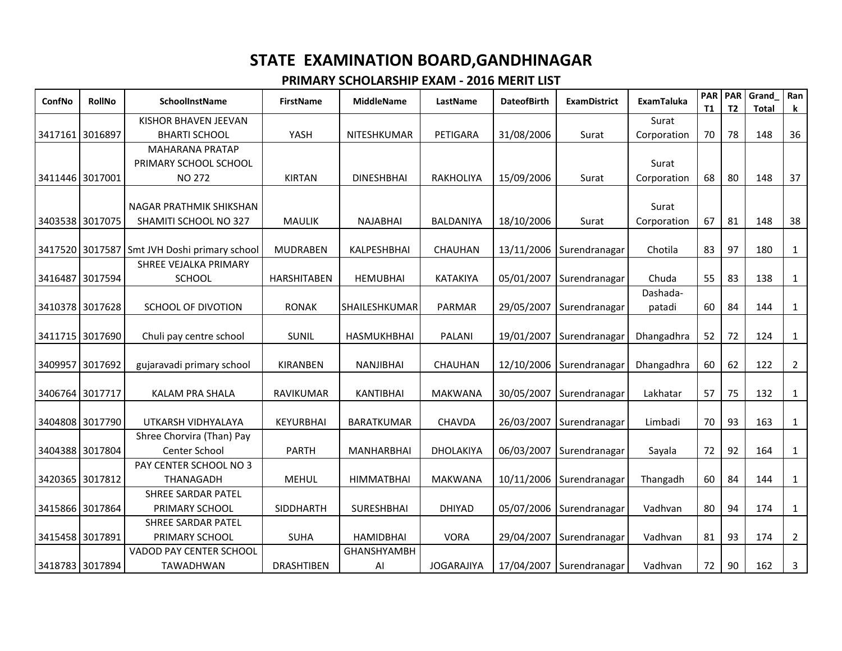| ConfNo          | <b>RollNo</b> | SchoolInstName                                   | <b>FirstName</b>   | <b>MiddleName</b>        | LastName          | <b>DateofBirth</b> | <b>ExamDistrict</b>      | <b>ExamTaluka</b>  | <b>PAR PAR</b><br>T1 | T <sub>2</sub> | Grand<br>Total | Ran<br>k       |
|-----------------|---------------|--------------------------------------------------|--------------------|--------------------------|-------------------|--------------------|--------------------------|--------------------|----------------------|----------------|----------------|----------------|
|                 |               | KISHOR BHAVEN JEEVAN                             |                    |                          |                   |                    |                          | Surat              |                      |                |                |                |
| 3417161 3016897 |               | <b>BHARTI SCHOOL</b>                             | YASH               | NITESHKUMAR              | PETIGARA          | 31/08/2006         | Surat                    | Corporation        | 70                   | 78             | 148            | 36             |
|                 |               | <b>MAHARANA PRATAP</b>                           |                    |                          |                   |                    |                          |                    |                      |                |                |                |
|                 |               | PRIMARY SCHOOL SCHOOL                            |                    |                          |                   |                    |                          | Surat              |                      |                |                |                |
| 3411446 3017001 |               | <b>NO 272</b>                                    | <b>KIRTAN</b>      | <b>DINESHBHAI</b>        | <b>RAKHOLIYA</b>  | 15/09/2006         | Surat                    | Corporation        | 68                   | 80             | 148            | 37             |
|                 |               | NAGAR PRATHMIK SHIKSHAN<br>SHAMITI SCHOOL NO 327 |                    | <b>NAJABHAI</b>          | BALDANIYA         |                    |                          | Surat              |                      | 81             | 148            |                |
| 3403538 3017075 |               |                                                  | <b>MAULIK</b>      |                          |                   | 18/10/2006         | Surat                    | Corporation        | 67                   |                |                | 38             |
| 3417520 3017587 |               | Smt JVH Doshi primary school                     | <b>MUDRABEN</b>    | <b>KALPESHBHAI</b>       | <b>CHAUHAN</b>    | 13/11/2006         | Surendranagar            | Chotila            | 83                   | 97             | 180            | 1              |
|                 |               | SHREE VEJALKA PRIMARY                            |                    |                          |                   |                    |                          |                    |                      |                |                |                |
| 3416487 3017594 |               | <b>SCHOOL</b>                                    | <b>HARSHITABEN</b> | <b>HEMUBHAI</b>          | <b>KATAKIYA</b>   | 05/01/2007         | Surendranagar            | Chuda              | 55                   | 83             | 138            | $\mathbf{1}$   |
| 3410378 3017628 |               | SCHOOL OF DIVOTION                               | <b>RONAK</b>       | SHAILESHKUMAR            | PARMAR            | 29/05/2007         | Surendranagar            | Dashada-<br>patadi | 60                   | 84             | 144            | $\mathbf{1}$   |
| 3411715 3017690 |               | Chuli pay centre school                          | <b>SUNIL</b>       | <b>HASMUKHBHAI</b>       | <b>PALANI</b>     | 19/01/2007         | Surendranagar            | Dhangadhra         | 52                   | 72             | 124            | $\mathbf{1}$   |
| 3409957 3017692 |               | gujaravadi primary school                        | KIRANBEN           | NANJIBHAI                | CHAUHAN           | 12/10/2006         | Surendranagar            | Dhangadhra         | 60                   | 62             | 122            | $\overline{2}$ |
| 3406764 3017717 |               | <b>KALAM PRA SHALA</b>                           | RAVIKUMAR          | <b>KANTIBHAI</b>         | <b>MAKWANA</b>    | 30/05/2007         | Surendranagar            | Lakhatar           | 57                   | 75             | 132            | $\mathbf{1}$   |
| 3404808 3017790 |               | UTKARSH VIDHYALAYA                               | KEYURBHAI          | <b>BARATKUMAR</b>        | <b>CHAVDA</b>     | 26/03/2007         | Surendranagar            | Limbadi            | 70                   | 93             | 163            | $\mathbf{1}$   |
| 3404388 3017804 |               | Shree Chorvira (Than) Pay<br>Center School       | <b>PARTH</b>       | <b>MANHARBHAI</b>        | <b>DHOLAKIYA</b>  | 06/03/2007         | Surendranagar            | Sayala             | 72                   | 92             | 164            | $\mathbf{1}$   |
|                 |               | PAY CENTER SCHOOL NO 3                           |                    |                          |                   |                    |                          |                    |                      |                |                |                |
| 3420365 3017812 |               | <b>THANAGADH</b>                                 | <b>MEHUL</b>       | <b>HIMMATBHAI</b>        | <b>MAKWANA</b>    | 10/11/2006         | Surendranagar            | Thangadh           | 60                   | 84             | 144            | $\mathbf{1}$   |
|                 |               | <b>SHREE SARDAR PATEL</b>                        |                    |                          |                   |                    |                          |                    |                      |                |                |                |
| 3415866 3017864 |               | PRIMARY SCHOOL                                   | <b>SIDDHARTH</b>   | <b>SURESHBHAI</b>        | <b>DHIYAD</b>     | 05/07/2006         | Surendranagar            | Vadhvan            | 80                   | 94             | 174            | $\mathbf{1}$   |
|                 |               | SHREE SARDAR PATEL                               |                    |                          |                   |                    |                          |                    |                      |                |                |                |
| 3415458 3017891 |               | PRIMARY SCHOOL                                   | <b>SUHA</b>        | <b>HAMIDBHAI</b>         | <b>VORA</b>       | 29/04/2007         | Surendranagar            | Vadhvan            | 81                   | 93             | 174            | $\overline{2}$ |
| 3418783 3017894 |               | VADOD PAY CENTER SCHOOL<br>TAWADHWAN             | <b>DRASHTIBEN</b>  | <b>GHANSHYAMBH</b><br>Al | <b>JOGARAJIYA</b> |                    | 17/04/2007 Surendranagar | Vadhvan            | 72                   | 90             | 162            | 3              |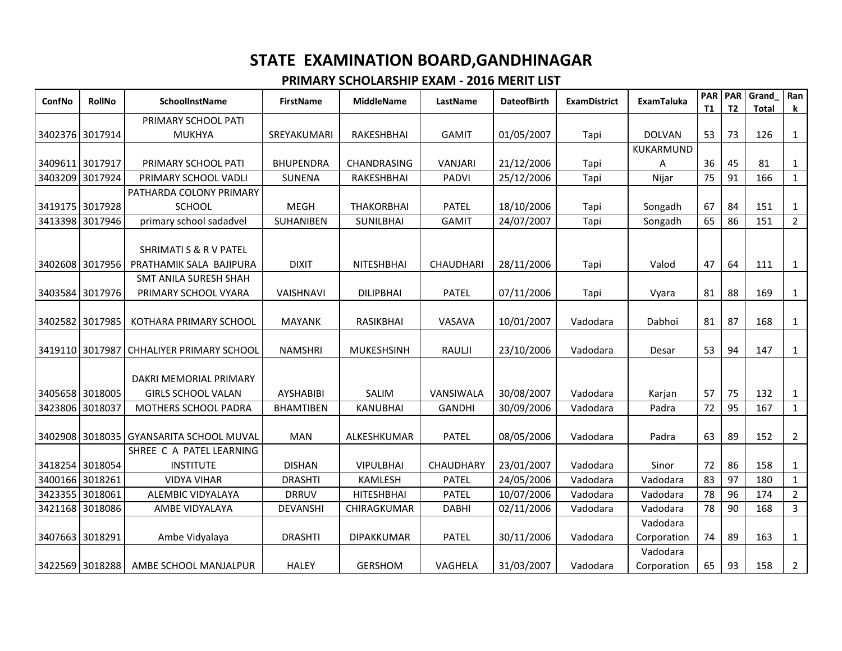| ConfNo          | <b>RollNo</b>   | <b>SchoolInstName</b>                                        | <b>FirstName</b> | <b>MiddleName</b> | LastName         | <b>DateofBirth</b> | <b>ExamDistrict</b> | <b>ExamTaluka</b>       | <b>PAR</b><br>T1 | <b>PAR</b><br>T <sub>2</sub> | Grand<br><b>Total</b> | Ran<br>$\bf k$ |
|-----------------|-----------------|--------------------------------------------------------------|------------------|-------------------|------------------|--------------------|---------------------|-------------------------|------------------|------------------------------|-----------------------|----------------|
|                 |                 | PRIMARY SCHOOL PATI                                          |                  |                   |                  |                    |                     |                         |                  |                              |                       |                |
|                 | 3402376 3017914 | <b>MUKHYA</b>                                                | SREYAKUMARI      | RAKESHBHAI        | <b>GAMIT</b>     | 01/05/2007         | Tapi                | <b>DOLVAN</b>           | 53               | 73                           | 126                   | $\mathbf{1}$   |
|                 |                 |                                                              |                  |                   |                  |                    |                     | KUKARMUND               |                  |                              |                       |                |
| 3409611 3017917 |                 | PRIMARY SCHOOL PATI                                          | <b>BHUPENDRA</b> | CHANDRASING       | VANJARI          | 21/12/2006         | Tapi                | A                       | 36               | 45                           | 81                    | 1              |
| 3403209         | 3017924         | PRIMARY SCHOOL VADLI                                         | <b>SUNENA</b>    | RAKESHBHAI        | <b>PADVI</b>     | 25/12/2006         | Tapi                | Nijar                   | 75               | 91                           | 166                   | $1\,$          |
|                 |                 | PATHARDA COLONY PRIMARY                                      |                  |                   |                  |                    |                     |                         |                  |                              |                       |                |
|                 | 3419175 3017928 | <b>SCHOOL</b>                                                | <b>MEGH</b>      | <b>THAKORBHAI</b> | <b>PATEL</b>     | 18/10/2006         | Tapi                | Songadh                 | 67               | 84                           | 151                   | $\mathbf{1}$   |
| 3413398         | 3017946         | primary school sadadvel                                      | SUHANIBEN        | <b>SUNILBHAI</b>  | <b>GAMIT</b>     | 24/07/2007         | Tapi                | Songadh                 | 65               | 86                           | 151                   | $\overline{2}$ |
|                 | 3402608 3017956 | <b>SHRIMATI S &amp; R V PATEL</b><br>PRATHAMIK SALA BAJIPURA | <b>DIXIT</b>     | <b>NITESHBHAI</b> | <b>CHAUDHARI</b> | 28/11/2006         | Tapi                | Valod                   | 47               | 64                           | 111                   | $\mathbf{1}$   |
|                 |                 | SMT ANILA SURESH SHAH                                        |                  |                   |                  |                    |                     |                         |                  |                              |                       |                |
|                 | 3403584 3017976 | PRIMARY SCHOOL VYARA                                         | <b>VAISHNAVI</b> | <b>DILIPBHAI</b>  | <b>PATEL</b>     | 07/11/2006         | Tapi                | Vyara                   | 81               | 88                           | 169                   | $\mathbf{1}$   |
| 3402582         | 3017985         | KOTHARA PRIMARY SCHOOL                                       | <b>MAYANK</b>    | RASIKBHAI         | <b>VASAVA</b>    | 10/01/2007         | Vadodara            | Dabhoi                  | 81               | 87                           | 168                   | $\mathbf{1}$   |
| 3419110 3017987 |                 | <b>CHHALIYER PRIMARY SCHOOL</b>                              | <b>NAMSHRI</b>   | <b>MUKESHSINH</b> | RAULJI           | 23/10/2006         | Vadodara            | Desar                   | 53               | 94                           | 147                   | $\mathbf{1}$   |
|                 | 3405658 3018005 | DAKRI MEMORIAL PRIMARY<br><b>GIRLS SCHOOL VALAN</b>          | <b>AYSHABIBI</b> | SALIM             | VANSIWALA        | 30/08/2007         | Vadodara            | Karjan                  | 57               | 75                           | 132                   | $\mathbf{1}$   |
| 3423806 3018037 |                 | MOTHERS SCHOOL PADRA                                         | <b>BHAMTIBEN</b> | <b>KANUBHAI</b>   | <b>GANDHI</b>    | 30/09/2006         | Vadodara            | Padra                   | 72               | 95                           | 167                   | $\mathbf{1}$   |
|                 |                 | 3402908 3018035 GYANSARITA SCHOOL MUVAL                      | <b>MAN</b>       | ALKESHKUMAR       | <b>PATEL</b>     | 08/05/2006         | Vadodara            | Padra                   | 63               | 89                           | 152                   | $\overline{2}$ |
|                 |                 | SHREE C A PATEL LEARNING                                     |                  |                   |                  |                    |                     |                         |                  |                              |                       |                |
|                 | 3418254 3018054 | <b>INSTITUTE</b>                                             | <b>DISHAN</b>    | <b>VIPULBHAI</b>  | CHAUDHARY        | 23/01/2007         | Vadodara            | Sinor                   | 72               | 86                           | 158                   | $\mathbf{1}$   |
|                 | 3400166 3018261 | <b>VIDYA VIHAR</b>                                           | <b>DRASHTI</b>   | <b>KAMLESH</b>    | <b>PATEL</b>     | 24/05/2006         | Vadodara            | Vadodara                | 83               | 97                           | 180                   | $\mathbf{1}$   |
|                 | 3423355 3018061 | <b>ALEMBIC VIDYALAYA</b>                                     | <b>DRRUV</b>     | <b>HITESHBHAI</b> | <b>PATEL</b>     | 10/07/2006         | Vadodara            | Vadodara                | 78               | 96                           | 174                   | $\overline{2}$ |
|                 | 3421168 3018086 | AMBE VIDYALAYA                                               | <b>DEVANSHI</b>  | CHIRAGKUMAR       | <b>DABHI</b>     | 02/11/2006         | Vadodara            | Vadodara                | 78               | 90                           | 168                   | $\overline{3}$ |
| 3407663 3018291 |                 | Ambe Vidyalaya                                               | <b>DRASHTI</b>   | <b>DIPAKKUMAR</b> | <b>PATEL</b>     | 30/11/2006         | Vadodara            | Vadodara<br>Corporation | 74               | 89                           | 163                   | $\mathbf{1}$   |
| 3422569 3018288 |                 | AMBE SCHOOL MANJALPUR                                        | <b>HALEY</b>     | <b>GERSHOM</b>    | VAGHELA          | 31/03/2007         | Vadodara            | Vadodara<br>Corporation | 65               | 93                           | 158                   | $\overline{2}$ |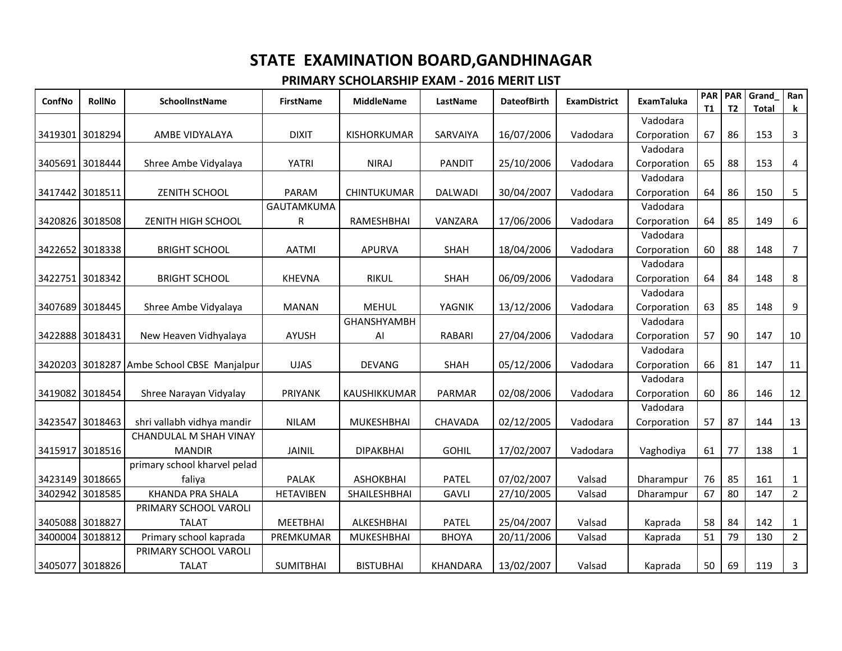| ConfNo          | <b>RollNo</b>   | SchoolInstName               | <b>FirstName</b>  | <b>MiddleName</b>   | LastName        | <b>DateofBirth</b> | <b>ExamDistrict</b> | <b>ExamTaluka</b> | <b>PAR</b><br>T1 | T <sub>2</sub> | <b>PAR</b> Grand<br>Total | Ran<br>$\mathbf k$ |
|-----------------|-----------------|------------------------------|-------------------|---------------------|-----------------|--------------------|---------------------|-------------------|------------------|----------------|---------------------------|--------------------|
|                 |                 |                              |                   |                     |                 |                    |                     | Vadodara          |                  |                |                           |                    |
| 3419301 3018294 |                 | AMBE VIDYALAYA               | <b>DIXIT</b>      | <b>KISHORKUMAR</b>  | SARVAIYA        | 16/07/2006         | Vadodara            | Corporation       | 67               | 86             | 153                       | $\mathbf{3}$       |
|                 |                 |                              |                   |                     |                 |                    |                     | Vadodara          |                  |                |                           |                    |
| 3405691 3018444 |                 | Shree Ambe Vidyalaya         | <b>YATRI</b>      | <b>NIRAJ</b>        | <b>PANDIT</b>   | 25/10/2006         | Vadodara            | Corporation       | 65               | 88             | 153                       | $\overline{4}$     |
|                 |                 |                              |                   |                     |                 |                    |                     | Vadodara          |                  |                |                           |                    |
| 3417442 3018511 |                 | <b>ZENITH SCHOOL</b>         | PARAM             | CHINTUKUMAR         | <b>DALWADI</b>  | 30/04/2007         | Vadodara            | Corporation       | 64               | 86             | 150                       | 5                  |
|                 |                 |                              | <b>GAUTAMKUMA</b> |                     |                 |                    |                     | Vadodara          |                  |                |                           |                    |
| 3420826 3018508 |                 | ZENITH HIGH SCHOOL           | R                 | RAMESHBHAI          | VANZARA         | 17/06/2006         | Vadodara            | Corporation       | 64               | 85             | 149                       | 6                  |
|                 |                 |                              |                   |                     |                 |                    |                     | Vadodara          |                  |                |                           |                    |
| 3422652 3018338 |                 | <b>BRIGHT SCHOOL</b>         | <b>AATMI</b>      | <b>APURVA</b>       | <b>SHAH</b>     | 18/04/2006         | Vadodara            | Corporation       | 60               | 88             | 148                       | $\overline{7}$     |
|                 |                 |                              |                   |                     |                 |                    |                     | Vadodara          |                  |                |                           |                    |
| 3422751 3018342 |                 | <b>BRIGHT SCHOOL</b>         | <b>KHEVNA</b>     | <b>RIKUL</b>        | <b>SHAH</b>     | 06/09/2006         | Vadodara            | Corporation       | 64               | 84             | 148                       | 8                  |
|                 |                 |                              |                   |                     |                 |                    |                     | Vadodara          |                  |                |                           |                    |
| 3407689 3018445 |                 | Shree Ambe Vidyalaya         | <b>MANAN</b>      | <b>MEHUL</b>        | YAGNIK          | 13/12/2006         | Vadodara            | Corporation       | 63               | 85             | 148                       | 9                  |
|                 |                 |                              |                   | <b>GHANSHYAMBH</b>  |                 |                    |                     | Vadodara          |                  |                |                           |                    |
| 3422888 3018431 |                 | New Heaven Vidhyalaya        | <b>AYUSH</b>      | Al                  | <b>RABARI</b>   | 27/04/2006         | Vadodara            | Corporation       | 57               | 90             | 147                       | 10                 |
|                 |                 |                              |                   |                     |                 |                    |                     | Vadodara          |                  |                |                           |                    |
| 3420203 3018287 |                 | Ambe School CBSE Manjalpur   | <b>UJAS</b>       | <b>DEVANG</b>       | SHAH            | 05/12/2006         | Vadodara            | Corporation       | 66               | 81             | 147                       | 11                 |
|                 |                 |                              |                   |                     |                 |                    |                     | Vadodara          |                  |                |                           |                    |
| 3419082 3018454 |                 | Shree Narayan Vidyalay       | PRIYANK           | KAUSHIKKUMAR        | PARMAR          | 02/08/2006         | Vadodara            | Corporation       | 60               | 86             | 146                       | 12                 |
|                 |                 |                              |                   |                     |                 |                    |                     | Vadodara          |                  |                |                           |                    |
| 3423547 3018463 |                 | shri vallabh vidhya mandir   | <b>NILAM</b>      | <b>MUKESHBHAI</b>   | CHAVADA         | 02/12/2005         | Vadodara            | Corporation       | 57               | 87             | 144                       | 13                 |
|                 |                 | CHANDULAL M SHAH VINAY       |                   |                     |                 |                    |                     |                   |                  |                |                           |                    |
| 3415917 3018516 |                 | <b>MANDIR</b>                | JAINIL            | <b>DIPAKBHAI</b>    | <b>GOHIL</b>    | 17/02/2007         | Vadodara            | Vaghodiya         | 61               | 77             | 138                       | $\mathbf{1}$       |
|                 |                 | primary school kharvel pelad |                   |                     |                 |                    |                     |                   |                  |                |                           |                    |
|                 | 3423149 3018665 | faliya                       | <b>PALAK</b>      | <b>ASHOKBHAI</b>    | <b>PATEL</b>    | 07/02/2007         | Valsad              | Dharampur         | 76               | 85             | 161                       | 1                  |
| 3402942 3018585 |                 | <b>KHANDA PRA SHALA</b>      | <b>HETAVIBEN</b>  | <b>SHAILESHBHAI</b> | <b>GAVLI</b>    | 27/10/2005         | Valsad              | Dharampur         | 67               | 80             | 147                       | $\overline{2}$     |
|                 |                 | PRIMARY SCHOOL VAROLI        |                   |                     |                 |                    |                     |                   |                  |                |                           |                    |
| 3405088 3018827 |                 | <b>TALAT</b>                 | <b>MEETBHAI</b>   | ALKESHBHAI          | <b>PATEL</b>    | 25/04/2007         | Valsad              | Kaprada           | 58               | 84             | 142                       | $\mathbf{1}$       |
| 3400004 3018812 |                 | Primary school kaprada       | PREMKUMAR         | <b>MUKESHBHAI</b>   | <b>BHOYA</b>    | 20/11/2006         | Valsad              | Kaprada           | 51               | 79             | 130                       | $\overline{2}$     |
|                 |                 | PRIMARY SCHOOL VAROLI        |                   |                     |                 |                    |                     |                   |                  |                |                           |                    |
| 3405077 3018826 |                 | <b>TALAT</b>                 | <b>SUMITBHAI</b>  | <b>BISTUBHAI</b>    | <b>KHANDARA</b> | 13/02/2007         | Valsad              | Kaprada           | 50               | 69             | 119                       | 3                  |